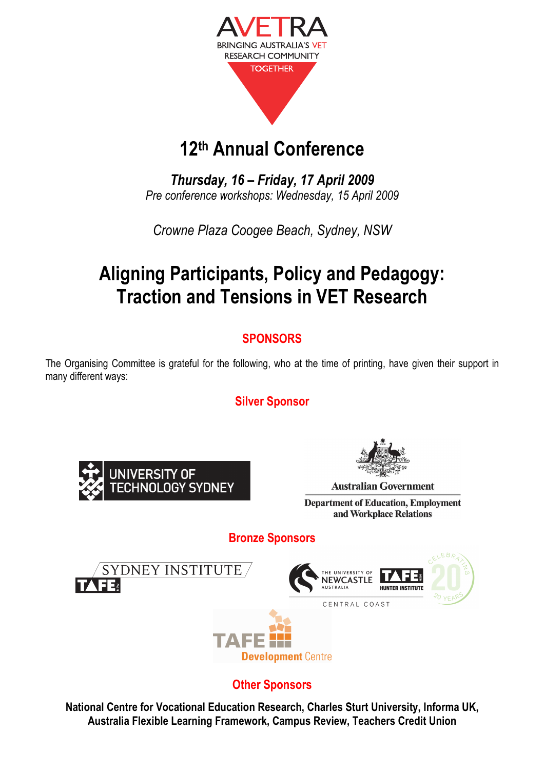

# 12th Annual Conference

Thursday, 16 – Friday, 17 April 2009 Pre conference workshops: Wednesday, 15 April 2009

Crowne Plaza Coogee Beach, Sydney, NSW

# Aligning Participants, Policy and Pedagogy: Traction and Tensions in VET Research

# **SPONSORS**

The Organising Committee is grateful for the following, who at the time of printing, have given their support in many different ways:

Silver Sponsor



National Centre for Vocational Education Research, Charles Sturt University, Informa UK, Australia Flexible Learning Framework, Campus Review, Teachers Credit Union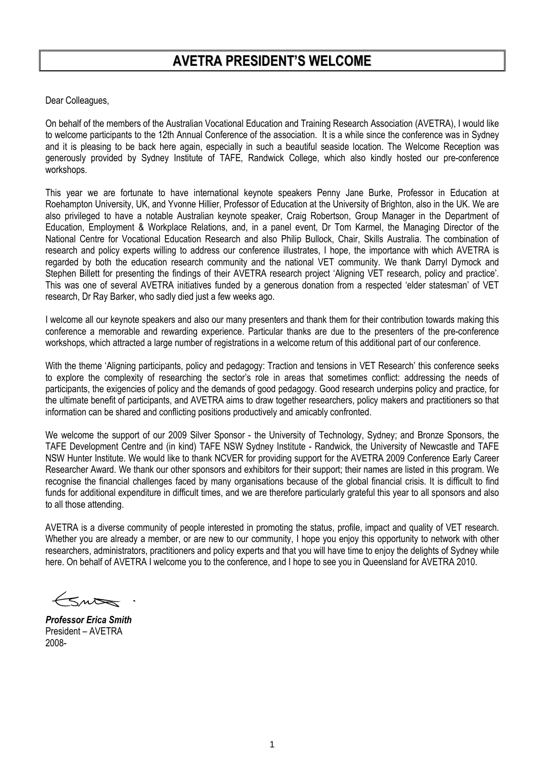# AVETRA PRESIDENT'S WELCOME

Dear Colleagues,

On behalf of the members of the Australian Vocational Education and Training Research Association (AVETRA), I would like to welcome participants to the 12th Annual Conference of the association. It is a while since the conference was in Sydney and it is pleasing to be back here again, especially in such a beautiful seaside location. The Welcome Reception was generously provided by Sydney Institute of TAFE, Randwick College, which also kindly hosted our pre-conference workshops.

This year we are fortunate to have international keynote speakers Penny Jane Burke, Professor in Education at Roehampton University, UK, and Yvonne Hillier, Professor of Education at the University of Brighton, also in the UK. We are also privileged to have a notable Australian keynote speaker, Craig Robertson, Group Manager in the Department of Education, Employment & Workplace Relations, and, in a panel event, Dr Tom Karmel, the Managing Director of the National Centre for Vocational Education Research and also Philip Bullock, Chair, Skills Australia. The combination of research and policy experts willing to address our conference illustrates, I hope, the importance with which AVETRA is regarded by both the education research community and the national VET community. We thank Darryl Dymock and Stephen Billett for presenting the findings of their AVETRA research project 'Aligning VET research, policy and practice'. This was one of several AVETRA initiatives funded by a generous donation from a respected 'elder statesman' of VET research, Dr Ray Barker, who sadly died just a few weeks ago.

I welcome all our keynote speakers and also our many presenters and thank them for their contribution towards making this conference a memorable and rewarding experience. Particular thanks are due to the presenters of the pre-conference workshops, which attracted a large number of registrations in a welcome return of this additional part of our conference.

With the theme 'Aligning participants, policy and pedagogy: Traction and tensions in VET Research' this conference seeks to explore the complexity of researching the sector's role in areas that sometimes conflict: addressing the needs of participants, the exigencies of policy and the demands of good pedagogy. Good research underpins policy and practice, for the ultimate benefit of participants, and AVETRA aims to draw together researchers, policy makers and practitioners so that information can be shared and conflicting positions productively and amicably confronted.

We welcome the support of our 2009 Silver Sponsor - the University of Technology, Sydney; and Bronze Sponsors, the TAFE Development Centre and (in kind) TAFE NSW Sydney Institute - Randwick, the University of Newcastle and TAFE NSW Hunter Institute. We would like to thank NCVER for providing support for the AVETRA 2009 Conference Early Career Researcher Award. We thank our other sponsors and exhibitors for their support; their names are listed in this program. We recognise the financial challenges faced by many organisations because of the global financial crisis. It is difficult to find funds for additional expenditure in difficult times, and we are therefore particularly grateful this year to all sponsors and also to all those attending.

AVETRA is a diverse community of people interested in promoting the status, profile, impact and quality of VET research. Whether you are already a member, or are new to our community, I hope you enjoy this opportunity to network with other researchers, administrators, practitioners and policy experts and that you will have time to enjoy the delights of Sydney while here. On behalf of AVETRA I welcome you to the conference, and I hope to see you in Queensland for AVETRA 2010.

Professor Erica Smith President – AVETRA 2008-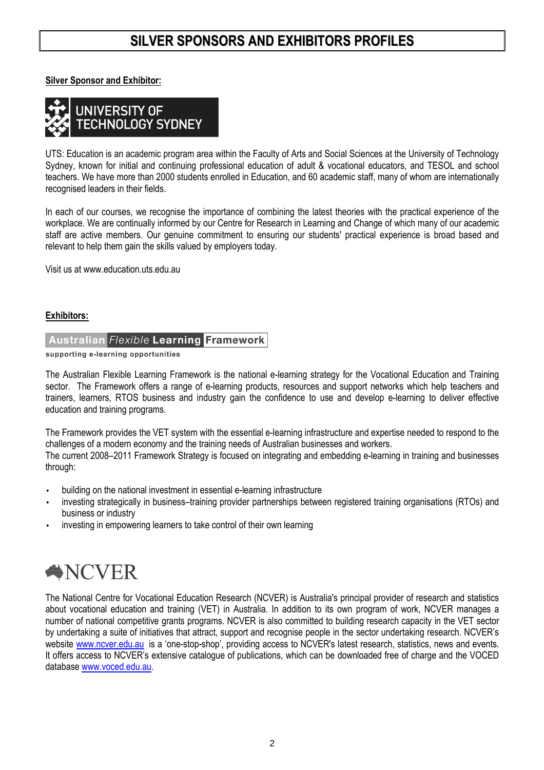# SILVER SPONSORS AND EXHIBITORS PROFILES

Silver Sponsor and Exhibitor:



UTS: Education is an academic program area within the Faculty of Arts and Social Sciences at the University of Technology Sydney, known for initial and continuing professional education of adult & vocational educators, and TESOL and school teachers. We have more than 2000 students enrolled in Education, and 60 academic staff, many of whom are internationally recognised leaders in their fields.

In each of our courses, we recognise the importance of combining the latest theories with the practical experience of the workplace. We are continually informed by our Centre for Research in Learning and Change of which many of our academic staff are active members. Our genuine commitment to ensuring our students' practical experience is broad based and relevant to help them gain the skills valued by employers today.

Visit us at www.education.uts.edu.au

#### Exhibitors:

# **Australian Flexible Learning Framework**

supporting e-learning opportunities

The Australian Flexible Learning Framework is the national e-learning strategy for the Vocational Education and Training sector. The Framework offers a range of e-learning products, resources and support networks which help teachers and trainers, learners, RTOS business and industry gain the confidence to use and develop e-learning to deliver effective education and training programs.

The Framework provides the VET system with the essential e-learning infrastructure and expertise needed to respond to the challenges of a modern economy and the training needs of Australian businesses and workers.

The current 2008–2011 Framework Strategy is focused on integrating and embedding e-learning in training and businesses through:

- building on the national investment in essential e-learning infrastructure
- investing strategically in business–training provider partnerships between registered training organisations (RTOs) and business or industry
- investing in empowering learners to take control of their own learning



The National Centre for Vocational Education Research (NCVER) is Australia's principal provider of research and statistics about vocational education and training (VET) in Australia. In addition to its own program of work, NCVER manages a number of national competitive grants programs. NCVER is also committed to building research capacity in the VET sector by undertaking a suite of initiatives that attract, support and recognise people in the sector undertaking research. NCVER's website www.ncver.edu.au is a 'one-stop-shop', providing access to NCVER's latest research, statistics, news and events. It offers access to NCVER's extensive catalogue of publications, which can be downloaded free of charge and the VOCED database www.voced.edu.au.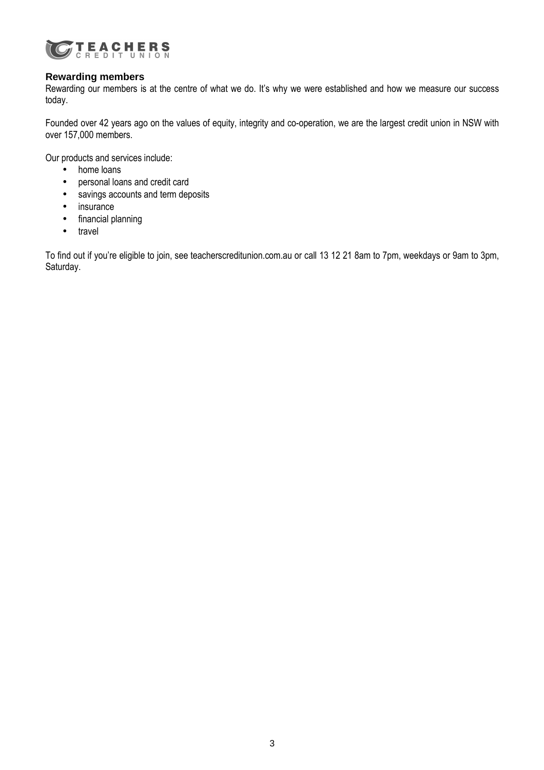

# **Rewarding members**

Rewarding our members is at the centre of what we do. It's why we were established and how we measure our success today.

Founded over 42 years ago on the values of equity, integrity and co-operation, we are the largest credit union in NSW with over 157,000 members.

Our products and services include:

- home loans
- personal loans and credit card
- savings accounts and term deposits
- insurance
- financial planning
- travel

To find out if you're eligible to join, see teacherscreditunion.com.au or call 13 12 21 8am to 7pm, weekdays or 9am to 3pm, Saturday.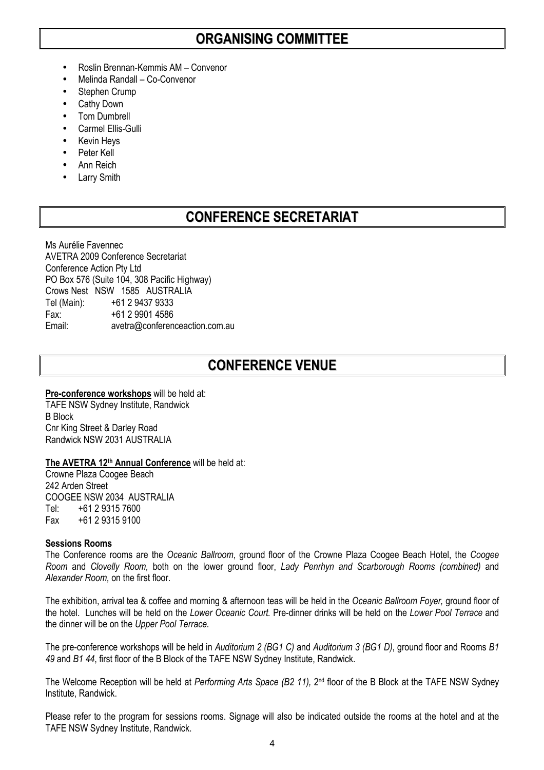# ORGANISING COMMITTEE

- Roslin Brennan-Kemmis AM Convenor
- Melinda Randall Co-Convenor
- Stephen Crump
- Cathy Down
- Tom Dumbrell
- Carmel Ellis-Gulli
- **Kevin Heys**
- Peter Kell
- Ann Reich
- **Larry Smith**

# CONFERENCE SECRETARIAT

Ms Aurélie Favennec AVETRA 2009 Conference Secretariat Conference Action Pty Ltd PO Box 576 (Suite 104, 308 Pacific Highway) Crows Nest NSW 1585 AUSTRALIA Tel (Main): +61 2 9437 9333 Fax: +61 2 9901 4586 Email: avetra@conferenceaction.com.au

# CONFERENCE VENUE

#### Pre-conference workshops will be held at:

TAFE NSW Sydney Institute, Randwick B Block Cnr King Street & Darley Road Randwick NSW 2031 AUSTRALIA

#### The AVETRA 12th Annual Conference will be held at:

Crowne Plaza Coogee Beach 242 Arden Street COOGEE NSW 2034 AUSTRALIA Tel: +61 2 9315 7600 Fax +61 2 9315 9100

#### Sessions Rooms

The Conference rooms are the Oceanic Ballroom, ground floor of the Crowne Plaza Coogee Beach Hotel, the Coogee Room and Clovelly Room, both on the lower ground floor, Lady Penrhyn and Scarborough Rooms (combined) and Alexander Room, on the first floor.

The exhibition, arrival tea & coffee and morning & afternoon teas will be held in the Oceanic Ballroom Foyer, ground floor of the hotel. Lunches will be held on the Lower Oceanic Court. Pre-dinner drinks will be held on the Lower Pool Terrace and the dinner will be on the Upper Pool Terrace.

The pre-conference workshops will be held in Auditorium 2 (BG1 C) and Auditorium 3 (BG1 D), ground floor and Rooms B1 49 and B1 44, first floor of the B Block of the TAFE NSW Sydney Institute, Randwick.

The Welcome Reception will be held at Performing Arts Space (B2 11),  $2<sup>nd</sup>$  floor of the B Block at the TAFE NSW Sydney Institute, Randwick.

Please refer to the program for sessions rooms. Signage will also be indicated outside the rooms at the hotel and at the TAFE NSW Sydney Institute, Randwick.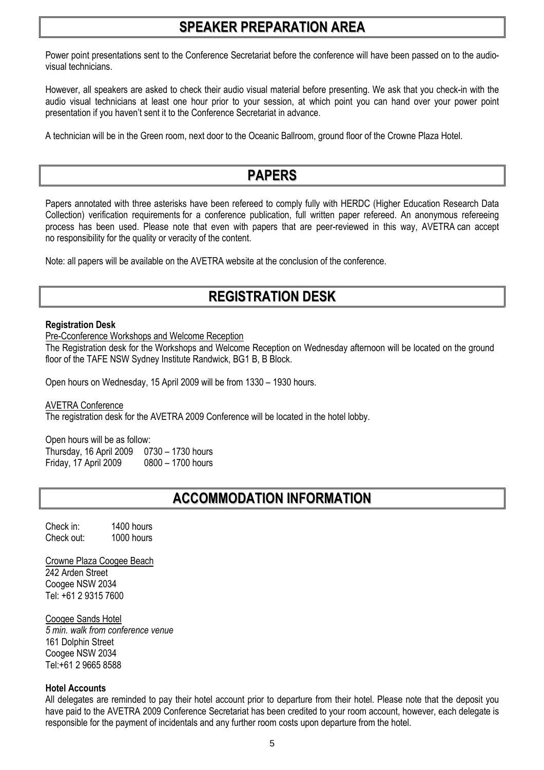# SPEAKER PREPARATION AREA

Power point presentations sent to the Conference Secretariat before the conference will have been passed on to the audiovisual technicians.

However, all speakers are asked to check their audio visual material before presenting. We ask that you check-in with the audio visual technicians at least one hour prior to your session, at which point you can hand over your power point presentation if you haven't sent it to the Conference Secretariat in advance.

A technician will be in the Green room, next door to the Oceanic Ballroom, ground floor of the Crowne Plaza Hotel.

# PAPERS

Papers annotated with three asterisks have been refereed to comply fully with HERDC (Higher Education Research Data Collection) verification requirements for a conference publication, full written paper refereed. An anonymous refereeing process has been used. Please note that even with papers that are peer-reviewed in this way, AVETRA can accept no responsibility for the quality or veracity of the content.

Note: all papers will be available on the AVETRA website at the conclusion of the conference.

# REGISTRATION DESK

#### Registration Desk

Pre-Cconference Workshops and Welcome Reception

The Registration desk for the Workshops and Welcome Reception on Wednesday afternoon will be located on the ground floor of the TAFE NSW Sydney Institute Randwick, BG1 B, B Block.

Open hours on Wednesday, 15 April 2009 will be from 1330 – 1930 hours.

AVETRA Conference

The registration desk for the AVETRA 2009 Conference will be located in the hotel lobby.

Open hours will be as follow: Thursday, 16 April 2009 0730 – 1730 hours Friday, 17 April 2009 0800 – 1700 hours

# ACCOMMODATION INFORMATION

Check in: 1400 hours Check out: 1000 hours

Crowne Plaza Coogee Beach

242 Arden Street Coogee NSW 2034 Tel: +61 2 9315 7600

Coogee Sands Hotel 5 min. walk from conference venue 161 Dolphin Street Coogee NSW 2034 Tel:+61 2 9665 8588

# Hotel Accounts

All delegates are reminded to pay their hotel account prior to departure from their hotel. Please note that the deposit you have paid to the AVETRA 2009 Conference Secretariat has been credited to your room account, however, each delegate is responsible for the payment of incidentals and any further room costs upon departure from the hotel.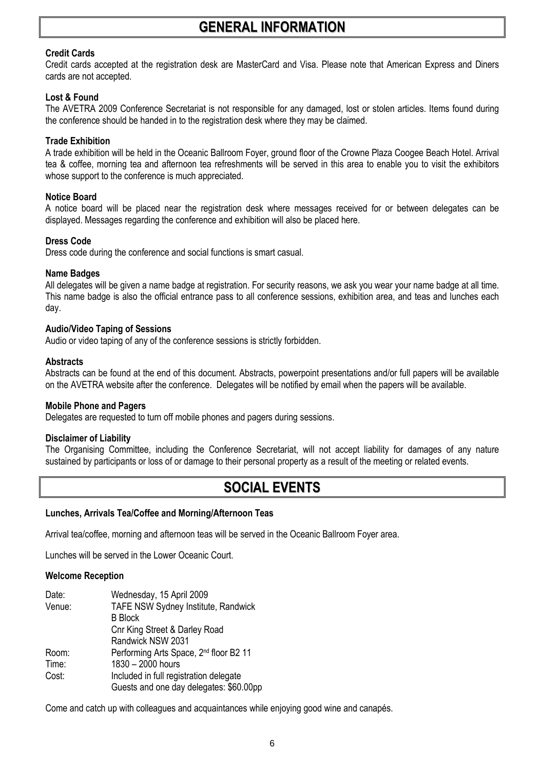# Credit Cards

Credit cards accepted at the registration desk are MasterCard and Visa. Please note that American Express and Diners cards are not accepted.

# Lost & Found

The AVETRA 2009 Conference Secretariat is not responsible for any damaged, lost or stolen articles. Items found during the conference should be handed in to the registration desk where they may be claimed.

# Trade Exhibition

A trade exhibition will be held in the Oceanic Ballroom Foyer, ground floor of the Crowne Plaza Coogee Beach Hotel. Arrival tea & coffee, morning tea and afternoon tea refreshments will be served in this area to enable you to visit the exhibitors whose support to the conference is much appreciated.

# Notice Board

A notice board will be placed near the registration desk where messages received for or between delegates can be displayed. Messages regarding the conference and exhibition will also be placed here.

# Dress Code

Dress code during the conference and social functions is smart casual.

# Name Badges

All delegates will be given a name badge at registration. For security reasons, we ask you wear your name badge at all time. This name badge is also the official entrance pass to all conference sessions, exhibition area, and teas and lunches each day.

# Audio/Video Taping of Sessions

Audio or video taping of any of the conference sessions is strictly forbidden.

# **Abstracts**

Abstracts can be found at the end of this document. Abstracts, powerpoint presentations and/or full papers will be available on the AVETRA website after the conference. Delegates will be notified by email when the papers will be available.

# Mobile Phone and Pagers

Delegates are requested to turn off mobile phones and pagers during sessions.

# Disclaimer of Liability

The Organising Committee, including the Conference Secretariat, will not accept liability for damages of any nature sustained by participants or loss of or damage to their personal property as a result of the meeting or related events.

# SOCIAL EVENTS

# Lunches, Arrivals Tea/Coffee and Morning/Afternoon Teas

Arrival tea/coffee, morning and afternoon teas will be served in the Oceanic Ballroom Foyer area.

Lunches will be served in the Lower Oceanic Court.

# Welcome Reception

| Date:  | Wednesday, 15 April 2009                           |
|--------|----------------------------------------------------|
| Venue: | TAFE NSW Sydney Institute, Randwick                |
|        | <b>B</b> Block                                     |
|        | Cnr King Street & Darley Road                      |
|        | Randwick NSW 2031                                  |
| Room:  | Performing Arts Space, 2 <sup>nd</sup> floor B2 11 |
| Time:  | 1830 - 2000 hours                                  |
| Cost:  | Included in full registration delegate             |
|        | Guests and one day delegates: \$60.00pp            |

Come and catch up with colleagues and acquaintances while enjoying good wine and canapés.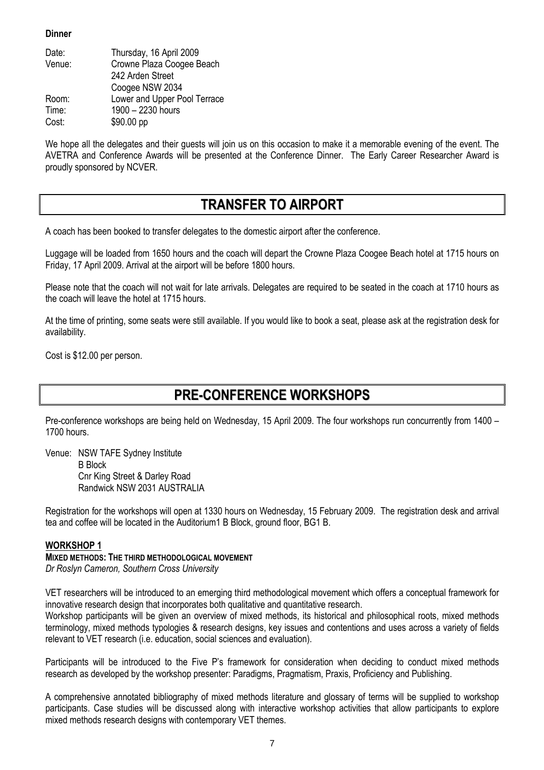**Dinner** 

| Date:  | Thursday, 16 April 2009      |
|--------|------------------------------|
| Venue: | Crowne Plaza Coogee Beach    |
|        | 242 Arden Street             |
|        | Coogee NSW 2034              |
| Room:  | Lower and Upper Pool Terrace |
| Time:  | 1900 - 2230 hours            |
| Cost:  | \$90.00 pp                   |

We hope all the delegates and their guests will join us on this occasion to make it a memorable evening of the event. The AVETRA and Conference Awards will be presented at the Conference Dinner. The Early Career Researcher Award is proudly sponsored by NCVER.

# TRANSFER TO AIRPORT

A coach has been booked to transfer delegates to the domestic airport after the conference.

Luggage will be loaded from 1650 hours and the coach will depart the Crowne Plaza Coogee Beach hotel at 1715 hours on Friday, 17 April 2009. Arrival at the airport will be before 1800 hours.

Please note that the coach will not wait for late arrivals. Delegates are required to be seated in the coach at 1710 hours as the coach will leave the hotel at 1715 hours.

At the time of printing, some seats were still available. If you would like to book a seat, please ask at the registration desk for availability.

Cost is \$12.00 per person.

# PRE-CONFERENCE WORKSHOPS

Pre-conference workshops are being held on Wednesday, 15 April 2009. The four workshops run concurrently from 1400 – 1700 hours.

Venue: NSW TAFE Sydney Institute B Block Cnr King Street & Darley Road Randwick NSW 2031 AUSTRALIA

Registration for the workshops will open at 1330 hours on Wednesday, 15 February 2009. The registration desk and arrival tea and coffee will be located in the Auditorium1 B Block, ground floor, BG1 B.

# WORKSHOP 1

MIXED METHODS: THE THIRD METHODOLOGICAL MOVEMENT

Dr Roslyn Cameron, Southern Cross University

VET researchers will be introduced to an emerging third methodological movement which offers a conceptual framework for innovative research design that incorporates both qualitative and quantitative research.

Workshop participants will be given an overview of mixed methods, its historical and philosophical roots, mixed methods terminology, mixed methods typologies & research designs, key issues and contentions and uses across a variety of fields relevant to VET research (i.e. education, social sciences and evaluation).

Participants will be introduced to the Five P's framework for consideration when deciding to conduct mixed methods research as developed by the workshop presenter: Paradigms, Pragmatism, Praxis, Proficiency and Publishing.

A comprehensive annotated bibliography of mixed methods literature and glossary of terms will be supplied to workshop participants. Case studies will be discussed along with interactive workshop activities that allow participants to explore mixed methods research designs with contemporary VET themes.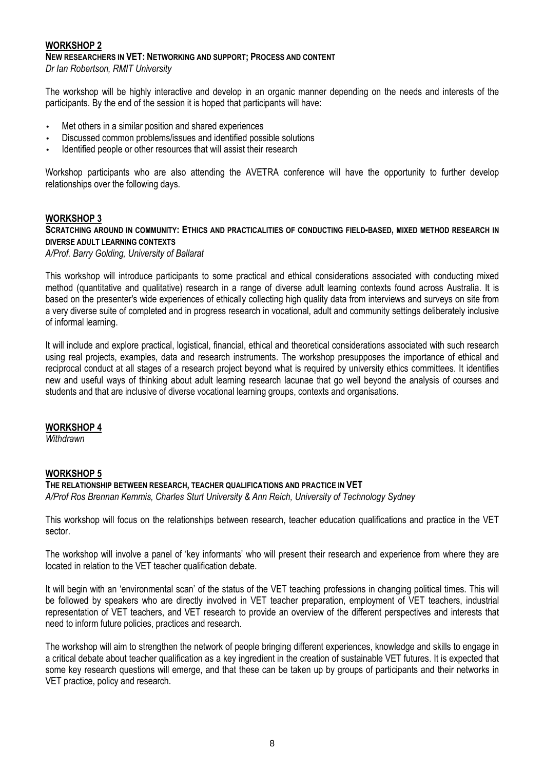#### WORKSHOP 2

NEW RESEARCHERS IN VET: NETWORKING AND SUPPORT; PROCESS AND CONTENT

Dr Ian Robertson, RMIT University

The workshop will be highly interactive and develop in an organic manner depending on the needs and interests of the participants. By the end of the session it is hoped that participants will have:

- Met others in a similar position and shared experiences
- Discussed common problems/issues and identified possible solutions
- Identified people or other resources that will assist their research

Workshop participants who are also attending the AVETRA conference will have the opportunity to further develop relationships over the following days.

#### WORKSHOP 3

SCRATCHING AROUND IN COMMUNITY: ETHICS AND PRACTICALITIES OF CONDUCTING FIELD-BASED, MIXED METHOD RESEARCH IN DIVERSE ADULT LEARNING CONTEXTS

A/Prof. Barry Golding, University of Ballarat

This workshop will introduce participants to some practical and ethical considerations associated with conducting mixed method (quantitative and qualitative) research in a range of diverse adult learning contexts found across Australia. It is based on the presenter's wide experiences of ethically collecting high quality data from interviews and surveys on site from a very diverse suite of completed and in progress research in vocational, adult and community settings deliberately inclusive of informal learning.

It will include and explore practical, logistical, financial, ethical and theoretical considerations associated with such research using real projects, examples, data and research instruments. The workshop presupposes the importance of ethical and reciprocal conduct at all stages of a research project beyond what is required by university ethics committees. It identifies new and useful ways of thinking about adult learning research lacunae that go well beyond the analysis of courses and students and that are inclusive of diverse vocational learning groups, contexts and organisations.

#### WORKSHOP 4

**Withdrawn** 

#### WORKSHOP 5

THE RELATIONSHIP BETWEEN RESEARCH, TEACHER QUALIFICATIONS AND PRACTICE IN VET A/Prof Ros Brennan Kemmis, Charles Sturt University & Ann Reich, University of Technology Sydney

This workshop will focus on the relationships between research, teacher education qualifications and practice in the VET sector.

The workshop will involve a panel of 'key informants' who will present their research and experience from where they are located in relation to the VET teacher qualification debate.

It will begin with an 'environmental scan' of the status of the VET teaching professions in changing political times. This will be followed by speakers who are directly involved in VET teacher preparation, employment of VET teachers, industrial representation of VET teachers, and VET research to provide an overview of the different perspectives and interests that need to inform future policies, practices and research.

The workshop will aim to strengthen the network of people bringing different experiences, knowledge and skills to engage in a critical debate about teacher qualification as a key ingredient in the creation of sustainable VET futures. It is expected that some key research questions will emerge, and that these can be taken up by groups of participants and their networks in VET practice, policy and research.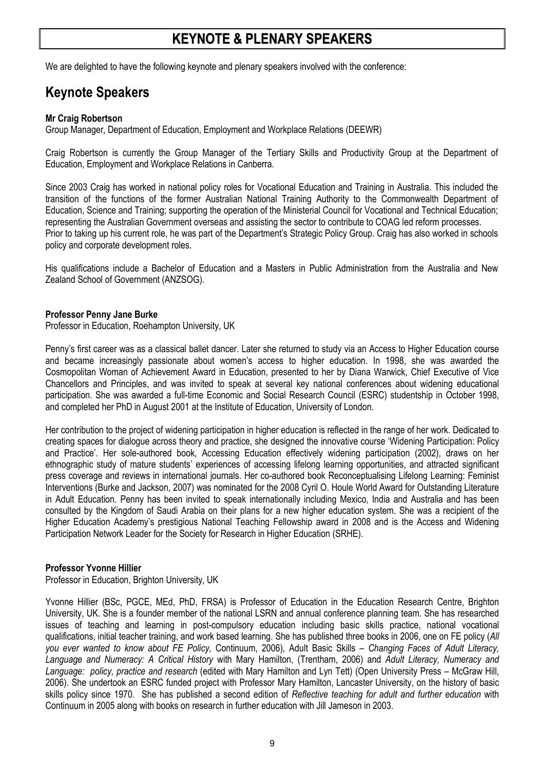# KEYNOTE & PLENARY SPEAKERS

We are delighted to have the following keynote and plenary speakers involved with the conference:

# Keynote Speakers

# Mr Craig Robertson

Group Manager, Department of Education, Employment and Workplace Relations (DEEWR)

Craig Robertson is currently the Group Manager of the Tertiary Skills and Productivity Group at the Department of Education, Employment and Workplace Relations in Canberra.

Since 2003 Craig has worked in national policy roles for Vocational Education and Training in Australia. This included the transition of the functions of the former Australian National Training Authority to the Commonwealth Department of Education, Science and Training; supporting the operation of the Ministerial Council for Vocational and Technical Education; representing the Australian Government overseas and assisting the sector to contribute to COAG led reform processes. Prior to taking up his current role, he was part of the Department's Strategic Policy Group. Craig has also worked in schools policy and corporate development roles.

His qualifications include a Bachelor of Education and a Masters in Public Administration from the Australia and New Zealand School of Government (ANZSOG).

#### Professor Penny Jane Burke

Professor in Education, Roehampton University, UK

Penny's first career was as a classical ballet dancer. Later she returned to study via an Access to Higher Education course and became increasingly passionate about women's access to higher education. In 1998, she was awarded the Cosmopolitan Woman of Achievement Award in Education, presented to her by Diana Warwick, Chief Executive of Vice Chancellors and Principles, and was invited to speak at several key national conferences about widening educational participation. She was awarded a full-time Economic and Social Research Council (ESRC) studentship in October 1998, and completed her PhD in August 2001 at the Institute of Education, University of London.

Her contribution to the project of widening participation in higher education is reflected in the range of her work. Dedicated to creating spaces for dialogue across theory and practice, she designed the innovative course 'Widening Participation: Policy and Practice'. Her sole-authored book, Accessing Education effectively widening participation (2002), draws on her ethnographic study of mature students' experiences of accessing lifelong learning opportunities, and attracted significant press coverage and reviews in international journals. Her co-authored book Reconceptualising Lifelong Learning: Feminist Interventions (Burke and Jackson, 2007) was nominated for the 2008 Cyril O. Houle World Award for Outstanding Literature in Adult Education. Penny has been invited to speak internationally including Mexico, India and Australia and has been consulted by the Kingdom of Saudi Arabia on their plans for a new higher education system. She was a recipient of the Higher Education Academy's prestigious National Teaching Fellowship award in 2008 and is the Access and Widening Participation Network Leader for the Society for Research in Higher Education (SRHE).

# Professor Yvonne Hillier

Professor in Education, Brighton University, UK

Yvonne Hillier (BSc, PGCE, MEd, PhD, FRSA) is Professor of Education in the Education Research Centre, Brighton University, UK. She is a founder member of the national LSRN and annual conference planning team. She has researched issues of teaching and learning in post-compulsory education including basic skills practice, national vocational qualifications, initial teacher training, and work based learning. She has published three books in 2006, one on FE policy (All you ever wanted to know about FE Policy, Continuum, 2006), Adult Basic Skills – Changing Faces of Adult Literacy, Language and Numeracy: A Critical History with Mary Hamilton, (Trentham, 2006) and Adult Literacy, Numeracy and Language: policy, practice and research (edited with Mary Hamilton and Lyn Tett) (Open University Press – McGraw Hill, 2006). She undertook an ESRC funded project with Professor Mary Hamilton, Lancaster University, on the history of basic skills policy since 1970. She has published a second edition of Reflective teaching for adult and further education with Continuum in 2005 along with books on research in further education with Jill Jameson in 2003.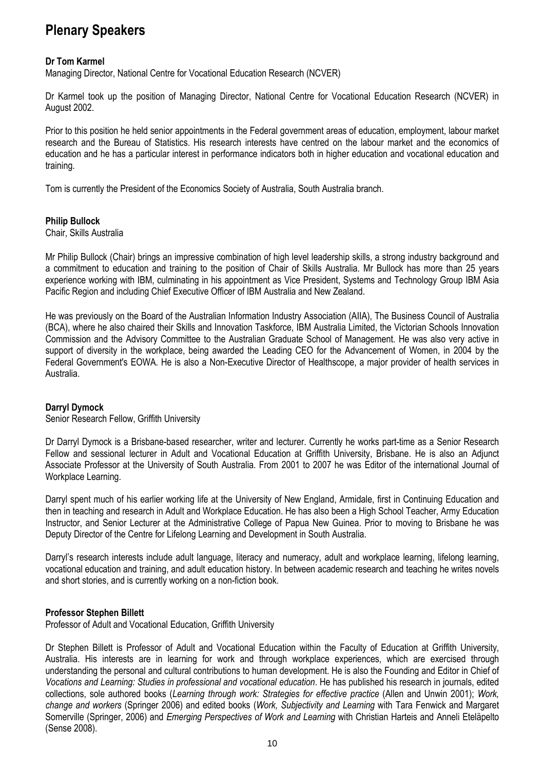# Plenary Speakers

# Dr Tom Karmel

Managing Director, National Centre for Vocational Education Research (NCVER)

Dr Karmel took up the position of Managing Director, National Centre for Vocational Education Research (NCVER) in August 2002.

Prior to this position he held senior appointments in the Federal government areas of education, employment, labour market research and the Bureau of Statistics. His research interests have centred on the labour market and the economics of education and he has a particular interest in performance indicators both in higher education and vocational education and training.

Tom is currently the President of the Economics Society of Australia, South Australia branch.

#### Philip Bullock

Chair, Skills Australia

Mr Philip Bullock (Chair) brings an impressive combination of high level leadership skills, a strong industry background and a commitment to education and training to the position of Chair of Skills Australia. Mr Bullock has more than 25 years experience working with IBM, culminating in his appointment as Vice President, Systems and Technology Group IBM Asia Pacific Region and including Chief Executive Officer of IBM Australia and New Zealand.

He was previously on the Board of the Australian Information Industry Association (AIIA), The Business Council of Australia (BCA), where he also chaired their Skills and Innovation Taskforce, IBM Australia Limited, the Victorian Schools Innovation Commission and the Advisory Committee to the Australian Graduate School of Management. He was also very active in support of diversity in the workplace, being awarded the Leading CEO for the Advancement of Women, in 2004 by the Federal Government's EOWA. He is also a Non-Executive Director of Healthscope, a major provider of health services in Australia.

# Darryl Dymock

Senior Research Fellow, Griffith University

Dr Darryl Dymock is a Brisbane-based researcher, writer and lecturer. Currently he works part-time as a Senior Research Fellow and sessional lecturer in Adult and Vocational Education at Griffith University, Brisbane. He is also an Adjunct Associate Professor at the University of South Australia. From 2001 to 2007 he was Editor of the international Journal of Workplace Learning.

Darryl spent much of his earlier working life at the University of New England, Armidale, first in Continuing Education and then in teaching and research in Adult and Workplace Education. He has also been a High School Teacher, Army Education Instructor, and Senior Lecturer at the Administrative College of Papua New Guinea. Prior to moving to Brisbane he was Deputy Director of the Centre for Lifelong Learning and Development in South Australia.

Darryl's research interests include adult language, literacy and numeracy, adult and workplace learning, lifelong learning, vocational education and training, and adult education history. In between academic research and teaching he writes novels and short stories, and is currently working on a non-fiction book.

# Professor Stephen Billett

Professor of Adult and Vocational Education, Griffith University

Dr Stephen Billett is Professor of Adult and Vocational Education within the Faculty of Education at Griffith University, Australia. His interests are in learning for work and through workplace experiences, which are exercised through understanding the personal and cultural contributions to human development. He is also the Founding and Editor in Chief of Vocations and Learning: Studies in professional and vocational education. He has published his research in journals, edited collections, sole authored books (Learning through work: Strategies for effective practice (Allen and Unwin 2001); Work, change and workers (Springer 2006) and edited books (Work, Subjectivity and Learning with Tara Fenwick and Margaret Somerville (Springer, 2006) and Emerging Perspectives of Work and Learning with Christian Harteis and Anneli Eteläpelto (Sense 2008).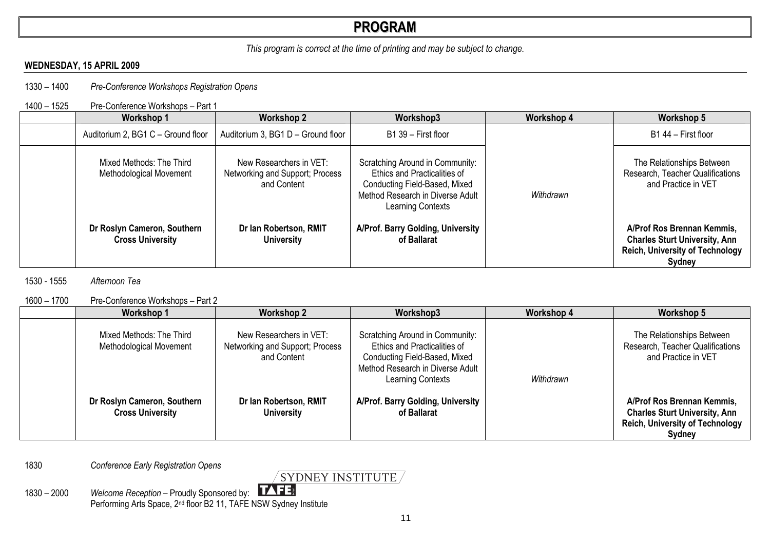# PROGRAM

# This program is correct at the time of printing and may be subject to change.

# WEDNESDAY, 15 APRIL 2009

1330 – 1400 Pre-Conference Workshops Registration Opens

#### 1400 – 1525 Pre-Conference Workshops – Part 1

| <b>Workshop 1</b>                                      | <b>Workshop 2</b>                                                         | Workshop3                                                                                                                                                 | <b>Workshop 4</b> | Workshop 5                                                                                                             |
|--------------------------------------------------------|---------------------------------------------------------------------------|-----------------------------------------------------------------------------------------------------------------------------------------------------------|-------------------|------------------------------------------------------------------------------------------------------------------------|
| Auditorium 2, BG1 C - Ground floor                     | Auditorium 3, BG1 D - Ground floor                                        | B1 39 - First floor                                                                                                                                       |                   | B1 44 – First floor                                                                                                    |
| Mixed Methods: The Third<br>Methodological Movement    | New Researchers in VET:<br>Networking and Support; Process<br>and Content | Scratching Around in Community:<br>Ethics and Practicalities of<br>Conducting Field-Based, Mixed<br>Method Research in Diverse Adult<br>Learning Contexts | Withdrawn         | The Relationships Between<br>Research, Teacher Qualifications<br>and Practice in VET                                   |
| Dr Roslyn Cameron, Southern<br><b>Cross University</b> | Dr Ian Robertson, RMIT<br><b>University</b>                               | A/Prof. Barry Golding, University<br>of Ballarat                                                                                                          |                   | A/Prof Ros Brennan Kemmis,<br><b>Charles Sturt University, Ann</b><br><b>Reich, University of Technology</b><br>Sydney |

# 1530 - 1555 Afternoon Tea

# 1600 – 1700 Pre-Conference Workshops – Part 2

| <b>Workshop 1</b>                                      | <b>Workshop 2</b>                                                         | Workshop3                                                                                                                                                        | <b>Workshop 4</b> | <b>Workshop 5</b>                                                                                                      |
|--------------------------------------------------------|---------------------------------------------------------------------------|------------------------------------------------------------------------------------------------------------------------------------------------------------------|-------------------|------------------------------------------------------------------------------------------------------------------------|
| Mixed Methods: The Third<br>Methodological Movement    | New Researchers in VET:<br>Networking and Support; Process<br>and Content | Scratching Around in Community:<br>Ethics and Practicalities of<br>Conducting Field-Based, Mixed<br>Method Research in Diverse Adult<br><b>Learning Contexts</b> | Withdrawn         | The Relationships Between<br>Research, Teacher Qualifications<br>and Practice in VET                                   |
| Dr Roslyn Cameron, Southern<br><b>Cross University</b> | Dr Ian Robertson, RMIT<br><b>University</b>                               | A/Prof. Barry Golding, University<br>of Ballarat                                                                                                                 |                   | A/Prof Ros Brennan Kemmis,<br><b>Charles Sturt University, Ann</b><br><b>Reich, University of Technology</b><br>Sydney |

1830 Conference Early Registration Opens

 $\sqrt{\rm SYDNEY}$  institute  $\sqrt{\rm SYDNEY}$ 

1830 – 2000 Welcome Reception – Proudly Sponsored by: Performing Arts Space, 2nd floor B2 11, TAFE NSW Sydney Institute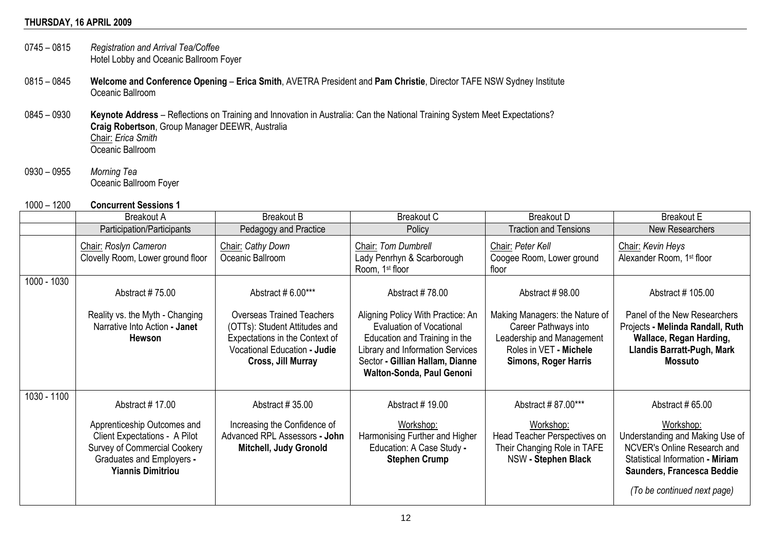#### THURSDAY, 16 APRIL 2009

- 0745 0815 Registration and Arrival Tea/Coffee Hotel Lobby and Oceanic Ballroom Foyer
- 0815 0845 Welcome and Conference Opening Erica Smith, AVETRA President and Pam Christie, Director TAFE NSW Sydney Institute Oceanic Ballroom
- 0845 0930 Keynote Address Reflections on Training and Innovation in Australia: Can the National Training System Meet Expectations? Craig Robertson, Group Manager DEEWR, Australia Chair: Erica SmithOceanic Ballroom
- 0930 0955 Morning Tea Oceanic Ballroom Foyer

## 1000 – 1200 Concurrent Sessions 1

|             | <b>Breakout A</b>                                                                                                                                                               | <b>Breakout B</b>                                                                                                     | <b>Breakout C</b>                                                                                                                                                                                                                                    | <b>Breakout D</b>                                                                                          | <b>Breakout E</b>                                                                                                                                                                               |
|-------------|---------------------------------------------------------------------------------------------------------------------------------------------------------------------------------|-----------------------------------------------------------------------------------------------------------------------|------------------------------------------------------------------------------------------------------------------------------------------------------------------------------------------------------------------------------------------------------|------------------------------------------------------------------------------------------------------------|-------------------------------------------------------------------------------------------------------------------------------------------------------------------------------------------------|
|             | Participation/Participants                                                                                                                                                      | Pedagogy and Practice                                                                                                 | Policy                                                                                                                                                                                                                                               | <b>Traction and Tensions</b>                                                                               | New Researchers                                                                                                                                                                                 |
|             | Chair: Roslyn Cameron<br>Clovelly Room, Lower ground floor                                                                                                                      | Chair: Cathy Down<br>Oceanic Ballroom                                                                                 | Chair: Tom Dumbrell<br>Lady Penrhyn & Scarborough<br>Room, 1 <sup>st</sup> floor                                                                                                                                                                     | Chair: Peter Kell<br>Coogee Room, Lower ground<br>floor                                                    | Chair: Kevin Heys<br>Alexander Room, 1 <sup>st</sup> floor                                                                                                                                      |
| 1000 - 1030 | Abstract #75.00<br>Reality vs. the Myth - Changing                                                                                                                              | Abstract # 6.00***<br><b>Overseas Trained Teachers</b>                                                                | Abstract #78.00<br>Aligning Policy With Practice: An                                                                                                                                                                                                 | Abstract #98.00<br>Making Managers: the Nature of                                                          | Abstract # 105.00<br>Panel of the New Researchers                                                                                                                                               |
|             | Narrative Into Action - Janet<br><b>Hewson</b>                                                                                                                                  | (OTTs): Student Attitudes and<br>Expectations in the Context of<br>Vocational Education - Judie<br>Cross, Jill Murray | <b>Evaluation of Vocational</b><br>Education and Training in the<br>Library and Information Services<br>Sector - Gillian Hallam, Dianne<br>Walton-Sonda, Paul Genoni                                                                                 | Career Pathways into<br>Leadership and Management<br>Roles in VET - Michele<br><b>Simons, Roger Harris</b> | Projects - Melinda Randall, Ruth<br>Wallace, Regan Harding,<br>Llandis Barratt-Pugh, Mark<br>Mossuto                                                                                            |
| 1030 - 1100 | Abstract #17.00<br>Apprenticeship Outcomes and<br>Client Expectations - A Pilot<br><b>Survey of Commercial Cookery</b><br>Graduates and Employers -<br><b>Yiannis Dimitriou</b> | Abstract # 35.00<br>Increasing the Confidence of<br>Advanced RPL Assessors - John<br><b>Mitchell, Judy Gronold</b>    | Abstract # 19.00<br>Abstract #87.00***<br>Workshop:<br>Workshop:<br>Harmonising Further and Higher<br>Head Teacher Perspectives on<br>Education: A Case Study -<br>Their Changing Role in TAFE<br><b>Stephen Crump</b><br><b>NSW</b> - Stephen Black |                                                                                                            | Abstract #65.00<br>Workshop:<br>Understanding and Making Use of<br>NCVER's Online Research and<br>Statistical Information - Miriam<br>Saunders, Francesca Beddie<br>(To be continued next page) |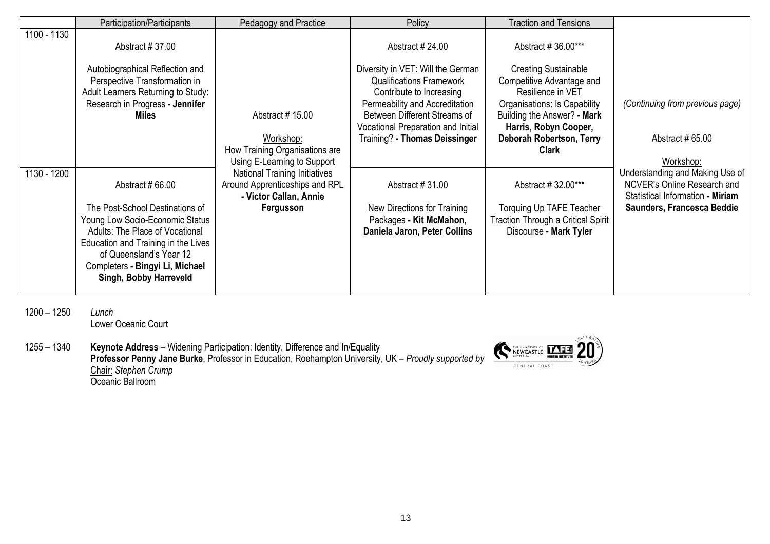|             | Participation/Participants                                                                                                                                                                                                                              | Pedagogy and Practice                                                                                         | Policy                                                                                                                                                                                                                                    | <b>Traction and Tensions</b>                                                                                                                                                                                      |                                                                                                                                  |
|-------------|---------------------------------------------------------------------------------------------------------------------------------------------------------------------------------------------------------------------------------------------------------|---------------------------------------------------------------------------------------------------------------|-------------------------------------------------------------------------------------------------------------------------------------------------------------------------------------------------------------------------------------------|-------------------------------------------------------------------------------------------------------------------------------------------------------------------------------------------------------------------|----------------------------------------------------------------------------------------------------------------------------------|
| 1100 - 1130 | Abstract #37.00                                                                                                                                                                                                                                         |                                                                                                               | Abstract # 24.00                                                                                                                                                                                                                          | Abstract #36.00***                                                                                                                                                                                                |                                                                                                                                  |
|             | Autobiographical Reflection and<br>Perspective Transformation in<br>Adult Learners Returning to Study:<br>Research in Progress - Jennifer<br><b>Miles</b>                                                                                               | Abstract #15.00<br>Workshop:<br>How Training Organisations are<br>Using E-Learning to Support                 | Diversity in VET: Will the German<br><b>Qualifications Framework</b><br>Contribute to Increasing<br>Permeability and Accreditation<br>Between Different Streams of<br>Vocational Preparation and Initial<br>Training? - Thomas Deissinger | <b>Creating Sustainable</b><br>Competitive Advantage and<br>Resilience in VET<br>Organisations: Is Capability<br>Building the Answer? - Mark<br>Harris, Robyn Cooper,<br>Deborah Robertson, Terry<br><b>Clark</b> | (Continuing from previous page)<br>Abstract #65.00<br>Workshop:                                                                  |
| 1130 - 1200 | Abstract #66.00<br>The Post-School Destinations of<br>Young Low Socio-Economic Status<br>Adults: The Place of Vocational<br>Education and Training in the Lives<br>of Queensland's Year 12<br>Completers - Bingyi Li, Michael<br>Singh, Bobby Harreveld | <b>National Training Initiatives</b><br>Around Apprenticeships and RPL<br>- Victor Callan, Annie<br>Fergusson | Abstract #31.00<br>New Directions for Training<br>Packages - Kit McMahon,<br>Daniela Jaron, Peter Collins                                                                                                                                 | Abstract # 32.00***<br>Torquing Up TAFE Teacher<br><b>Traction Through a Critical Spirit</b><br>Discourse - Mark Tyler                                                                                            | Understanding and Making Use of<br>NCVER's Online Research and<br>Statistical Information - Miriam<br>Saunders, Francesca Beddie |

1200 – 1250 Lunch Lower Oceanic Court

1255 – 1340 **Keynote Address –** Widening Participation: Identity, Difference and In/Equality<br>**Professor Penny Jane Burke**, Professor in Education, Roehampton University, UK – *Proudly supported by* <u>Chair:</u> S*tephen Crump*<br>Oceanic Ballroom

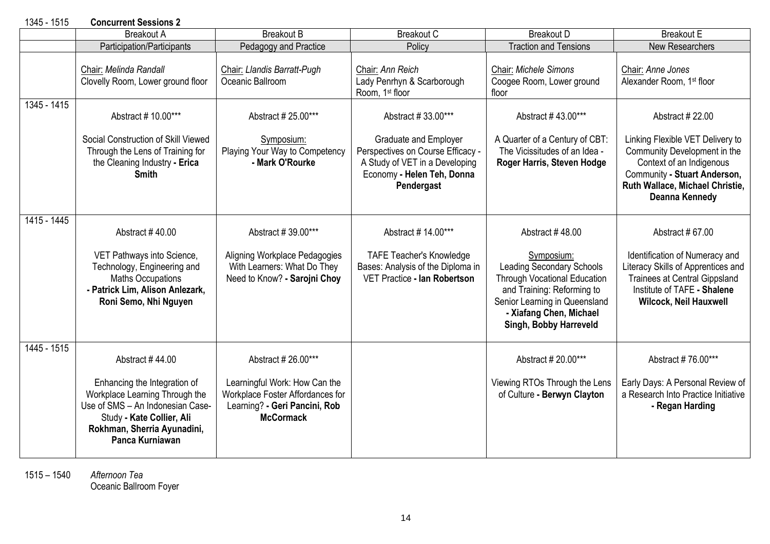| 1345 - 1515 | <b>Concurrent Sessions 2</b>                                                                                                                                                      |                                                                                                                        |                                                                                                                                          |                                                                                                                                                                                                           |                                                                                                                                                                                          |  |
|-------------|-----------------------------------------------------------------------------------------------------------------------------------------------------------------------------------|------------------------------------------------------------------------------------------------------------------------|------------------------------------------------------------------------------------------------------------------------------------------|-----------------------------------------------------------------------------------------------------------------------------------------------------------------------------------------------------------|------------------------------------------------------------------------------------------------------------------------------------------------------------------------------------------|--|
|             | <b>Breakout A</b>                                                                                                                                                                 | <b>Breakout B</b>                                                                                                      | <b>Breakout C</b>                                                                                                                        | <b>Breakout D</b>                                                                                                                                                                                         | <b>Breakout E</b>                                                                                                                                                                        |  |
|             | Participation/Participants                                                                                                                                                        | Pedagogy and Practice                                                                                                  | Policy                                                                                                                                   | <b>Traction and Tensions</b>                                                                                                                                                                              | New Researchers                                                                                                                                                                          |  |
|             | Chair: Melinda Randall<br>Clovelly Room, Lower ground floor                                                                                                                       | Chair: Llandis Barratt-Pugh<br>Oceanic Ballroom                                                                        | Chair: Ann Reich<br>Lady Penrhyn & Scarborough<br>Room, 1 <sup>st</sup> floor                                                            | Chair: Michele Simons<br>Coogee Room, Lower ground<br>floor                                                                                                                                               | Chair: Anne Jones<br>Alexander Room, 1 <sup>st</sup> floor                                                                                                                               |  |
| 1345 - 1415 | Abstract # 10.00***                                                                                                                                                               | Abstract # 25.00***                                                                                                    |                                                                                                                                          | Abstract #43.00***                                                                                                                                                                                        | Abstract # 22.00                                                                                                                                                                         |  |
|             | Social Construction of Skill Viewed<br>Through the Lens of Training for<br>the Cleaning Industry - Erica<br><b>Smith</b>                                                          | Symposium:<br>Playing Your Way to Competency<br>- Mark O'Rourke                                                        | Graduate and Employer<br>Perspectives on Course Efficacy -<br>A Study of VET in a Developing<br>Economy - Helen Teh, Donna<br>Pendergast | A Quarter of a Century of CBT:<br>The Vicissitudes of an Idea -<br>Roger Harris, Steven Hodge                                                                                                             | Linking Flexible VET Delivery to<br>Community Development in the<br>Context of an Indigenous<br>Community - Stuart Anderson,<br>Ruth Wallace, Michael Christie,<br><b>Deanna Kennedy</b> |  |
| 1415 - 1445 |                                                                                                                                                                                   |                                                                                                                        |                                                                                                                                          |                                                                                                                                                                                                           |                                                                                                                                                                                          |  |
|             | Abstract #40.00                                                                                                                                                                   | Abstract #39.00***                                                                                                     | Abstract #14.00***                                                                                                                       | Abstract #48.00                                                                                                                                                                                           | Abstract #67.00                                                                                                                                                                          |  |
|             | VET Pathways into Science,<br>Technology, Engineering and<br><b>Maths Occupations</b><br>- Patrick Lim, Alison Anlezark,<br>Roni Semo, Nhi Nguyen                                 | Aligning Workplace Pedagogies<br>With Learners: What Do They<br>Need to Know? - Sarojni Choy                           | <b>TAFE Teacher's Knowledge</b><br>Bases: Analysis of the Diploma in<br>VET Practice - Ian Robertson                                     | Symposium:<br><b>Leading Secondary Schools</b><br><b>Through Vocational Education</b><br>and Training: Reforming to<br>Senior Learning in Queensland<br>- Xiafang Chen, Michael<br>Singh, Bobby Harreveld | Identification of Numeracy and<br>Literacy Skills of Apprentices and<br><b>Trainees at Central Gippsland</b><br>Institute of TAFE - Shalene<br><b>Wilcock, Neil Hauxwell</b>             |  |
| 1445 - 1515 | Abstract #44.00                                                                                                                                                                   | Abstract # 26.00***                                                                                                    |                                                                                                                                          | Abstract # 20.00***                                                                                                                                                                                       | Abstract #76.00***                                                                                                                                                                       |  |
|             | Enhancing the Integration of<br>Workplace Learning Through the<br>Use of SMS - An Indonesian Case-<br>Study - Kate Collier, Ali<br>Rokhman, Sherria Ayunadini,<br>Panca Kurniawan | Learningful Work: How Can the<br>Workplace Foster Affordances for<br>Learning? - Geri Pancini, Rob<br><b>McCormack</b> |                                                                                                                                          | Viewing RTOs Through the Lens<br>of Culture - Berwyn Clayton                                                                                                                                              | Early Days: A Personal Review of<br>a Research Into Practice Initiative<br>- Regan Harding                                                                                               |  |

1515 – 1540 Afternoon Tea Oceanic Ballroom Foyer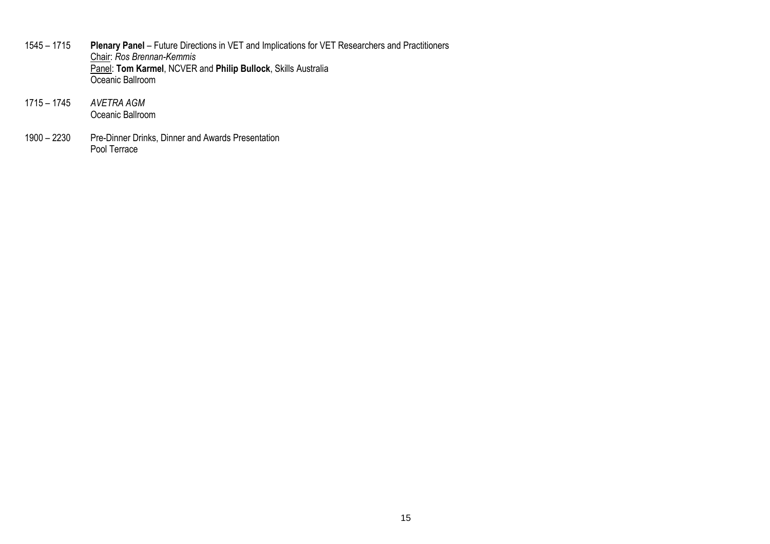- 1545 1715 **Plenary Panel** Future Directions in VET and Implications for VET Researchers and Practitioners Chair: Ros Brennan-Kemmis Panel: Tom Karmel, NCVER and Philip Bullock, Skills Australia Oceanic Ballroom
- 1715 1745 AVETRA AGM **Combined Street Combined Street Street Street Street Street Street Street Street Street Street Street Street S**
- 1900 2230 Pre-Dinner Drinks, Dinner and Awards Presentation Pool Terrace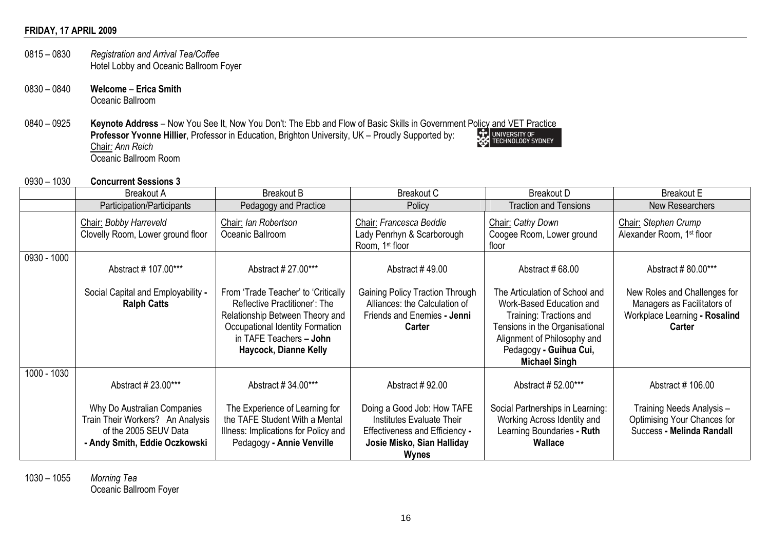## FRIDAY, 17 APRIL 2009

- 0815 0830 Registration and Arrival Tea/Coffee Hotel Lobby and Oceanic Ballroom Foyer
- 0830 0840 Welcome Erica SmithOceanic Ballroom
- 0840 0925 Keynote Address Now You See It, Now You Don't: The Ebb and Flow of Basic Skills in Government Policy and VET Practice Professor Yvonne Hillier, Professor in Education, Brighton University, UK – Proudly Supported by: Chair: Ann ReichOceanic Ballroom Room

UNIVERSITY OF

# 0930 – 1030 Concurrent Sessions 3

|             | <b>Breakout A</b><br><b>Breakout B</b>                                                                                    |                                                                                                                                                                                                | <b>Breakout C</b>                                                                                                                |                                                                                                                                                                                                          | <b>Breakout E</b>                                                                                             |  |
|-------------|---------------------------------------------------------------------------------------------------------------------------|------------------------------------------------------------------------------------------------------------------------------------------------------------------------------------------------|----------------------------------------------------------------------------------------------------------------------------------|----------------------------------------------------------------------------------------------------------------------------------------------------------------------------------------------------------|---------------------------------------------------------------------------------------------------------------|--|
|             | Participation/Participants                                                                                                | Pedagogy and Practice                                                                                                                                                                          | Policy                                                                                                                           | <b>Traction and Tensions</b>                                                                                                                                                                             | New Researchers                                                                                               |  |
|             | Chair: Bobby Harreveld<br>Clovelly Room, Lower ground floor                                                               | Chair: Ian Robertson<br>Oceanic Ballroom                                                                                                                                                       | Chair: Francesca Beddie<br>Lady Penrhyn & Scarborough<br>Room, 1 <sup>st</sup> floor                                             | Chair: Cathy Down<br>Coogee Room, Lower ground<br>floor                                                                                                                                                  | Chair: Stephen Crump<br>Alexander Room, 1 <sup>st</sup> floor                                                 |  |
| 0930 - 1000 | Abstract # 107.00***                                                                                                      | Abstract # 27.00***                                                                                                                                                                            | Abstract #49.00                                                                                                                  | Abstract #68.00                                                                                                                                                                                          | Abstract #80.00***                                                                                            |  |
|             | Social Capital and Employability -<br><b>Ralph Catts</b>                                                                  | From 'Trade Teacher' to 'Critically<br>Reflective Practitioner': The<br>Relationship Between Theory and<br>Occupational Identity Formation<br>in TAFE Teachers - John<br>Haycock, Dianne Kelly | <b>Gaining Policy Traction Through</b><br>Alliances: the Calculation of<br>Friends and Enemies - Jenni<br>Carter                 | The Articulation of School and<br>Work-Based Education and<br>Training: Tractions and<br>Tensions in the Organisational<br>Alignment of Philosophy and<br>Pedagogy - Guihua Cui,<br><b>Michael Singh</b> | New Roles and Challenges for<br>Managers as Facilitators of<br>Workplace Learning - Rosalind<br><b>Carter</b> |  |
| 1000 - 1030 | Abstract # 23.00***                                                                                                       | Abstract #34.00***                                                                                                                                                                             | Abstract #92.00                                                                                                                  | Abstract #52.00***                                                                                                                                                                                       | Abstract # 106.00                                                                                             |  |
|             | Why Do Australian Companies<br>Train Their Workers? An Analysis<br>of the 2005 SEUV Data<br>- Andy Smith, Eddie Oczkowski | The Experience of Learning for<br>the TAFE Student With a Mental<br>Illness: Implications for Policy and<br>Pedagogy - Annie Venville                                                          | Doing a Good Job: How TAFE<br>Institutes Evaluate Their<br>Effectiveness and Efficiency -<br>Josie Misko, Sian Halliday<br>Wynes | Social Partnerships in Learning:<br>Working Across Identity and<br>Learning Boundaries - Ruth<br><b>Wallace</b>                                                                                          | Training Needs Analysis -<br>Optimising Your Chances for<br>Success - Melinda Randall                         |  |

1030 – 1055 Morning Tea Oceanic Ballroom Foyer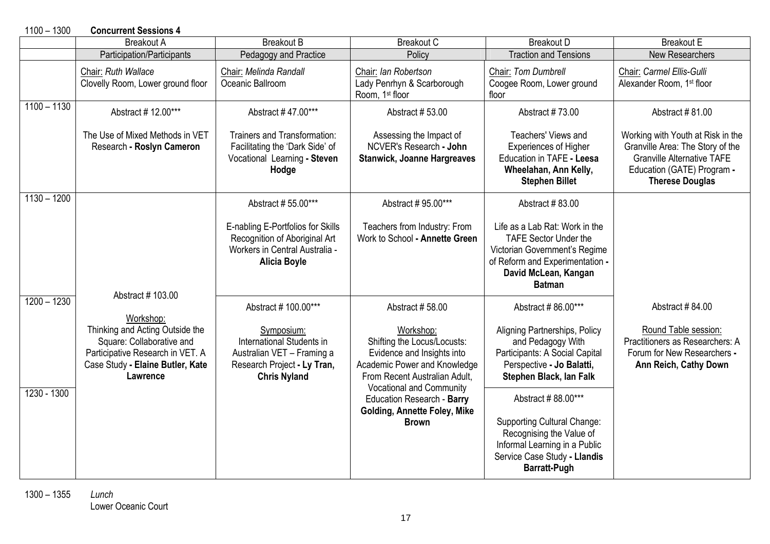#### 1100 – 1300 Concurrent Sessions 4Breakout A Breakout B | Breakout C | Breakout D | Breakout E **New Researchers** Participation/Participants | Pedagogy and Practice | Policy Policy Traction and Tensions <u>Chair:</u> Ruth Wallace Clovelly Room, Lower ground floor <u>Chair:</u> Melinda Randall Oceanic Ballroom <u>Chair:</u> Ian Robertson Lady Penrhyn & Scarborough Room, 1st floor <u>Chair:</u> Tom Dumbrell Coogee Room, Lower ground floor <u>Chair:</u> Carmel Ellis-Gulli Alexander Room, 1st floor 1100 – 1130 Abstract # 12.00\*\*\* The Use of Mixed Methods in VET Research - Roslyn CameronAbstract # 47.00\*\*\* Trainers and Transformation: Facilitating the 'Dark Side' of Vocational Learning - Steven Hodge Abstract # 53.00 Assessing the Impact of NCVER's Research - John Stanwick, Joanne HargreavesAbstract # 73.00 Teachers' Views and Experiences of Higher Education in TAFE - Leesa Wheelahan, Ann Kelly, Stephen Billet Abstract # 81.00 Working with Youth at Risk in the Granville Area: The Story of the Granville Alternative TAFE Education (GATE) Program - Therese Douglas $1130 - 1200$  Abstract # 55.00\*\*\* E-nabling E-Portfolios for Skills Recognition of Aboriginal Art Workers in Central Australia - Alicia BoyleAbstract # 95.00\*\*\* Teachers from Industry: From Work to School - Annette Green Abstract # 83.00 Life as a Lab Rat: Work in the TAFE Sector Under the Victorian Government's Regime of Reform and Experimentation - David McLean, Kangan Batman 1200 – 1230 Abstract # 86.00\*\*\* Aligning Partnerships, Policy and Pedagogy With Participants: A Social Capital Perspective - Jo Balatti, Stephen Black, Ian Falk 1230 - 1300 Abstract # 103.00 Workshop: Thinking and Acting Outside the Square: Collaborative and Participative Research in VET. A Case Study - Elaine Butler, Kate LawrenceAbstract # 100.00\*\*\* Symposium: International Students in Australian VET – Framing a Research Project - Ly Tran, Chris NylandAbstract # 58.00 Workshop: Shifting the Locus/Locusts: Evidence and Insights into Academic Power and Knowledge From Recent Australian Adult, Vocational and Community Education Research - Barry Golding, Annette Foley, Mike BrownAbstract # 88.00\*\*\* Supporting Cultural Change: Recognising the Value of Informal Learning in a Public Service Case Study - Llandis Barratt-Pugh Abstract # 84.00 Round Table session: Practitioners as Researchers: A Forum for New Researchers - Ann Reich, Cathy Down

1300 – 1355 LunchLower Oceanic Court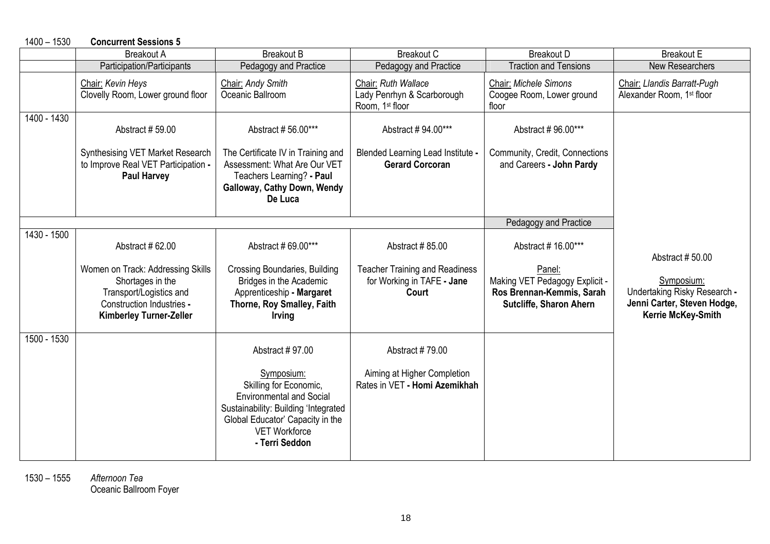| $1400 - 1530$ | <b>Concurrent Sessions 5</b>                                                                                                                    |                                                                                                                                                                                               |                                                                                  |                                                                                                  |                                                                                                 |
|---------------|-------------------------------------------------------------------------------------------------------------------------------------------------|-----------------------------------------------------------------------------------------------------------------------------------------------------------------------------------------------|----------------------------------------------------------------------------------|--------------------------------------------------------------------------------------------------|-------------------------------------------------------------------------------------------------|
|               | <b>Breakout A</b>                                                                                                                               | <b>Breakout B</b>                                                                                                                                                                             | <b>Breakout C</b>                                                                | <b>Breakout D</b>                                                                                | <b>Breakout E</b>                                                                               |
|               | Participation/Participants                                                                                                                      | Pedagogy and Practice                                                                                                                                                                         | Pedagogy and Practice                                                            | <b>Traction and Tensions</b>                                                                     | <b>New Researchers</b>                                                                          |
|               | Chair: Kevin Heys<br>Clovelly Room, Lower ground floor                                                                                          | Chair: Andy Smith<br>Oceanic Ballroom                                                                                                                                                         | Chair: Ruth Wallace<br>Lady Penrhyn & Scarborough<br>Room, 1 <sup>st</sup> floor | Chair: Michele Simons<br>Coogee Room, Lower ground<br>floor                                      | Chair: Llandis Barratt-Pugh<br>Alexander Room, 1 <sup>st</sup> floor                            |
| 1400 - 1430   | Abstract #59.00                                                                                                                                 | Abstract #56.00***                                                                                                                                                                            | Abstract #94.00***                                                               | Abstract #96.00***                                                                               |                                                                                                 |
|               | <b>Synthesising VET Market Research</b><br>to Improve Real VET Participation -<br><b>Paul Harvey</b>                                            | The Certificate IV in Training and<br>Assessment: What Are Our VET<br>Teachers Learning? - Paul<br>Galloway, Cathy Down, Wendy<br>De Luca                                                     | Blended Learning Lead Institute -<br><b>Gerard Corcoran</b>                      | Community, Credit, Connections<br>and Careers - John Pardy                                       |                                                                                                 |
|               |                                                                                                                                                 |                                                                                                                                                                                               |                                                                                  | Pedagogy and Practice                                                                            |                                                                                                 |
| 1430 - 1500   | Abstract #62.00                                                                                                                                 | Abstract #69.00***                                                                                                                                                                            | Abstract #85.00                                                                  | Abstract #16.00***                                                                               | Abstract #50.00                                                                                 |
|               | Women on Track: Addressing Skills<br>Shortages in the<br>Transport/Logistics and<br>Construction Industries -<br><b>Kimberley Turner-Zeller</b> | <b>Crossing Boundaries, Building</b><br>Bridges in the Academic<br>Apprenticeship - Margaret<br>Thorne, Roy Smalley, Faith<br><b>Irving</b>                                                   | <b>Teacher Training and Readiness</b><br>for Working in TAFE - Jane<br>Court     | Panel:<br>Making VET Pedagogy Explicit -<br>Ros Brennan-Kemmis, Sarah<br>Sutcliffe, Sharon Ahern | Symposium:<br>Undertaking Risky Research -<br>Jenni Carter, Steven Hodge,<br>Kerrie McKey-Smith |
| 1500 - 1530   |                                                                                                                                                 | Abstract #97.00                                                                                                                                                                               | Abstract #79.00                                                                  |                                                                                                  |                                                                                                 |
|               |                                                                                                                                                 | Symposium:<br>Skilling for Economic,<br><b>Environmental and Social</b><br>Sustainability: Building 'Integrated<br>Global Educator' Capacity in the<br><b>VET Workforce</b><br>- Terri Seddon | Aiming at Higher Completion<br>Rates in VET - Homi Azemikhah                     |                                                                                                  |                                                                                                 |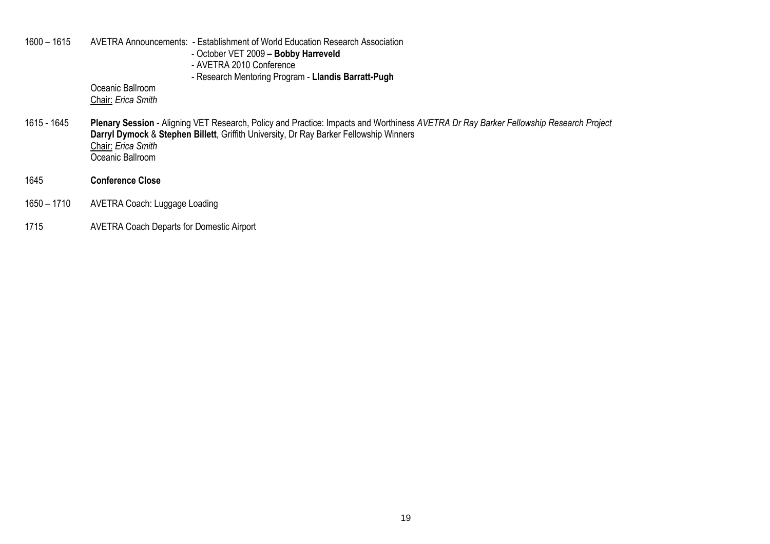1600 – 1615 AVETRA Announcements: - Establishment of World Education Research Association - October VET 2009 – Bobby Harreveld - AVETRA 2010 Conference - Research Mentoring Program - Llandis Barratt-Pugh Oceanic Ballroom

**Chair: Erica Smith** 

- 1615 1645 Plenary Session Aligning VET Research, Policy and Practice: Impacts and Worthiness AVETRA Dr Ray Barker Fellowship Research Project Darryl Dymock & Stephen Billett, Griffith University, Dr Ray Barker Fellowship Winners Chair: Erica SmithOceanic Ballroom
- 1645 Conference Close
- 1650 1710 AVETRA Coach: Luggage Loading
- 1715 AVETRA Coach Departs for Domestic Airport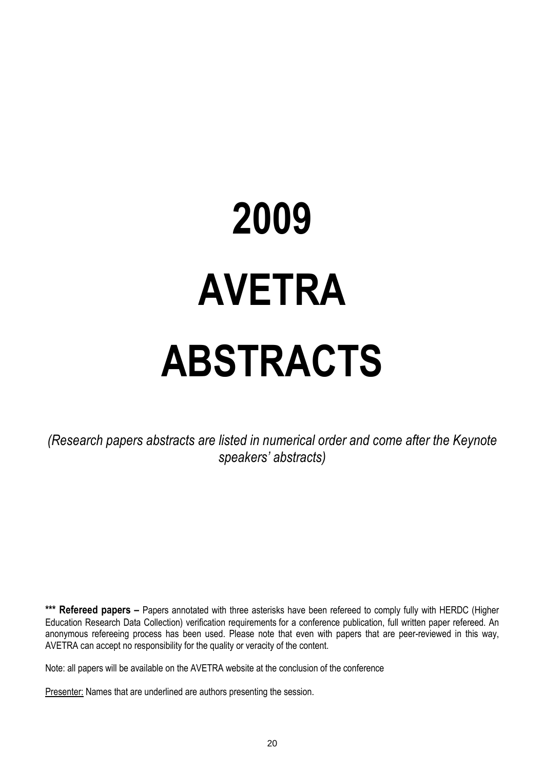# 2009 AVETRA ABSTRACTS

(Research papers abstracts are listed in numerical order and come after the Keynote speakers' abstracts)

\*\*\* Refereed papers - Papers annotated with three asterisks have been refereed to comply fully with HERDC (Higher Education Research Data Collection) verification requirements for a conference publication, full written paper refereed. An anonymous refereeing process has been used. Please note that even with papers that are peer-reviewed in this way, AVETRA can accept no responsibility for the quality or veracity of the content.

Note: all papers will be available on the AVETRA website at the conclusion of the conference

Presenter: Names that are underlined are authors presenting the session.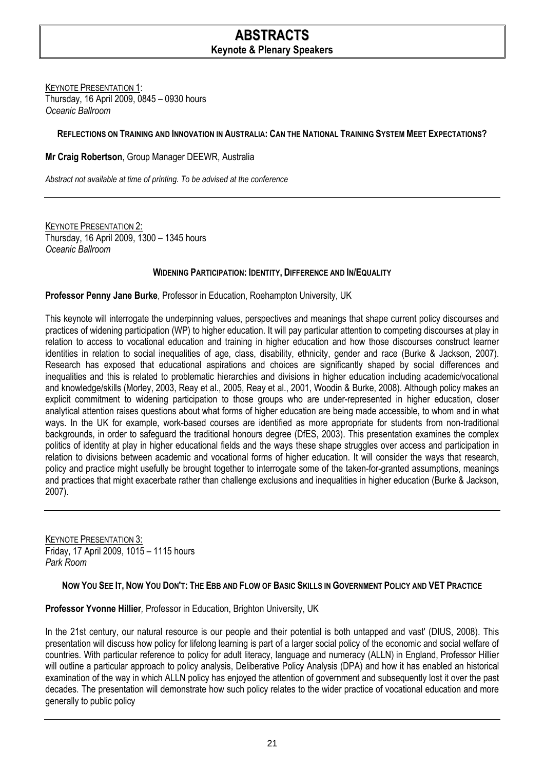# ABSTRACTS Keynote & Plenary Speakers

KEYNOTE PRESENTATION 1: Thursday, 16 April 2009, 0845 – 0930 hours Oceanic Ballroom

## REFLECTIONS ON TRAINING AND INNOVATION IN AUSTRALIA: CAN THE NATIONAL TRAINING SYSTEM MEET EXPECTATIONS?

Mr Craig Robertson, Group Manager DEEWR, Australia

Abstract not available at time of printing. To be advised at the conference

KEYNOTE PRESENTATION 2: Thursday, 16 April 2009, 1300 – 1345 hours Oceanic Ballroom

#### WIDENING PARTICIPATION: IDENTITY, DIFFERENCE AND IN/EQUALITY

#### Professor Penny Jane Burke, Professor in Education, Roehampton University, UK

This keynote will interrogate the underpinning values, perspectives and meanings that shape current policy discourses and practices of widening participation (WP) to higher education. It will pay particular attention to competing discourses at play in relation to access to vocational education and training in higher education and how those discourses construct learner identities in relation to social inequalities of age, class, disability, ethnicity, gender and race (Burke & Jackson, 2007). Research has exposed that educational aspirations and choices are significantly shaped by social differences and inequalities and this is related to problematic hierarchies and divisions in higher education including academic/vocational and knowledge/skills (Morley, 2003, Reay et al., 2005, Reay et al., 2001, Woodin & Burke, 2008). Although policy makes an explicit commitment to widening participation to those groups who are under-represented in higher education, closer analytical attention raises questions about what forms of higher education are being made accessible, to whom and in what ways. In the UK for example, work-based courses are identified as more appropriate for students from non-traditional backgrounds, in order to safeguard the traditional honours degree (DfES, 2003). This presentation examines the complex politics of identity at play in higher educational fields and the ways these shape struggles over access and participation in relation to divisions between academic and vocational forms of higher education. It will consider the ways that research, policy and practice might usefully be brought together to interrogate some of the taken-for-granted assumptions, meanings and practices that might exacerbate rather than challenge exclusions and inequalities in higher education (Burke & Jackson, 2007).

**KEYNOTE PRESENTATION 3:** Friday, 17 April 2009, 1015 – 1115 hours Park Room

#### NOW YOU SEE IT, NOW YOU DON'T: THE EBB AND FLOW OF BASIC SKILLS IN GOVERNMENT POLICY AND VET PRACTICE

Professor Yvonne Hillier, Professor in Education, Brighton University, UK

In the 21st century, our natural resource is our people and their potential is both untapped and vast' (DIUS, 2008). This presentation will discuss how policy for lifelong learning is part of a larger social policy of the economic and social welfare of countries. With particular reference to policy for adult literacy, language and numeracy (ALLN) in England, Professor Hillier will outline a particular approach to policy analysis, Deliberative Policy Analysis (DPA) and how it has enabled an historical examination of the way in which ALLN policy has enjoyed the attention of government and subsequently lost it over the past decades. The presentation will demonstrate how such policy relates to the wider practice of vocational education and more generally to public policy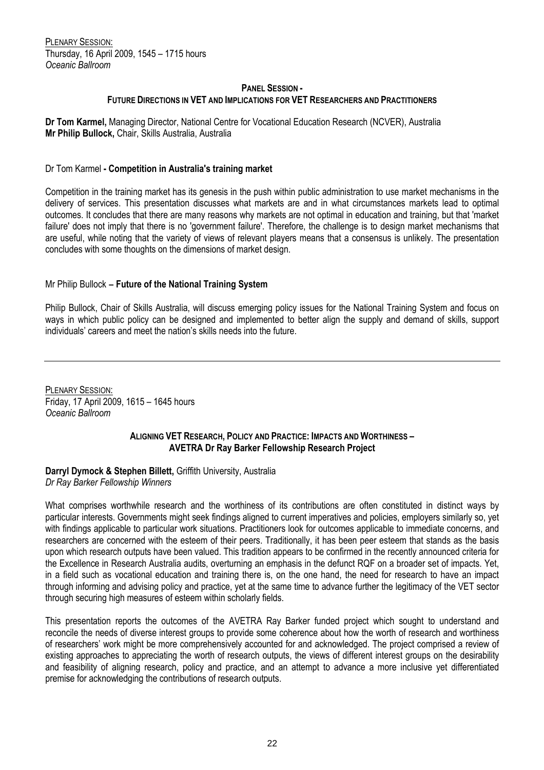#### PANEL SESSION - FUTURE DIRECTIONS IN VET AND IMPLICATIONS FOR VET RESEARCHERS AND PRACTITIONERS

Dr Tom Karmel, Managing Director, National Centre for Vocational Education Research (NCVER), Australia Mr Philip Bullock, Chair, Skills Australia, Australia

## Dr Tom Karmel - Competition in Australia's training market

Competition in the training market has its genesis in the push within public administration to use market mechanisms in the delivery of services. This presentation discusses what markets are and in what circumstances markets lead to optimal outcomes. It concludes that there are many reasons why markets are not optimal in education and training, but that 'market failure' does not imply that there is no 'government failure'. Therefore, the challenge is to design market mechanisms that are useful, while noting that the variety of views of relevant players means that a consensus is unlikely. The presentation concludes with some thoughts on the dimensions of market design.

#### Mr Philip Bullock **–** Future of the National Training System

Philip Bullock, Chair of Skills Australia, will discuss emerging policy issues for the National Training System and focus on ways in which public policy can be designed and implemented to better align the supply and demand of skills, support individuals' careers and meet the nation's skills needs into the future.

PLENARY SESSION: Friday, 17 April 2009, 1615 – 1645 hours Oceanic Ballroom

#### ALIGNING VET RESEARCH, POLICY AND PRACTICE: IMPACTS AND WORTHINESS – AVETRA Dr Ray Barker Fellowship Research Project

#### Darryl Dymock & Stephen Billett, Griffith University, Australia Dr Ray Barker Fellowship Winners

What comprises worthwhile research and the worthiness of its contributions are often constituted in distinct ways by particular interests. Governments might seek findings aligned to current imperatives and policies, employers similarly so, yet with findings applicable to particular work situations. Practitioners look for outcomes applicable to immediate concerns, and researchers are concerned with the esteem of their peers. Traditionally, it has been peer esteem that stands as the basis upon which research outputs have been valued. This tradition appears to be confirmed in the recently announced criteria for the Excellence in Research Australia audits, overturning an emphasis in the defunct RQF on a broader set of impacts. Yet, in a field such as vocational education and training there is, on the one hand, the need for research to have an impact through informing and advising policy and practice, yet at the same time to advance further the legitimacy of the VET sector through securing high measures of esteem within scholarly fields.

This presentation reports the outcomes of the AVETRA Ray Barker funded project which sought to understand and reconcile the needs of diverse interest groups to provide some coherence about how the worth of research and worthiness of researchers' work might be more comprehensively accounted for and acknowledged. The project comprised a review of existing approaches to appreciating the worth of research outputs, the views of different interest groups on the desirability and feasibility of aligning research, policy and practice, and an attempt to advance a more inclusive yet differentiated premise for acknowledging the contributions of research outputs.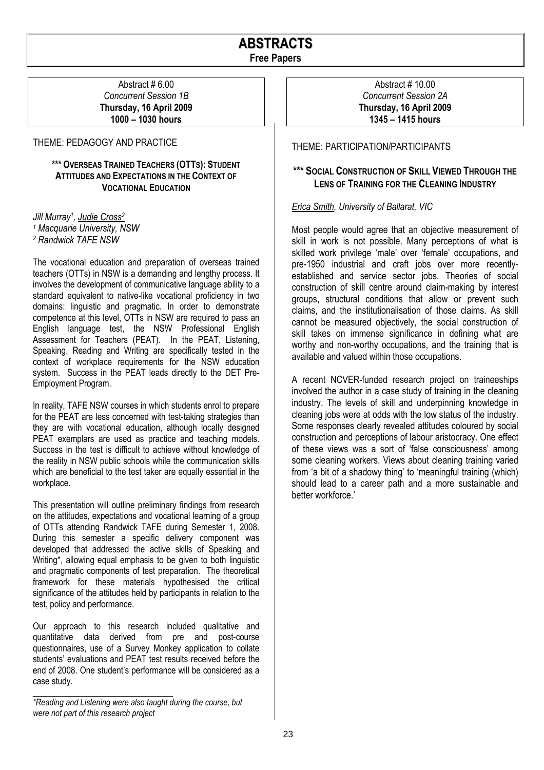# ABSTRACTS Free Papers

Abstract # 6.00 Concurrent Session 1B Thursday, 16 April 2009 1000 – 1030 hours

#### THEME: PEDAGOGY AND PRACTICE

#### \*\*\* OVERSEAS TRAINED TEACHERS (OTTS): STUDENT ATTITUDES AND EXPECTATIONS IN THE CONTEXT OF VOCATIONAL EDUCATION

Jill Murray<sup>1</sup>, <u>Judie Cross<sup>2</sup></u> 1 Macquarie University, NSW 2 Randwick TAFE NSW

The vocational education and preparation of overseas trained teachers (OTTs) in NSW is a demanding and lengthy process. It involves the development of communicative language ability to a standard equivalent to native-like vocational proficiency in two domains: linguistic and pragmatic. In order to demonstrate competence at this level, OTTs in NSW are required to pass an English language test, the NSW Professional English Assessment for Teachers (PEAT). In the PEAT, Listening, Speaking, Reading and Writing are specifically tested in the context of workplace requirements for the NSW education system. Success in the PEAT leads directly to the DET Pre-Employment Program.

In reality, TAFE NSW courses in which students enrol to prepare for the PEAT are less concerned with test-taking strategies than they are with vocational education, although locally designed PEAT exemplars are used as practice and teaching models. Success in the test is difficult to achieve without knowledge of the reality in NSW public schools while the communication skills which are beneficial to the test taker are equally essential in the workplace.

This presentation will outline preliminary findings from research on the attitudes, expectations and vocational learning of a group of OTTs attending Randwick TAFE during Semester 1, 2008. During this semester a specific delivery component was developed that addressed the active skills of Speaking and Writing\*, allowing equal emphasis to be given to both linguistic and pragmatic components of test preparation. The theoretical framework for these materials hypothesised the critical significance of the attitudes held by participants in relation to the test, policy and performance.

Our approach to this research included qualitative and quantitative data derived from pre and post-course questionnaires, use of a Survey Monkey application to collate students' evaluations and PEAT test results received before the end of 2008. One student's performance will be considered as a case study.

Abstract # 10.00 Concurrent Session 2A Thursday, 16 April 2009 1345 – 1415 hours

# THEME: PARTICIPATION/PARTICIPANTS

# \*\*\* SOCIAL CONSTRUCTION OF SKILL VIEWED THROUGH THE LENS OF TRAINING FOR THE CLEANING INDUSTRY

# Erica Smith, University of Ballarat, VIC

Most people would agree that an objective measurement of skill in work is not possible. Many perceptions of what is skilled work privilege 'male' over 'female' occupations, and pre-1950 industrial and craft jobs over more recentlyestablished and service sector jobs. Theories of social construction of skill centre around claim-making by interest groups, structural conditions that allow or prevent such claims, and the institutionalisation of those claims. As skill cannot be measured objectively, the social construction of skill takes on immense significance in defining what are worthy and non-worthy occupations, and the training that is available and valued within those occupations.

A recent NCVER-funded research project on traineeships involved the author in a case study of training in the cleaning industry. The levels of skill and underpinning knowledge in cleaning jobs were at odds with the low status of the industry. Some responses clearly revealed attitudes coloured by social construction and perceptions of labour aristocracy. One effect of these views was a sort of 'false consciousness' among some cleaning workers. Views about cleaning training varied from 'a bit of a shadowy thing' to 'meaningful training (which) should lead to a career path and a more sustainable and better workforce.'

<sup>\*</sup>Reading and Listening were also taught during the course, but were not part of this research project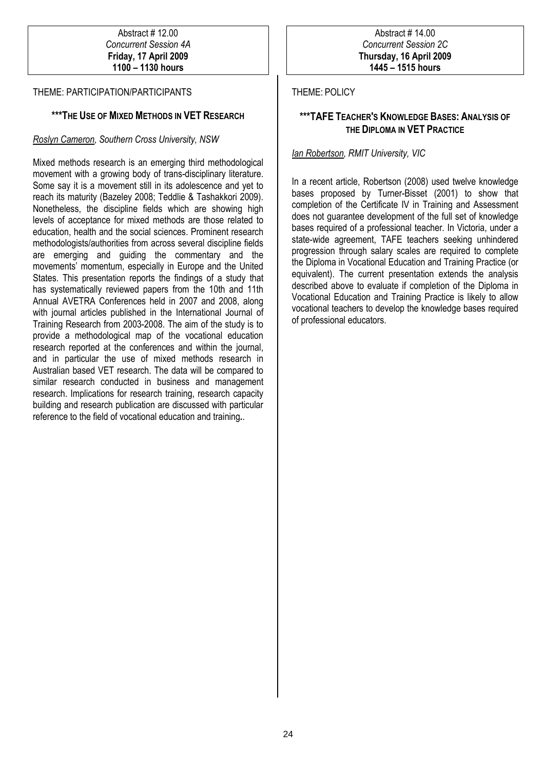#### Abstract # 12.00 Concurrent Session 4A Friday, 17 April 2009 1100 – 1130 hours

# THEME: PARTICIPATION/PARTICIPANTS

# \*\*\*THE USE OF MIXED METHODS IN VET RESEARCH

# Roslyn Cameron, Southern Cross University, NSW

Mixed methods research is an emerging third methodological movement with a growing body of trans-disciplinary literature. Some say it is a movement still in its adolescence and yet to reach its maturity (Bazeley 2008; Teddlie & Tashakkori 2009). Nonetheless, the discipline fields which are showing high levels of acceptance for mixed methods are those related to education, health and the social sciences. Prominent research methodologists/authorities from across several discipline fields are emerging and guiding the commentary and the movements' momentum, especially in Europe and the United States. This presentation reports the findings of a study that has systematically reviewed papers from the 10th and 11th Annual AVETRA Conferences held in 2007 and 2008, along with journal articles published in the International Journal of Training Research from 2003-2008. The aim of the study is to provide a methodological map of the vocational education research reported at the conferences and within the journal, and in particular the use of mixed methods research in Australian based VET research. The data will be compared to similar research conducted in business and management research. Implications for research training, research capacity building and research publication are discussed with particular reference to the field of vocational education and training..

# THEME: POLICY

# \*\*\*TAFE TEACHER'S KNOWLEDGE BASES: ANALYSIS OF THE DIPLOMA IN VET PRACTICE

# Ian Robertson, RMIT University, VIC

In a recent article, Robertson (2008) used twelve knowledge bases proposed by Turner-Bisset (2001) to show that completion of the Certificate IV in Training and Assessment does not guarantee development of the full set of knowledge bases required of a professional teacher. In Victoria, under a state-wide agreement, TAFE teachers seeking unhindered progression through salary scales are required to complete the Diploma in Vocational Education and Training Practice (or equivalent). The current presentation extends the analysis described above to evaluate if completion of the Diploma in Vocational Education and Training Practice is likely to allow vocational teachers to develop the knowledge bases required of professional educators.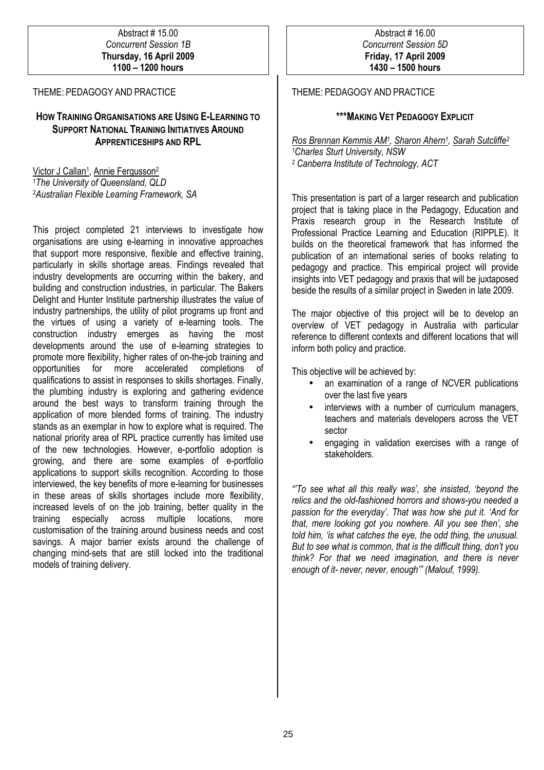#### Abstract # 15.00 Concurrent Session 1B Thursday, 16 April 2009 1100 – 1200 hours

#### THEME: PEDAGOGY AND PRACTICE

# HOW TRAINING ORGANISATIONS ARE USING E-LEARNING TO SUPPORT NATIONAL TRAINING INITIATIVES AROUND APPRENTICESHIPS AND RPL

Victor J Callan<sup>1</sup>, Annie Fergusson<sup>2</sup>

<sup>1</sup>The University of Queensland, QLD <sup>2</sup>Australian Flexible Learning Framework, SA

This project completed 21 interviews to investigate how organisations are using e-learning in innovative approaches that support more responsive, flexible and effective training, particularly in skills shortage areas. Findings revealed that industry developments are occurring within the bakery, and building and construction industries, in particular. The Bakers Delight and Hunter Institute partnership illustrates the value of industry partnerships, the utility of pilot programs up front and the virtues of using a variety of e-learning tools. The construction industry emerges as having the most developments around the use of e-learning strategies to promote more flexibility, higher rates of on-the-job training and opportunities for more accelerated completions of qualifications to assist in responses to skills shortages. Finally, the plumbing industry is exploring and gathering evidence around the best ways to transform training through the application of more blended forms of training. The industry stands as an exemplar in how to explore what is required. The national priority area of RPL practice currently has limited use of the new technologies. However, e-portfolio adoption is growing, and there are some examples of e-portfolio applications to support skills recognition. According to those interviewed, the key benefits of more e-learning for businesses in these areas of skills shortages include more flexibility, increased levels of on the job training, better quality in the training especially across multiple locations, more customisation of the training around business needs and cost savings. A major barrier exists around the challenge of changing mind-sets that are still locked into the traditional models of training delivery.

Abstract # 16.00 Concurrent Session 5D Friday, 17 April 2009 1430 – 1500 hours

# THEME: PEDAGOGY AND PRACTICE

#### \*\*\*MAKING VET PEDAGOGY EXPLICIT

<u>Ros Brennan Kemmis AM<sup>1</sup>, Sharon Ahern<sup>1</sup>, Sarah Sutcliffe<sup>2</sup></u> <sup>1</sup>Charles Sturt University, NSW 2 Canberra Institute of Technology, ACT

This presentation is part of a larger research and publication project that is taking place in the Pedagogy, Education and Praxis research group in the Research Institute of Professional Practice Learning and Education (RIPPLE). It builds on the theoretical framework that has informed the publication of an international series of books relating to pedagogy and practice. This empirical project will provide insights into VET pedagogy and praxis that will be juxtaposed beside the results of a similar project in Sweden in late 2009.

The major objective of this project will be to develop an overview of VET pedagogy in Australia with particular reference to different contexts and different locations that will inform both policy and practice.

This objective will be achieved by:

- an examination of a range of NCVER publications over the last five years
- interviews with a number of curriculum managers, teachers and materials developers across the VET sector
- engaging in validation exercises with a range of stakeholders.

"'To see what all this really was', she insisted, 'beyond the relics and the old-fashioned horrors and shows-you needed a passion for the everyday'. That was how she put it. 'And for that, mere looking got you nowhere. All you see then', she told him, 'is what catches the eye, the odd thing, the unusual. But to see what is common, that is the difficult thing, don't you think? For that we need imagination, and there is never enough of it- never, never, enough'" (Malouf, 1999).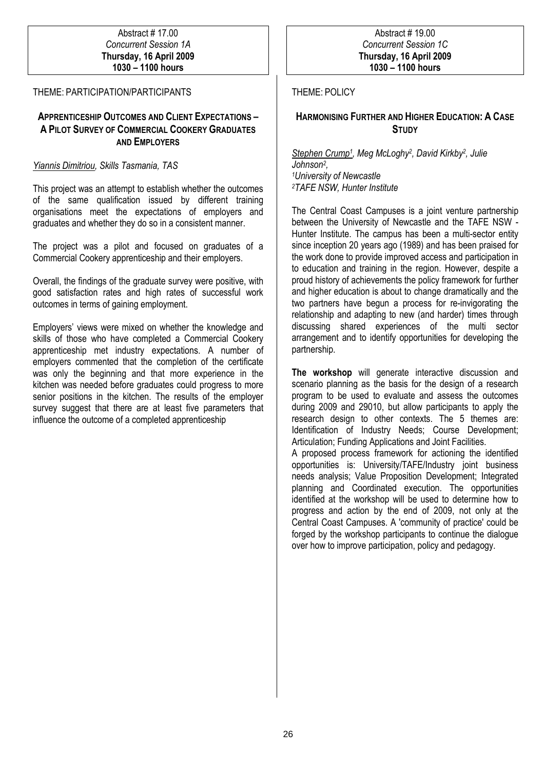#### Abstract # 17.00 Concurrent Session 1A Thursday, 16 April 2009 1030 – 1100 hours

## THEME: PARTICIPATION/PARTICIPANTS

# APPRENTICESHIP OUTCOMES AND CLIENT EXPECTATIONS – A PILOT SURVEY OF COMMERCIAL COOKERY GRADUATES AND EMPLOYERS

# Yiannis Dimitriou, Skills Tasmania, TAS

This project was an attempt to establish whether the outcomes of the same qualification issued by different training organisations meet the expectations of employers and graduates and whether they do so in a consistent manner.

The project was a pilot and focused on graduates of a Commercial Cookery apprenticeship and their employers.

Overall, the findings of the graduate survey were positive, with good satisfaction rates and high rates of successful work outcomes in terms of gaining employment.

Employers' views were mixed on whether the knowledge and skills of those who have completed a Commercial Cookery apprenticeship met industry expectations. A number of employers commented that the completion of the certificate was only the beginning and that more experience in the kitchen was needed before graduates could progress to more senior positions in the kitchen. The results of the employer survey suggest that there are at least five parameters that influence the outcome of a completed apprenticeship

#### THEME: POLICY

# HARMONISING FURTHER AND HIGHER EDUCATION: A CASE **STUDY**

Stephen Crump<sup>1</sup>, Meg McLoghy<sup>2</sup>, David Kirkby<sup>2</sup>, Julie Johnson<sup>2</sup> , <sup>1</sup>University of Newcastle <sup>2</sup>TAFE NSW, Hunter Institute

The Central Coast Campuses is a joint venture partnership between the University of Newcastle and the TAFE NSW - Hunter Institute. The campus has been a multi-sector entity since inception 20 years ago (1989) and has been praised for the work done to provide improved access and participation in to education and training in the region. However, despite a proud history of achievements the policy framework for further and higher education is about to change dramatically and the two partners have begun a process for re-invigorating the relationship and adapting to new (and harder) times through discussing shared experiences of the multi sector arrangement and to identify opportunities for developing the partnership.

The workshop will generate interactive discussion and scenario planning as the basis for the design of a research program to be used to evaluate and assess the outcomes during 2009 and 29010, but allow participants to apply the research design to other contexts. The 5 themes are: Identification of Industry Needs; Course Development; Articulation; Funding Applications and Joint Facilities.

A proposed process framework for actioning the identified opportunities is: University/TAFE/Industry joint business needs analysis; Value Proposition Development; Integrated planning and Coordinated execution. The opportunities identified at the workshop will be used to determine how to progress and action by the end of 2009, not only at the Central Coast Campuses. A 'community of practice' could be forged by the workshop participants to continue the dialogue over how to improve participation, policy and pedagogy.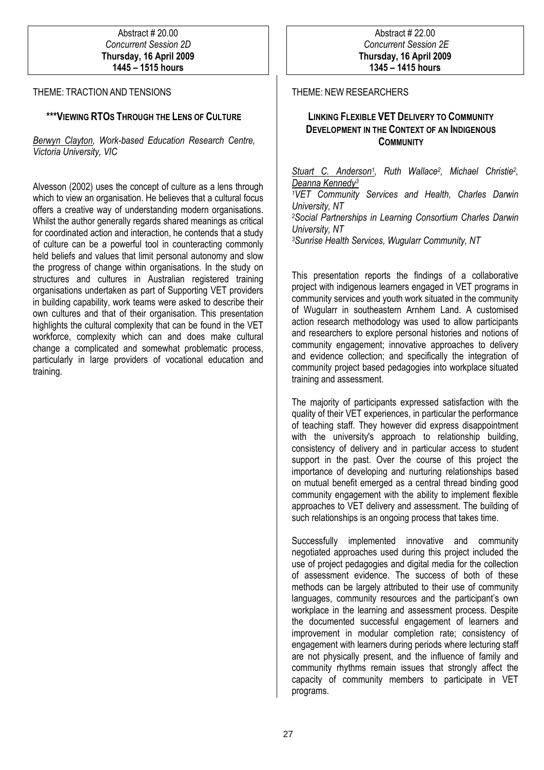#### Abstract # 20.00 Concurrent Session 2D Thursday, 16 April 2009 1445 – 1515 hours

# THEME: TRACTION AND TENSIONS

# \*\*\*VIEWING RTOS THROUGH THE LENS OF CULTURE

Berwyn Clayton, Work-based Education Research Centre, Victoria University, VIC

Alvesson (2002) uses the concept of culture as a lens through which to view an organisation. He believes that a cultural focus offers a creative way of understanding modern organisations. Whilst the author generally regards shared meanings as critical for coordinated action and interaction, he contends that a study of culture can be a powerful tool in counteracting commonly held beliefs and values that limit personal autonomy and slow the progress of change within organisations. In the study on structures and cultures in Australian registered training organisations undertaken as part of Supporting VET providers in building capability, work teams were asked to describe their own cultures and that of their organisation. This presentation highlights the cultural complexity that can be found in the VET workforce, complexity which can and does make cultural change a complicated and somewhat problematic process, particularly in large providers of vocational education and training.

# THEME: NEW RESEARCHERS

# LINKING FLEXIBLE VET DELIVERY TO COMMUNITY DEVELOPMENT IN THE CONTEXT OF AN INDIGENOUS **COMMUNITY**

Stuart C. Anderson<sup>1</sup>, Ruth Wallace<sup>2</sup>, Michael Christie<sup>2</sup>, Deanna Kennedy<sup>3</sup> **IVET Community Services and Health, Charles Darwin** 

University, NT <sup>2</sup>Social Partnerships in Learning Consortium Charles Darwin University, NT <sup>3</sup>Sunrise Health Services, Wugularr Community, NT

This presentation reports the findings of a collaborative project with indigenous learners engaged in VET programs in community services and youth work situated in the community of Wugularr in southeastern Arnhem Land. A customised action research methodology was used to allow participants and researchers to explore personal histories and notions of community engagement; innovative approaches to delivery and evidence collection; and specifically the integration of community project based pedagogies into workplace situated training and assessment.

The majority of participants expressed satisfaction with the quality of their VET experiences, in particular the performance of teaching staff. They however did express disappointment with the university's approach to relationship building, consistency of delivery and in particular access to student support in the past. Over the course of this project the importance of developing and nurturing relationships based on mutual benefit emerged as a central thread binding good community engagement with the ability to implement flexible approaches to VET delivery and assessment. The building of such relationships is an ongoing process that takes time.

Successfully implemented innovative and community negotiated approaches used during this project included the use of project pedagogies and digital media for the collection of assessment evidence. The success of both of these methods can be largely attributed to their use of community languages, community resources and the participant's own workplace in the learning and assessment process. Despite the documented successful engagement of learners and improvement in modular completion rate; consistency of engagement with learners during periods where lecturing staff are not physically present, and the influence of family and community rhythms remain issues that strongly affect the capacity of community members to participate in VET programs.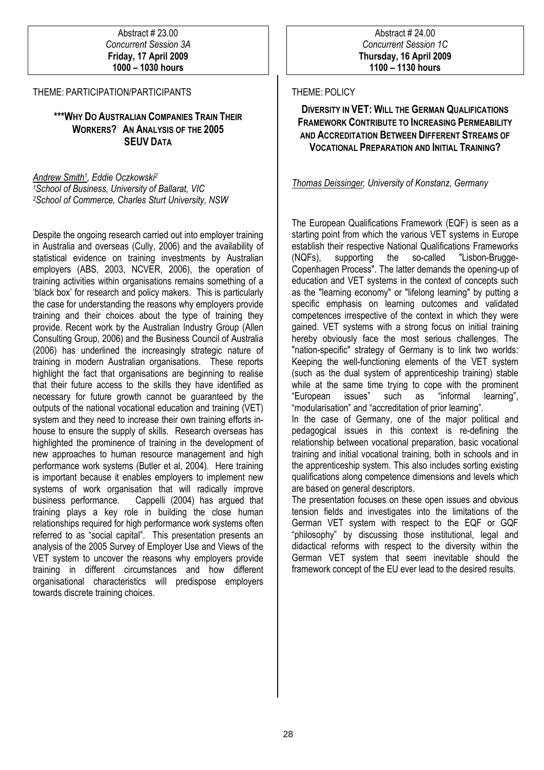#### Abstract # 23.00 Concurrent Session 3A Friday, 17 April 2009 1000 – 1030 hours

#### THEME: PARTICIPATION/PARTICIPANTS

# \*\*\*WHY DO AUSTRALIAN COMPANIES TRAIN THEIR WORKERS? AN ANALYSIS OF THE 2005 SEUV DATA

<u>Andrew Smith1,</u> Eddie Oczkowski<sup>2</sup> <sup>1</sup>School of Business, University of Ballarat, VIC <sup>2</sup>School of Commerce, Charles Sturt University, NSW

Despite the ongoing research carried out into employer training in Australia and overseas (Cully, 2006) and the availability of statistical evidence on training investments by Australian employers (ABS, 2003, NCVER, 2006), the operation of training activities within organisations remains something of a 'black box' for research and policy makers. This is particularly the case for understanding the reasons why employers provide training and their choices about the type of training they provide. Recent work by the Australian Industry Group (Allen Consulting Group, 2006) and the Business Council of Australia (2006) has underlined the increasingly strategic nature of training in modern Australian organisations. These reports highlight the fact that organisations are beginning to realise that their future access to the skills they have identified as necessary for future growth cannot be guaranteed by the outputs of the national vocational education and training (VET) system and they need to increase their own training efforts inhouse to ensure the supply of skills. Research overseas has highlighted the prominence of training in the development of new approaches to human resource management and high performance work systems (Butler et al, 2004). Here training is important because it enables employers to implement new systems of work organisation that will radically improve business performance. Cappelli (2004) has argued that training plays a key role in building the close human relationships required for high performance work systems often referred to as "social capital". This presentation presents an analysis of the 2005 Survey of Employer Use and Views of the VET system to uncover the reasons why employers provide training in different circumstances and how different organisational characteristics will predispose employers towards discrete training choices.

# THEME: POLICY

# DIVERSITY IN VET: WILL THE GERMAN QUALIFICATIONS FRAMEWORK CONTRIBUTE TO INCREASING PERMEABILITY AND ACCREDITATION BETWEEN DIFFERENT STREAMS OF VOCATIONAL PREPARATION AND INITIAL TRAINING?

#### Thomas Deissinger, University of Konstanz, Germany

The European Qualifications Framework (EQF) is seen as a starting point from which the various VET systems in Europe establish their respective National Qualifications Frameworks (NQFs), supporting the so-called "Lisbon-Brugge-Copenhagen Process". The latter demands the opening-up of education and VET systems in the context of concepts such as the "learning economy" or "lifelong learning" by putting a specific emphasis on learning outcomes and validated competences irrespective of the context in which they were gained. VET systems with a strong focus on initial training hereby obviously face the most serious challenges. The "nation-specific" strategy of Germany is to link two worlds: Keeping the well-functioning elements of the VET system (such as the dual system of apprenticeship training) stable while at the same time trying to cope with the prominent "European issues" such as "informal learning", "modularisation" and "accreditation of prior learning".

In the case of Germany, one of the major political and pedagogical issues in this context is re-defining the relationship between vocational preparation, basic vocational training and initial vocational training, both in schools and in the apprenticeship system. This also includes sorting existing qualifications along competence dimensions and levels which are based on general descriptors.

The presentation focuses on these open issues and obvious tension fields and investigates into the limitations of the German VET system with respect to the EQF or GQF "philosophy" by discussing those institutional, legal and didactical reforms with respect to the diversity within the German VET system that seem inevitable should the framework concept of the EU ever lead to the desired results.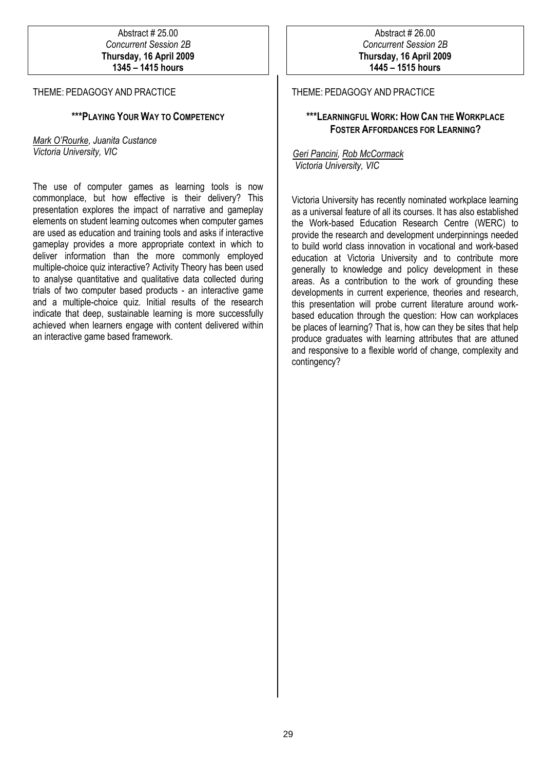#### Abstract # 25.00 Concurrent Session 2B Thursday, 16 April 2009 1345 – 1415 hours

# THEME: PEDAGOGY AND PRACTICE

# \*\*\*PLAYING YOUR WAY TO COMPETENCY

Mark O'Rourke, Juanita Custance Victoria University, VIC

The use of computer games as learning tools is now commonplace, but how effective is their delivery? This presentation explores the impact of narrative and gameplay elements on student learning outcomes when computer games are used as education and training tools and asks if interactive gameplay provides a more appropriate context in which to deliver information than the more commonly employed multiple-choice quiz interactive? Activity Theory has been used to analyse quantitative and qualitative data collected during trials of two computer based products - an interactive game and a multiple-choice quiz. Initial results of the research indicate that deep, sustainable learning is more successfully achieved when learners engage with content delivered within an interactive game based framework.

#### THEME: PEDAGOGY AND PRACTICE

# \*\*\*LEARNINGFUL WORK: HOW CAN THE WORKPLACE FOSTER AFFORDANCES FOR LEARNING?

Geri Pancini, Rob McCormack Victoria University, VIC

Victoria University has recently nominated workplace learning as a universal feature of all its courses. It has also established the Work-based Education Research Centre (WERC) to provide the research and development underpinnings needed to build world class innovation in vocational and work-based education at Victoria University and to contribute more generally to knowledge and policy development in these areas. As a contribution to the work of grounding these developments in current experience, theories and research, this presentation will probe current literature around workbased education through the question: How can workplaces be places of learning? That is, how can they be sites that help produce graduates with learning attributes that are attuned and responsive to a flexible world of change, complexity and contingency?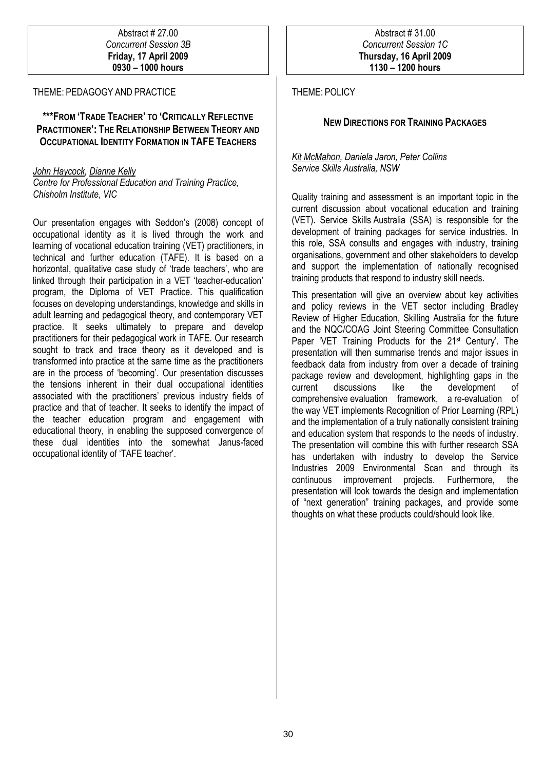#### Abstract # 27.00 Concurrent Session 3B Friday, 17 April 2009 0930 – 1000 hours

#### THEME: PEDAGOGY AND PRACTICE

# \*\*\*FROM 'TRADE TEACHER' TO 'CRITICALLY REFLECTIVE PRACTITIONER': THE RELATIONSHIP BETWEEN THEORY AND **OCCUPATIONAL IDENTITY FORMATION IN TAFE TEACHERS**

#### John Haycock, Dianne Kelly

Centre for Professional Education and Training Practice, Chisholm Institute, VIC

Our presentation engages with Seddon's (2008) concept of occupational identity as it is lived through the work and learning of vocational education training (VET) practitioners, in technical and further education (TAFE). It is based on a horizontal, qualitative case study of 'trade teachers', who are linked through their participation in a VET 'teacher-education' program, the Diploma of VET Practice. This qualification focuses on developing understandings, knowledge and skills in adult learning and pedagogical theory, and contemporary VET practice. It seeks ultimately to prepare and develop practitioners for their pedagogical work in TAFE. Our research sought to track and trace theory as it developed and is transformed into practice at the same time as the practitioners are in the process of 'becoming'. Our presentation discusses the tensions inherent in their dual occupational identities associated with the practitioners' previous industry fields of practice and that of teacher. It seeks to identify the impact of the teacher education program and engagement with educational theory, in enabling the supposed convergence of these dual identities into the somewhat Janus-faced occupational identity of 'TAFE teacher'.

#### THEME: POLICY

# NEW DIRECTIONS FOR TRAINING PACKAGES

Kit McMahon, Daniela Jaron, Peter Collins Service Skills Australia, NSW

Quality training and assessment is an important topic in the current discussion about vocational education and training (VET). Service Skills Australia (SSA) is responsible for the development of training packages for service industries. In this role, SSA consults and engages with industry, training organisations, government and other stakeholders to develop and support the implementation of nationally recognised training products that respond to industry skill needs.

This presentation will give an overview about key activities and policy reviews in the VET sector including Bradley Review of Higher Education, Skilling Australia for the future and the NQC/COAG Joint Steering Committee Consultation Paper 'VET Training Products for the 21st Century'. The presentation will then summarise trends and major issues in feedback data from industry from over a decade of training package review and development, highlighting gaps in the current discussions like the development of comprehensive evaluation framework, a re-evaluation of the way VET implements Recognition of Prior Learning (RPL) and the implementation of a truly nationally consistent training and education system that responds to the needs of industry. The presentation will combine this with further research SSA has undertaken with industry to develop the Service Industries 2009 Environmental Scan and through its continuous improvement projects. Furthermore, the presentation will look towards the design and implementation of "next generation" training packages, and provide some thoughts on what these products could/should look like.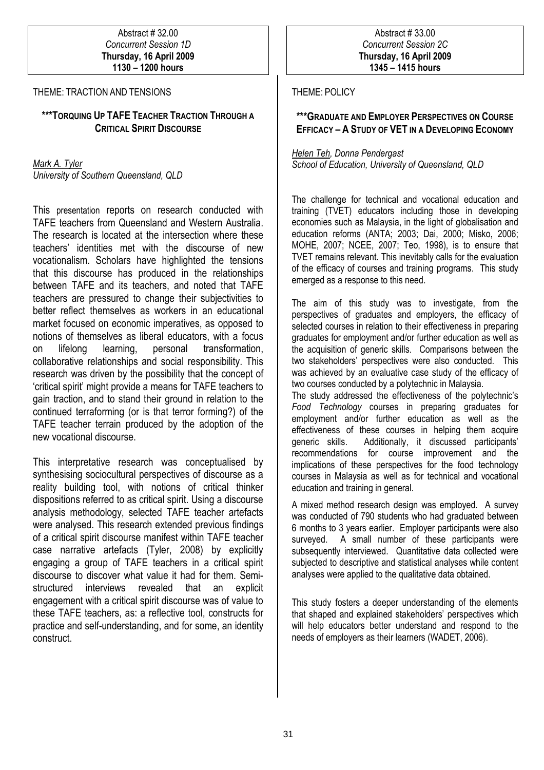#### Abstract # 32.00 Concurrent Session 1D Thursday, 16 April 2009 1130 – 1200 hours

#### THEME: TRACTION AND TENSIONS

# \*\*\*TORQUING UP TAFE TEACHER TRACTION THROUGH A CRITICAL SPIRIT DISCOURSE

Mark A. Tyler University of Southern Queensland, QLD

This presentation reports on research conducted with TAFE teachers from Queensland and Western Australia. The research is located at the intersection where these teachers' identities met with the discourse of new vocationalism. Scholars have highlighted the tensions that this discourse has produced in the relationships between TAFE and its teachers, and noted that TAFE teachers are pressured to change their subjectivities to better reflect themselves as workers in an educational market focused on economic imperatives, as opposed to notions of themselves as liberal educators, with a focus on lifelong learning, personal transformation, collaborative relationships and social responsibility. This research was driven by the possibility that the concept of 'critical spirit' might provide a means for TAFE teachers to gain traction, and to stand their ground in relation to the continued terraforming (or is that terror forming?) of the TAFE teacher terrain produced by the adoption of the new vocational discourse.

This interpretative research was conceptualised by synthesising sociocultural perspectives of discourse as a reality building tool, with notions of critical thinker dispositions referred to as critical spirit. Using a discourse analysis methodology, selected TAFE teacher artefacts were analysed. This research extended previous findings of a critical spirit discourse manifest within TAFE teacher case narrative artefacts (Tyler, 2008) by explicitly engaging a group of TAFE teachers in a critical spirit discourse to discover what value it had for them. Semistructured interviews revealed that an explicit engagement with a critical spirit discourse was of value to these TAFE teachers, as: a reflective tool, constructs for practice and self-understanding, and for some, an identity construct.

#### THEME: POLICY

# \*\*\*GRADUATE AND EMPLOYER PERSPECTIVES ON COURSE EFFICACY – A STUDY OF VET IN A DEVELOPING ECONOMY

Helen Teh, Donna Pendergast School of Education, University of Queensland, QLD

The challenge for technical and vocational education and training (TVET) educators including those in developing economies such as Malaysia, in the light of globalisation and education reforms (ANTA; 2003; Dai, 2000; Misko, 2006; MOHE, 2007; NCEE, 2007; Teo, 1998), is to ensure that TVET remains relevant. This inevitably calls for the evaluation of the efficacy of courses and training programs. This study emerged as a response to this need.

The aim of this study was to investigate, from the perspectives of graduates and employers, the efficacy of selected courses in relation to their effectiveness in preparing graduates for employment and/or further education as well as the acquisition of generic skills. Comparisons between the two stakeholders' perspectives were also conducted. This was achieved by an evaluative case study of the efficacy of two courses conducted by a polytechnic in Malaysia.

The study addressed the effectiveness of the polytechnic's Food Technology courses in preparing graduates for employment and/or further education as well as the effectiveness of these courses in helping them acquire generic skills. Additionally, it discussed participants' recommendations for course improvement and the implications of these perspectives for the food technology courses in Malaysia as well as for technical and vocational education and training in general.

A mixed method research design was employed. A survey was conducted of 790 students who had graduated between 6 months to 3 years earlier. Employer participants were also surveyed. A small number of these participants were subsequently interviewed. Quantitative data collected were subjected to descriptive and statistical analyses while content analyses were applied to the qualitative data obtained.

This study fosters a deeper understanding of the elements that shaped and explained stakeholders' perspectives which will help educators better understand and respond to the needs of employers as their learners (WADET, 2006).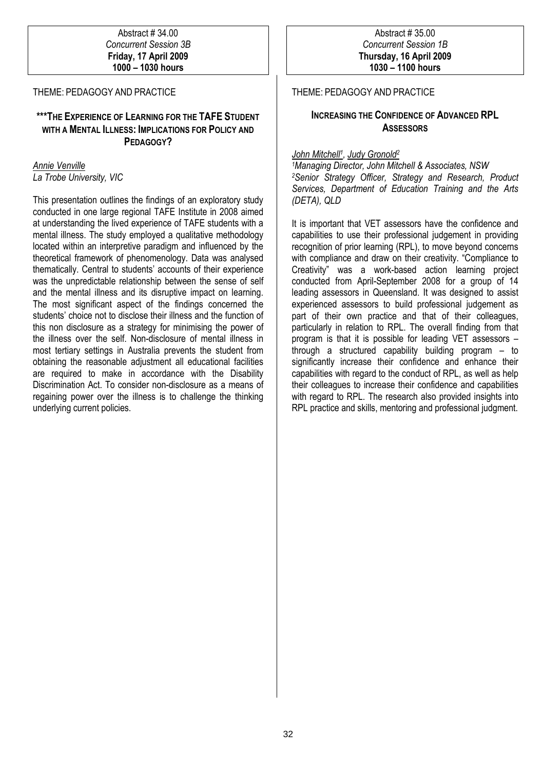#### Abstract # 34.00 Concurrent Session 3B Friday, 17 April 2009 1000 – 1030 hours

## THEME: PEDAGOGY AND PRACTICE

# \*\*\*THE EXPERIENCE OF LEARNING FOR THE TAFE STUDENT WITH A MENTAL ILLNESS: IMPLICATIONS FOR POLICY AND PEDAGOGY?

## Annie Venville La Trobe University, VIC

This presentation outlines the findings of an exploratory study conducted in one large regional TAFE Institute in 2008 aimed at understanding the lived experience of TAFE students with a mental illness. The study employed a qualitative methodology located within an interpretive paradigm and influenced by the theoretical framework of phenomenology. Data was analysed thematically. Central to students' accounts of their experience was the unpredictable relationship between the sense of self and the mental illness and its disruptive impact on learning. The most significant aspect of the findings concerned the students' choice not to disclose their illness and the function of this non disclosure as a strategy for minimising the power of the illness over the self. Non-disclosure of mental illness in most tertiary settings in Australia prevents the student from obtaining the reasonable adjustment all educational facilities are required to make in accordance with the Disability Discrimination Act. To consider non-disclosure as a means of regaining power over the illness is to challenge the thinking underlying current policies.

## THEME: PEDAGOGY AND PRACTICE

# INCREASING THE CONFIDENCE OF ADVANCED RPL **ASSESSORS**

#### <u>John Mitchell<sup>1</sup>, Judy Gronold<sup>2</sup></u>

<sup>1</sup>Managing Director, John Mitchell & Associates, NSW <sup>2</sup>Senior Strategy Officer, Strategy and Research, Product Services, Department of Education Training and the Arts (DETA), QLD

It is important that VET assessors have the confidence and capabilities to use their professional judgement in providing recognition of prior learning (RPL), to move beyond concerns with compliance and draw on their creativity. "Compliance to Creativity" was a work-based action learning project conducted from April-September 2008 for a group of 14 leading assessors in Queensland. It was designed to assist experienced assessors to build professional judgement as part of their own practice and that of their colleagues, particularly in relation to RPL. The overall finding from that program is that it is possible for leading VET assessors – through a structured capability building program – to significantly increase their confidence and enhance their capabilities with regard to the conduct of RPL, as well as help their colleagues to increase their confidence and capabilities with regard to RPL. The research also provided insights into RPL practice and skills, mentoring and professional judgment.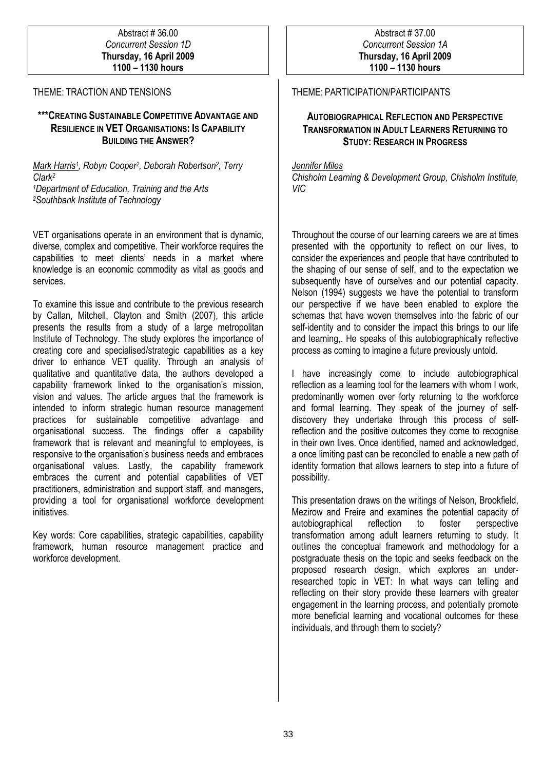#### Abstract # 36.00 Concurrent Session 1D Thursday, 16 April 2009 1100 – 1130 hours

## THEME: TRACTION AND TENSIONS

# \*\*\*CREATING SUSTAINABLE COMPETITIVE ADVANTAGE AND RESILIENCE IN VET ORGANISATIONS: IS CAPABILITY BUILDING THE ANSWER?

Mark Harris<sup>1</sup>, Robyn Cooper<sup>2</sup>, Deborah Robertson<sup>2</sup>, Terry Clark<sup>2</sup> <sup>1</sup>Department of Education, Training and the Arts <sup>2</sup>Southbank Institute of Technology

VET organisations operate in an environment that is dynamic, diverse, complex and competitive. Their workforce requires the capabilities to meet clients' needs in a market where knowledge is an economic commodity as vital as goods and services.

To examine this issue and contribute to the previous research by Callan, Mitchell, Clayton and Smith (2007), this article presents the results from a study of a large metropolitan Institute of Technology. The study explores the importance of creating core and specialised/strategic capabilities as a key driver to enhance VET quality. Through an analysis of qualitative and quantitative data, the authors developed a capability framework linked to the organisation's mission, vision and values. The article argues that the framework is intended to inform strategic human resource management practices for sustainable competitive advantage and organisational success. The findings offer a capability framework that is relevant and meaningful to employees, is responsive to the organisation's business needs and embraces organisational values. Lastly, the capability framework embraces the current and potential capabilities of VET practitioners, administration and support staff, and managers, providing a tool for organisational workforce development initiatives.

Key words: Core capabilities, strategic capabilities, capability framework, human resource management practice and workforce development.

# THEME: PARTICIPATION/PARTICIPANTS

# AUTOBIOGRAPHICAL REFLECTION AND PERSPECTIVE TRANSFORMATION IN ADULT LEARNERS RETURNING TO STUDY: RESEARCH IN PROGRESS

#### Jennifer Miles

Chisholm Learning & Development Group, Chisholm Institute, VIC

Throughout the course of our learning careers we are at times presented with the opportunity to reflect on our lives, to consider the experiences and people that have contributed to the shaping of our sense of self, and to the expectation we subsequently have of ourselves and our potential capacity. Nelson (1994) suggests we have the potential to transform our perspective if we have been enabled to explore the schemas that have woven themselves into the fabric of our self-identity and to consider the impact this brings to our life and learning,. He speaks of this autobiographically reflective process as coming to imagine a future previously untold.

I have increasingly come to include autobiographical reflection as a learning tool for the learners with whom I work, predominantly women over forty returning to the workforce and formal learning. They speak of the journey of selfdiscovery they undertake through this process of selfreflection and the positive outcomes they come to recognise in their own lives. Once identified, named and acknowledged, a once limiting past can be reconciled to enable a new path of identity formation that allows learners to step into a future of possibility.

This presentation draws on the writings of Nelson, Brookfield, Mezirow and Freire and examines the potential capacity of autobiographical reflection to foster perspective transformation among adult learners returning to study. It outlines the conceptual framework and methodology for a postgraduate thesis on the topic and seeks feedback on the proposed research design, which explores an underresearched topic in VET: In what ways can telling and reflecting on their story provide these learners with greater engagement in the learning process, and potentially promote more beneficial learning and vocational outcomes for these individuals, and through them to society?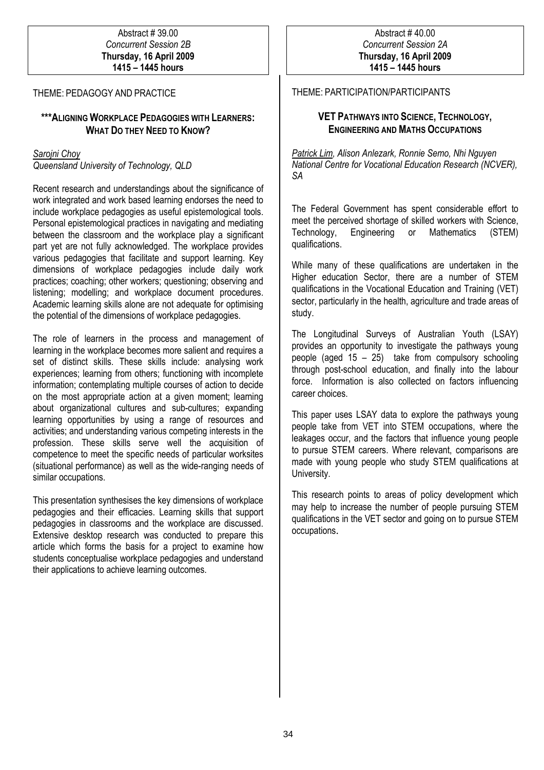#### Abstract # 39.00 Concurrent Session 2B Thursday, 16 April 2009 1415 – 1445 hours

## THEME: PEDAGOGY AND PRACTICE

# \*\*\*ALIGNING WORKPLACE PEDAGOGIES WITH LEARNERS: WHAT DO THEY NEED TO KNOW?

#### Sarojni Choy

Queensland University of Technology, QLD

Recent research and understandings about the significance of work integrated and work based learning endorses the need to include workplace pedagogies as useful epistemological tools. Personal epistemological practices in navigating and mediating between the classroom and the workplace play a significant part yet are not fully acknowledged. The workplace provides various pedagogies that facilitate and support learning. Key dimensions of workplace pedagogies include daily work practices; coaching; other workers; questioning; observing and listening; modelling; and workplace document procedures. Academic learning skills alone are not adequate for optimising the potential of the dimensions of workplace pedagogies.

The role of learners in the process and management of learning in the workplace becomes more salient and requires a set of distinct skills. These skills include: analysing work experiences; learning from others; functioning with incomplete information; contemplating multiple courses of action to decide on the most appropriate action at a given moment; learning about organizational cultures and sub-cultures; expanding learning opportunities by using a range of resources and activities; and understanding various competing interests in the profession. These skills serve well the acquisition of competence to meet the specific needs of particular worksites (situational performance) as well as the wide-ranging needs of similar occupations.

This presentation synthesises the key dimensions of workplace pedagogies and their efficacies. Learning skills that support pedagogies in classrooms and the workplace are discussed. Extensive desktop research was conducted to prepare this article which forms the basis for a project to examine how students conceptualise workplace pedagogies and understand their applications to achieve learning outcomes.

#### THEME: PARTICIPATION/PARTICIPANTS

# VET PATHWAYS INTO SCIENCE, TECHNOLOGY, ENGINEERING AND MATHS OCCUPATIONS

Patrick Lim, Alison Anlezark, Ronnie Semo, Nhi Nguyen National Centre for Vocational Education Research (NCVER), SA

The Federal Government has spent considerable effort to meet the perceived shortage of skilled workers with Science, Technology, Engineering or Mathematics (STEM) qualifications.

While many of these qualifications are undertaken in the Higher education Sector, there are a number of STEM qualifications in the Vocational Education and Training (VET) sector, particularly in the health, agriculture and trade areas of study.

The Longitudinal Surveys of Australian Youth (LSAY) provides an opportunity to investigate the pathways young people (aged 15 – 25) take from compulsory schooling through post-school education, and finally into the labour force. Information is also collected on factors influencing career choices.

This paper uses LSAY data to explore the pathways young people take from VET into STEM occupations, where the leakages occur, and the factors that influence young people to pursue STEM careers. Where relevant, comparisons are made with young people who study STEM qualifications at University.

This research points to areas of policy development which may help to increase the number of people pursuing STEM qualifications in the VET sector and going on to pursue STEM occupations.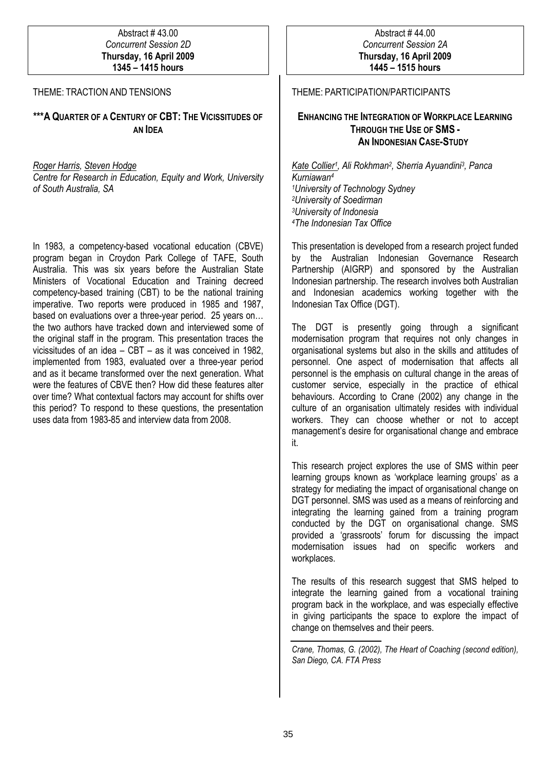#### Abstract # 43.00 Concurrent Session 2D Thursday, 16 April 2009 1345 – 1415 hours

#### THEME: TRACTION AND TENSIONS

# \*\*\*A QUARTER OF A CENTURY OF CBT: THE VICISSITUDES OF AN IDEA

#### Roger Harris, Steven Hodge

Centre for Research in Education, Equity and Work, University of South Australia, SA

In 1983, a competency-based vocational education (CBVE) program began in Croydon Park College of TAFE, South Australia. This was six years before the Australian State Ministers of Vocational Education and Training decreed competency-based training (CBT) to be the national training imperative. Two reports were produced in 1985 and 1987, based on evaluations over a three-year period. 25 years on… the two authors have tracked down and interviewed some of the original staff in the program. This presentation traces the vicissitudes of an idea – CBT – as it was conceived in 1982, implemented from 1983, evaluated over a three-year period and as it became transformed over the next generation. What were the features of CBVE then? How did these features alter over time? What contextual factors may account for shifts over this period? To respond to these questions, the presentation uses data from 1983-85 and interview data from 2008.

## THEME: PARTICIPATION/PARTICIPANTS

# ENHANCING THE INTEGRATION OF WORKPLACE LEARNING THROUGH THE USE OF SMS - AN INDONESIAN CASE-STUDY

Kate Collier<sup>1</sup>, Ali Rokhman<sup>2</sup>, Sherria Ayuandini<sup>3</sup>, Panca Kurniawan<sup>4</sup> University of Technology Sydney University of Soedirman University of Indonesia The Indonesian Tax Office

This presentation is developed from a research project funded by the Australian Indonesian Governance Research Partnership (AIGRP) and sponsored by the Australian Indonesian partnership. The research involves both Australian and Indonesian academics working together with the Indonesian Tax Office (DGT).

The DGT is presently going through a significant modernisation program that requires not only changes in organisational systems but also in the skills and attitudes of personnel. One aspect of modernisation that affects all personnel is the emphasis on cultural change in the areas of customer service, especially in the practice of ethical behaviours. According to Crane (2002) any change in the culture of an organisation ultimately resides with individual workers. They can choose whether or not to accept management's desire for organisational change and embrace it.

This research project explores the use of SMS within peer learning groups known as 'workplace learning groups' as a strategy for mediating the impact of organisational change on DGT personnel. SMS was used as a means of reinforcing and integrating the learning gained from a training program conducted by the DGT on organisational change. SMS provided a 'grassroots' forum for discussing the impact modernisation issues had on specific workers and workplaces.

The results of this research suggest that SMS helped to integrate the learning gained from a vocational training program back in the workplace, and was especially effective in giving participants the space to explore the impact of change on themselves and their peers.

Crane, Thomas, G. (2002), The Heart of Coaching (second edition), San Diego, CA. FTA Press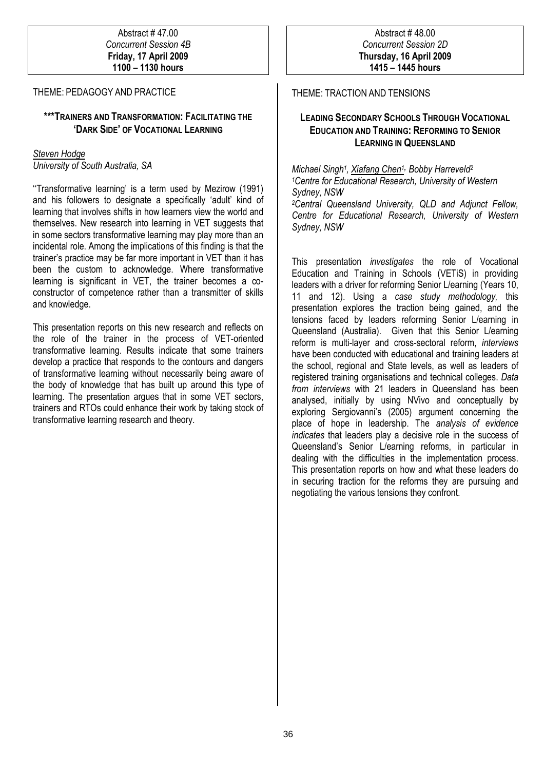## THEME: PEDAGOGY AND PRACTICE

# \*\*\*TRAINERS AND TRANSFORMATION: FACILITATING THE 'DARK SIDE' OF VOCATIONAL LEARNING

#### Steven Hodge University of South Australia, SA

''Transformative learning' is a term used by Mezirow (1991) and his followers to designate a specifically 'adult' kind of learning that involves shifts in how learners view the world and themselves. New research into learning in VET suggests that in some sectors transformative learning may play more than an incidental role. Among the implications of this finding is that the trainer's practice may be far more important in VET than it has been the custom to acknowledge. Where transformative learning is significant in VET, the trainer becomes a coconstructor of competence rather than a transmitter of skills and knowledge.

This presentation reports on this new research and reflects on the role of the trainer in the process of VET-oriented transformative learning. Results indicate that some trainers develop a practice that responds to the contours and dangers of transformative learning without necessarily being aware of the body of knowledge that has built up around this type of learning. The presentation argues that in some VET sectors, trainers and RTOs could enhance their work by taking stock of transformative learning research and theory.

## THEME: TRACTION AND TENSIONS

# LEADING SECONDARY SCHOOLS THROUGH VOCATIONAL EDUCATION AND TRAINING: REFORMING TO SENIOR LEARNING IN QUEENSLAND

Michael Singh<sup>1</sup>, Xiafang Chen<sup>1,</sup> Bobby Harreveld<sup>2</sup> <sup>1</sup>Centre for Educational Research, University of Western Sydney, NSW <sup>2</sup>Central Queensland University, QLD and Adjunct Fellow, Centre for Educational Research, University of Western Sydney, NSW

This presentation investigates the role of Vocational Education and Training in Schools (VETiS) in providing leaders with a driver for reforming Senior L/earning (Years 10, 11 and 12). Using a case study methodology, this presentation explores the traction being gained, and the tensions faced by leaders reforming Senior L/earning in Queensland (Australia). Given that this Senior L/earning reform is multi-layer and cross-sectoral reform, interviews have been conducted with educational and training leaders at the school, regional and State levels, as well as leaders of registered training organisations and technical colleges. Data from interviews with 21 leaders in Queensland has been analysed, initially by using NVivo and conceptually by exploring Sergiovanni's (2005) argument concerning the place of hope in leadership. The analysis of evidence indicates that leaders play a decisive role in the success of Queensland's Senior L/earning reforms, in particular in dealing with the difficulties in the implementation process. This presentation reports on how and what these leaders do in securing traction for the reforms they are pursuing and negotiating the various tensions they confront.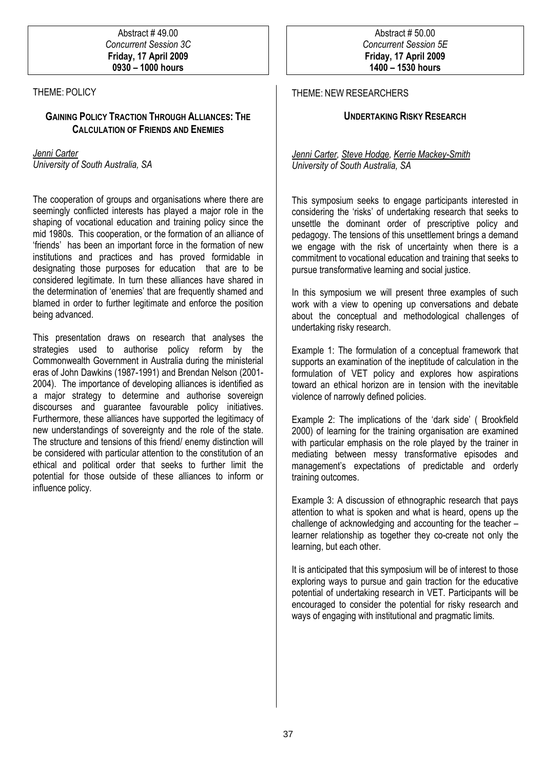#### Abstract # 49.00 Concurrent Session 3C Friday, 17 April 2009 0930 – 1000 hours

# THEME: POLICY

# GAINING POLICY TRACTION THROUGH ALLIANCES: THE CALCULATION OF FRIENDS AND ENEMIES

Jenni Carter University of South Australia, SA

The cooperation of groups and organisations where there are seemingly conflicted interests has played a major role in the shaping of vocational education and training policy since the mid 1980s. This cooperation, or the formation of an alliance of 'friends' has been an important force in the formation of new institutions and practices and has proved formidable in designating those purposes for education that are to be considered legitimate. In turn these alliances have shared in the determination of 'enemies' that are frequently shamed and blamed in order to further legitimate and enforce the position being advanced.

This presentation draws on research that analyses the strategies used to authorise policy reform by the Commonwealth Government in Australia during the ministerial eras of John Dawkins (1987-1991) and Brendan Nelson (2001- 2004). The importance of developing alliances is identified as a major strategy to determine and authorise sovereign discourses and guarantee favourable policy initiatives. Furthermore, these alliances have supported the legitimacy of new understandings of sovereignty and the role of the state. The structure and tensions of this friend/ enemy distinction will be considered with particular attention to the constitution of an ethical and political order that seeks to further limit the potential for those outside of these alliances to inform or influence policy.

# THEME: NEW RESEARCHERS

# UNDERTAKING RISKY RESEARCH

Jenni Carter, Steve Hodge, Kerrie Mackey-Smith University of South Australia, SA

This symposium seeks to engage participants interested in considering the 'risks' of undertaking research that seeks to unsettle the dominant order of prescriptive policy and pedagogy. The tensions of this unsettlement brings a demand we engage with the risk of uncertainty when there is a commitment to vocational education and training that seeks to pursue transformative learning and social justice.

In this symposium we will present three examples of such work with a view to opening up conversations and debate about the conceptual and methodological challenges of undertaking risky research.

Example 1: The formulation of a conceptual framework that supports an examination of the ineptitude of calculation in the formulation of VET policy and explores how aspirations toward an ethical horizon are in tension with the inevitable violence of narrowly defined policies.

Example 2: The implications of the 'dark side' ( Brookfield 2000) of learning for the training organisation are examined with particular emphasis on the role played by the trainer in mediating between messy transformative episodes and management's expectations of predictable and orderly training outcomes.

Example 3: A discussion of ethnographic research that pays attention to what is spoken and what is heard, opens up the challenge of acknowledging and accounting for the teacher – learner relationship as together they co-create not only the learning, but each other.

It is anticipated that this symposium will be of interest to those exploring ways to pursue and gain traction for the educative potential of undertaking research in VET. Participants will be encouraged to consider the potential for risky research and ways of engaging with institutional and pragmatic limits.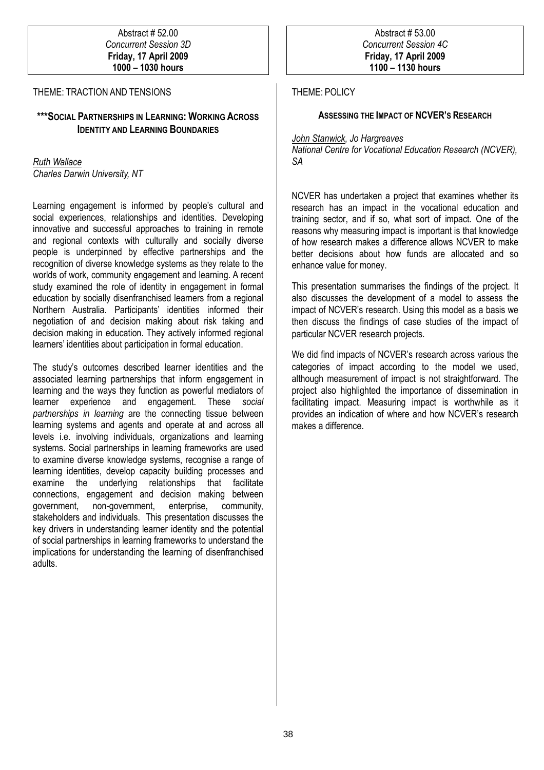#### Abstract # 52.00 Concurrent Session 3D Friday, 17 April 2009 1000 – 1030 hours

## THEME: TRACTION AND TENSIONS

# \*\*\*SOCIAL PARTNERSHIPS IN LEARNING: WORKING ACROSS **IDENTITY AND LEARNING BOUNDARIES**

Ruth Wallace Charles Darwin University, NT

Learning engagement is informed by people's cultural and social experiences, relationships and identities. Developing innovative and successful approaches to training in remote and regional contexts with culturally and socially diverse people is underpinned by effective partnerships and the recognition of diverse knowledge systems as they relate to the worlds of work, community engagement and learning. A recent study examined the role of identity in engagement in formal education by socially disenfranchised learners from a regional Northern Australia. Participants' identities informed their negotiation of and decision making about risk taking and decision making in education. They actively informed regional learners' identities about participation in formal education.

The study's outcomes described learner identities and the associated learning partnerships that inform engagement in learning and the ways they function as powerful mediators of learner experience and engagement. These social partnerships in learning are the connecting tissue between learning systems and agents and operate at and across all levels i.e. involving individuals, organizations and learning systems. Social partnerships in learning frameworks are used to examine diverse knowledge systems, recognise a range of learning identities, develop capacity building processes and examine the underlying relationships that facilitate connections, engagement and decision making between government, non-government, enterprise, community, stakeholders and individuals. This presentation discusses the key drivers in understanding learner identity and the potential of social partnerships in learning frameworks to understand the implications for understanding the learning of disenfranchised adults.

# THEME: POLICY

#### ASSESSING THE IMPACT OF NCVER'S RESEARCH

#### John Stanwick, Jo Hargreaves

National Centre for Vocational Education Research (NCVER), SA

NCVER has undertaken a project that examines whether its research has an impact in the vocational education and training sector, and if so, what sort of impact. One of the reasons why measuring impact is important is that knowledge of how research makes a difference allows NCVER to make better decisions about how funds are allocated and so enhance value for money.

This presentation summarises the findings of the project. It also discusses the development of a model to assess the impact of NCVER's research. Using this model as a basis we then discuss the findings of case studies of the impact of particular NCVER research projects.

We did find impacts of NCVER's research across various the categories of impact according to the model we used, although measurement of impact is not straightforward. The project also highlighted the importance of dissemination in facilitating impact. Measuring impact is worthwhile as it provides an indication of where and how NCVER's research makes a difference.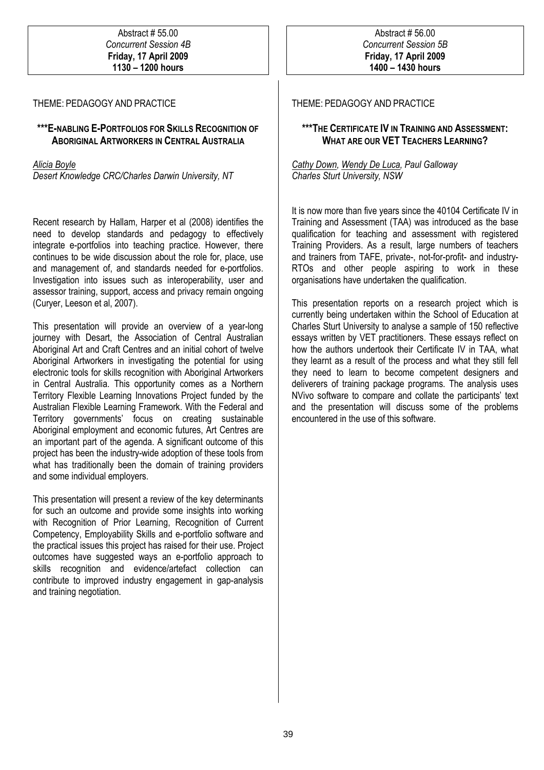#### Abstract # 55.00 Concurrent Session 4B Friday, 17 April 2009 1130 – 1200 hours

## THEME: PEDAGOGY AND PRACTICE

# \*\*\*E-NABLING E-PORTFOLIOS FOR SKILLS RECOGNITION OF ABORIGINAL ARTWORKERS IN CENTRAL AUSTRALIA

# Alicia Boyle

Desert Knowledge CRC/Charles Darwin University, NT

Recent research by Hallam, Harper et al (2008) identifies the need to develop standards and pedagogy to effectively integrate e-portfolios into teaching practice. However, there continues to be wide discussion about the role for, place, use and management of, and standards needed for e-portfolios. Investigation into issues such as interoperability, user and assessor training, support, access and privacy remain ongoing (Curyer, Leeson et al, 2007).

This presentation will provide an overview of a year-long journey with Desart, the Association of Central Australian Aboriginal Art and Craft Centres and an initial cohort of twelve Aboriginal Artworkers in investigating the potential for using electronic tools for skills recognition with Aboriginal Artworkers in Central Australia. This opportunity comes as a Northern Territory Flexible Learning Innovations Project funded by the Australian Flexible Learning Framework. With the Federal and Territory governments' focus on creating sustainable Aboriginal employment and economic futures. Art Centres are an important part of the agenda. A significant outcome of this project has been the industry-wide adoption of these tools from what has traditionally been the domain of training providers and some individual employers.

This presentation will present a review of the key determinants for such an outcome and provide some insights into working with Recognition of Prior Learning, Recognition of Current Competency, Employability Skills and e-portfolio software and the practical issues this project has raised for their use. Project outcomes have suggested ways an e-portfolio approach to skills recognition and evidence/artefact collection can contribute to improved industry engagement in gap-analysis and training negotiation.

## THEME: PEDAGOGY AND PRACTICE

# \*\*\*THE CERTIFICATE IV IN TRAINING AND ASSESSMENT: WHAT ARE OUR VET TEACHERS LEARNING?

Cathy Down, Wendy De Luca, Paul Galloway Charles Sturt University, NSW

It is now more than five years since the 40104 Certificate IV in Training and Assessment (TAA) was introduced as the base qualification for teaching and assessment with registered Training Providers. As a result, large numbers of teachers and trainers from TAFE, private-, not-for-profit- and industry-RTOs and other people aspiring to work in these organisations have undertaken the qualification.

This presentation reports on a research project which is currently being undertaken within the School of Education at Charles Sturt University to analyse a sample of 150 reflective essays written by VET practitioners. These essays reflect on how the authors undertook their Certificate IV in TAA, what they learnt as a result of the process and what they still fell they need to learn to become competent designers and deliverers of training package programs. The analysis uses NVivo software to compare and collate the participants' text and the presentation will discuss some of the problems encountered in the use of this software.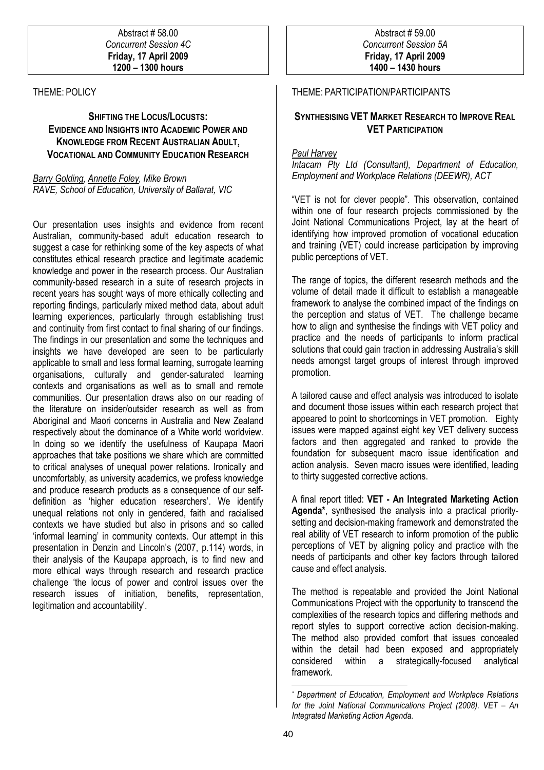#### THEME: POLICY

# SHIFTING THE LOCUS/LOCUSTS: EVIDENCE AND INSIGHTS INTO ACADEMIC POWER AND KNOWLEDGE FROM RECENT AUSTRALIAN ADULT, VOCATIONAL AND COMMUNITY EDUCATION RESEARCH

Barry Golding, Annette Foley, Mike Brown RAVE, School of Education, University of Ballarat, VIC

Our presentation uses insights and evidence from recent Australian, community-based adult education research to suggest a case for rethinking some of the key aspects of what constitutes ethical research practice and legitimate academic knowledge and power in the research process. Our Australian community-based research in a suite of research projects in recent years has sought ways of more ethically collecting and reporting findings, particularly mixed method data, about adult learning experiences, particularly through establishing trust and continuity from first contact to final sharing of our findings. The findings in our presentation and some the techniques and insights we have developed are seen to be particularly applicable to small and less formal learning, surrogate learning organisations, culturally and gender-saturated learning contexts and organisations as well as to small and remote communities. Our presentation draws also on our reading of the literature on insider/outsider research as well as from Aboriginal and Maori concerns in Australia and New Zealand respectively about the dominance of a White world worldview. In doing so we identify the usefulness of Kaupapa Maori approaches that take positions we share which are committed to critical analyses of unequal power relations. Ironically and uncomfortably, as university academics, we profess knowledge and produce research products as a consequence of our selfdefinition as 'higher education researchers'. We identify unequal relations not only in gendered, faith and racialised contexts we have studied but also in prisons and so called 'informal learning' in community contexts. Our attempt in this presentation in Denzin and Lincoln's (2007, p.114) words, in their analysis of the Kaupapa approach, is to find new and more ethical ways through research and research practice challenge 'the locus of power and control issues over the research issues of initiation, benefits, representation, legitimation and accountability'.

# THEME: PARTICIPATION/PARTICIPANTS

# SYNTHESISING VET MARKET RESEARCH TO IMPROVE REAL VET PARTICIPATION

#### Paul Harvey

Intacam Pty Ltd (Consultant), Department of Education, Employment and Workplace Relations (DEEWR), ACT

"VET is not for clever people". This observation, contained within one of four research projects commissioned by the Joint National Communications Project, lay at the heart of identifying how improved promotion of vocational education and training (VET) could increase participation by improving public perceptions of VET.

The range of topics, the different research methods and the volume of detail made it difficult to establish a manageable framework to analyse the combined impact of the findings on the perception and status of VET. The challenge became how to align and synthesise the findings with VET policy and practice and the needs of participants to inform practical solutions that could gain traction in addressing Australia's skill needs amongst target groups of interest through improved promotion.

A tailored cause and effect analysis was introduced to isolate and document those issues within each research project that appeared to point to shortcomings in VET promotion. Eighty issues were mapped against eight key VET delivery success factors and then aggregated and ranked to provide the foundation for subsequent macro issue identification and action analysis. Seven macro issues were identified, leading to thirty suggested corrective actions.

A final report titled: VET - An Integrated Marketing Action Agenda\*, synthesised the analysis into a practical prioritysetting and decision-making framework and demonstrated the real ability of VET research to inform promotion of the public perceptions of VET by aligning policy and practice with the needs of participants and other key factors through tailored cause and effect analysis.

The method is repeatable and provided the Joint National Communications Project with the opportunity to transcend the complexities of the research topics and differing methods and report styles to support corrective action decision-making. The method also provided comfort that issues concealed within the detail had been exposed and appropriately considered within a strategically-focused analytical framework.

<sup>\*</sup> Department of Education, Employment and Workplace Relations for the Joint National Communications Project (2008). VET – An Integrated Marketing Action Agenda.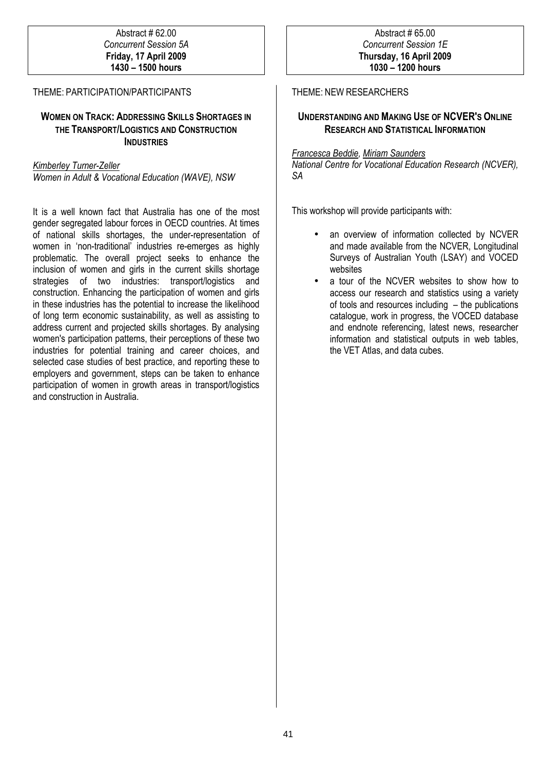#### Abstract # 62.00 Concurrent Session 5A Friday, 17 April 2009 1430 – 1500 hours

## THEME: PARTICIPATION/PARTICIPANTS

# WOMEN ON TRACK: ADDRESSING SKILLS SHORTAGES IN THE TRANSPORT/LOGISTICS AND CONSTRUCTION **INDUSTRIES**

Kimberley Turner-Zeller Women in Adult & Vocational Education (WAVE), NSW

It is a well known fact that Australia has one of the most gender segregated labour forces in OECD countries. At times of national skills shortages, the under-representation of women in 'non-traditional' industries re-emerges as highly problematic. The overall project seeks to enhance the inclusion of women and girls in the current skills shortage strategies of two industries: transport/logistics and construction. Enhancing the participation of women and girls in these industries has the potential to increase the likelihood of long term economic sustainability, as well as assisting to address current and projected skills shortages. By analysing women's participation patterns, their perceptions of these two industries for potential training and career choices, and selected case studies of best practice, and reporting these to employers and government, steps can be taken to enhance participation of women in growth areas in transport/logistics and construction in Australia.

# THEME: NEW RESEARCHERS

# UNDERSTANDING AND MAKING USE OF NCVER'S ONLINE RESEARCH AND STATISTICAL INFORMATION

#### Francesca Beddie, Miriam Saunders

National Centre for Vocational Education Research (NCVER), SA

This workshop will provide participants with:

- an overview of information collected by NCVER and made available from the NCVER, Longitudinal Surveys of Australian Youth (LSAY) and VOCED websites
- a tour of the NCVER websites to show how to access our research and statistics using a variety of tools and resources including – the publications catalogue, work in progress, the VOCED database and endnote referencing, latest news, researcher information and statistical outputs in web tables, the VET Atlas, and data cubes.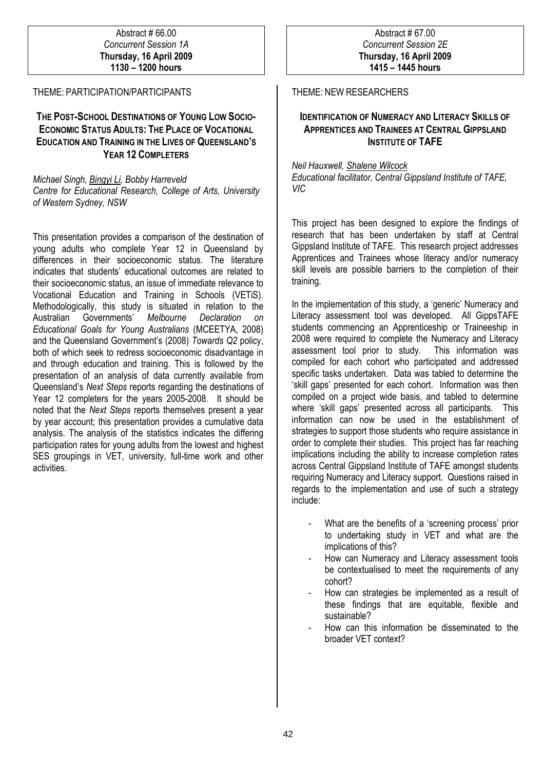#### Abstract # 66.00 Concurrent Session 1A Thursday, 16 April 2009 1130 – 1200 hours

## THEME: PARTICIPATION/PARTICIPANTS

# THE POST-SCHOOL DESTINATIONS OF YOUNG LOW SOCIO-ECONOMIC STATUS ADULTS: THE PLACE OF VOCATIONAL EDUCATION AND TRAINING IN THE LIVES OF QUEENSLAND'S YEAR 12 COMPLETERS

Michael Singh, Bingyi Li, Bobby Harreveld Centre for Educational Research, College of Arts, University of Western Sydney, NSW

This presentation provides a comparison of the destination of young adults who complete Year 12 in Queensland by differences in their socioeconomic status. The literature indicates that students' educational outcomes are related to their socioeconomic status, an issue of immediate relevance to Vocational Education and Training in Schools (VETiS). Methodologically, this study is situated in relation to the Australian Governments' Melbourne Declaration on Educational Goals for Young Australians (MCEETYA, 2008) and the Queensland Government's (2008) Towards Q2 policy, both of which seek to redress socioeconomic disadvantage in and through education and training. This is followed by the presentation of an analysis of data currently available from Queensland's Next Steps reports regarding the destinations of Year 12 completers for the years 2005-2008. It should be noted that the Next Steps reports themselves present a year by year account; this presentation provides a cumulative data analysis. The analysis of the statistics indicates the differing participation rates for young adults from the lowest and highest SES groupings in VET, university, full-time work and other activities.

#### THEME: NEW RESEARCHERS

# IDENTIFICATION OF NUMERACY AND LITERACY SKILLS OF APPRENTICES AND TRAINEES AT CENTRAL GIPPSLAND INSTITUTE OF TAFE

Neil Hauxwell, Shalene Wilcock Educational facilitator, Central Gippsland Institute of TAFE, VIC

This project has been designed to explore the findings of research that has been undertaken by staff at Central Gippsland Institute of TAFE. This research project addresses Apprentices and Trainees whose literacy and/or numeracy skill levels are possible barriers to the completion of their training.

In the implementation of this study, a 'generic' Numeracy and Literacy assessment tool was developed. All GippsTAFE students commencing an Apprenticeship or Traineeship in 2008 were required to complete the Numeracy and Literacy assessment tool prior to study. This information was compiled for each cohort who participated and addressed specific tasks undertaken. Data was tabled to determine the 'skill gaps' presented for each cohort. Information was then compiled on a project wide basis, and tabled to determine where 'skill gaps' presented across all participants. This information can now be used in the establishment of strategies to support those students who require assistance in order to complete their studies. This project has far reaching implications including the ability to increase completion rates across Central Gippsland Institute of TAFE amongst students requiring Numeracy and Literacy support. Questions raised in regards to the implementation and use of such a strategy include:

- What are the benefits of a 'screening process' prior to undertaking study in VET and what are the implications of this?
- How can Numeracy and Literacy assessment tools be contextualised to meet the requirements of any cohort?
- How can strategies be implemented as a result of these findings that are equitable, flexible and sustainable?
- How can this information be disseminated to the broader VET context?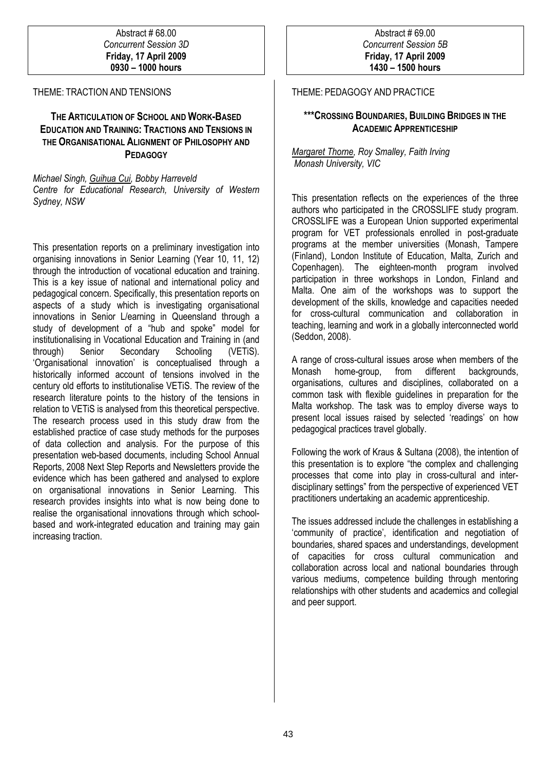#### Abstract # 68.00 Concurrent Session 3D Friday, 17 April 2009 0930 – 1000 hours

#### THEME: TRACTION AND TENSIONS

# THE ARTICULATION OF SCHOOL AND WORK-BASED EDUCATION AND TRAINING: TRACTIONS AND TENSIONS IN THE ORGANISATIONAL ALIGNMENT OF PHILOSOPHY AND **PEDAGOGY**

Michael Singh, Guihua Cui, Bobby Harreveld Centre for Educational Research, University of Western Sydney, NSW

This presentation reports on a preliminary investigation into organising innovations in Senior Learning (Year 10, 11, 12) through the introduction of vocational education and training. This is a key issue of national and international policy and pedagogical concern. Specifically, this presentation reports on aspects of a study which is investigating organisational innovations in Senior L/earning in Queensland through a study of development of a "hub and spoke" model for institutionalising in Vocational Education and Training in (and through) Senior Secondary Schooling (VETiS). 'Organisational innovation' is conceptualised through a historically informed account of tensions involved in the century old efforts to institutionalise VETiS. The review of the research literature points to the history of the tensions in relation to VETiS is analysed from this theoretical perspective. The research process used in this study draw from the established practice of case study methods for the purposes of data collection and analysis. For the purpose of this presentation web-based documents, including School Annual Reports, 2008 Next Step Reports and Newsletters provide the evidence which has been gathered and analysed to explore on organisational innovations in Senior Learning. This research provides insights into what is now being done to realise the organisational innovations through which schoolbased and work-integrated education and training may gain increasing traction.

#### THEME: PEDAGOGY AND PRACTICE

# \*\*\*CROSSING BOUNDARIES, BUILDING BRIDGES IN THE ACADEMIC APPRENTICESHIP

#### **Margaret Thorne, Roy Smalley, Faith Irving** Monash University, VIC

This presentation reflects on the experiences of the three authors who participated in the CROSSLIFE study program. CROSSLIFE was a European Union supported experimental program for VET professionals enrolled in post-graduate programs at the member universities (Monash, Tampere (Finland), London Institute of Education, Malta, Zurich and Copenhagen). The eighteen-month program involved participation in three workshops in London, Finland and Malta. One aim of the workshops was to support the development of the skills, knowledge and capacities needed for cross-cultural communication and collaboration in teaching, learning and work in a globally interconnected world (Seddon, 2008).

A range of cross-cultural issues arose when members of the Monash home-group, from different backgrounds, organisations, cultures and disciplines, collaborated on a common task with flexible guidelines in preparation for the Malta workshop. The task was to employ diverse ways to present local issues raised by selected 'readings' on how pedagogical practices travel globally.

Following the work of Kraus & Sultana (2008), the intention of this presentation is to explore "the complex and challenging processes that come into play in cross-cultural and interdisciplinary settings" from the perspective of experienced VET practitioners undertaking an academic apprenticeship.

The issues addressed include the challenges in establishing a 'community of practice', identification and negotiation of boundaries, shared spaces and understandings, development of capacities for cross cultural communication and collaboration across local and national boundaries through various mediums, competence building through mentoring relationships with other students and academics and collegial and peer support.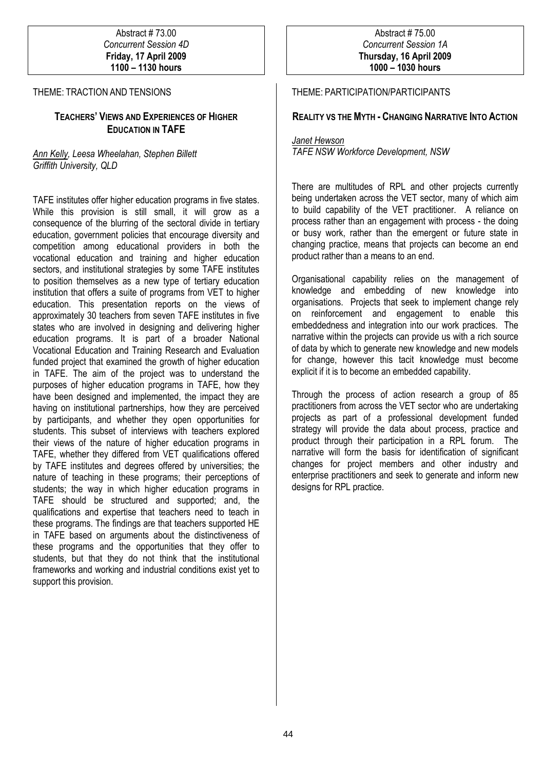#### Abstract # 73.00 Concurrent Session 4D Friday, 17 April 2009 1100 – 1130 hours

#### THEME: TRACTION AND TENSIONS

# TEACHERS' VIEWS AND EXPERIENCES OF HIGHER EDUCATION IN TAFE

Ann Kelly, Leesa Wheelahan, Stephen Billett Griffith University, QLD

TAFE institutes offer higher education programs in five states. While this provision is still small, it will grow as a consequence of the blurring of the sectoral divide in tertiary education, government policies that encourage diversity and competition among educational providers in both the vocational education and training and higher education sectors, and institutional strategies by some TAFE institutes to position themselves as a new type of tertiary education institution that offers a suite of programs from VET to higher education. This presentation reports on the views of approximately 30 teachers from seven TAFE institutes in five states who are involved in designing and delivering higher education programs. It is part of a broader National Vocational Education and Training Research and Evaluation funded project that examined the growth of higher education in TAFE. The aim of the project was to understand the purposes of higher education programs in TAFE, how they have been designed and implemented, the impact they are having on institutional partnerships, how they are perceived by participants, and whether they open opportunities for students. This subset of interviews with teachers explored their views of the nature of higher education programs in TAFE, whether they differed from VET qualifications offered by TAFE institutes and degrees offered by universities; the nature of teaching in these programs; their perceptions of students; the way in which higher education programs in TAFE should be structured and supported; and, the qualifications and expertise that teachers need to teach in these programs. The findings are that teachers supported HE in TAFE based on arguments about the distinctiveness of these programs and the opportunities that they offer to students, but that they do not think that the institutional frameworks and working and industrial conditions exist yet to support this provision.

## THEME: PARTICIPATION/PARTICIPANTS

# REALITY VS THE MYTH - CHANGING NARRATIVE INTO ACTION

Janet Hewson TAFE NSW Workforce Development, NSW

There are multitudes of RPL and other projects currently being undertaken across the VET sector, many of which aim to build capability of the VET practitioner. A reliance on process rather than an engagement with process - the doing or busy work, rather than the emergent or future state in changing practice, means that projects can become an end product rather than a means to an end.

Organisational capability relies on the management of knowledge and embedding of new knowledge into organisations. Projects that seek to implement change rely on reinforcement and engagement to enable this embeddedness and integration into our work practices. The narrative within the projects can provide us with a rich source of data by which to generate new knowledge and new models for change, however this tacit knowledge must become explicit if it is to become an embedded capability.

Through the process of action research a group of 85 practitioners from across the VET sector who are undertaking projects as part of a professional development funded strategy will provide the data about process, practice and product through their participation in a RPL forum. The narrative will form the basis for identification of significant changes for project members and other industry and enterprise practitioners and seek to generate and inform new designs for RPL practice.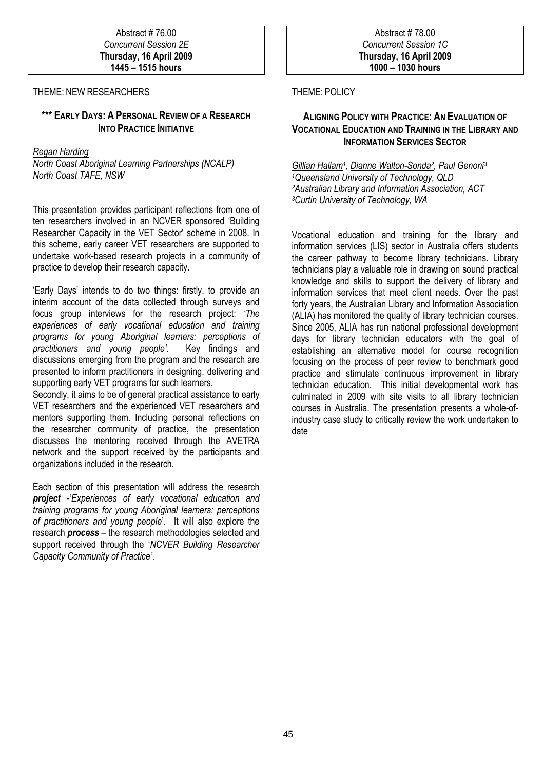#### Abstract # 76.00 Concurrent Session 2E Thursday, 16 April 2009 1445 – 1515 hours

## THEME: NEW RESEARCHERS

# \*\*\* EARLY DAYS: A PERSONAL REVIEW OF A RESEARCH INTO PRACTICE INITIATIVE

#### Regan Harding

North Coast Aboriginal Learning Partnerships (NCALP) North Coast TAFE, NSW

This presentation provides participant reflections from one of ten researchers involved in an NCVER sponsored 'Building Researcher Capacity in the VET Sector' scheme in 2008. In this scheme, early career VET researchers are supported to undertake work-based research projects in a community of practice to develop their research capacity.

'Early Days' intends to do two things: firstly, to provide an interim account of the data collected through surveys and focus group interviews for the research project: 'The experiences of early vocational education and training programs for young Aboriginal learners: perceptions of practitioners and young people'. Key findings and discussions emerging from the program and the research are presented to inform practitioners in designing, delivering and supporting early VET programs for such learners.

Secondly, it aims to be of general practical assistance to early VET researchers and the experienced VET researchers and mentors supporting them. Including personal reflections on the researcher community of practice, the presentation discusses the mentoring received through the AVETRA network and the support received by the participants and organizations included in the research.

Each section of this presentation will address the research project -'Experiences of early vocational education and training programs for young Aboriginal learners: perceptions of practitioners and young people'. It will also explore the research process – the research methodologies selected and support received through the 'NCVER Building Researcher Capacity Community of Practice'.

#### THEME: POLICY

# ALIGNING POLICY WITH PRACTICE: AN EVALUATION OF VOCATIONAL EDUCATION AND TRAINING IN THE LIBRARY AND INFORMATION SERVICES SECTOR

Gillian Hallam<sup>1</sup>, Dianne Walton-Sonda<sup>2</sup>, Paul Genoni<sup>3</sup> Queensland University of Technology, QLD Australian Library and Information Association, ACT Curtin University of Technology, WA

Vocational education and training for the library and information services (LIS) sector in Australia offers students the career pathway to become library technicians. Library technicians play a valuable role in drawing on sound practical knowledge and skills to support the delivery of library and information services that meet client needs. Over the past forty years, the Australian Library and Information Association (ALIA) has monitored the quality of library technician courses. Since 2005, ALIA has run national professional development days for library technician educators with the goal of establishing an alternative model for course recognition focusing on the process of peer review to benchmark good practice and stimulate continuous improvement in library technician education. This initial developmental work has culminated in 2009 with site visits to all library technician courses in Australia. The presentation presents a whole-ofindustry case study to critically review the work undertaken to date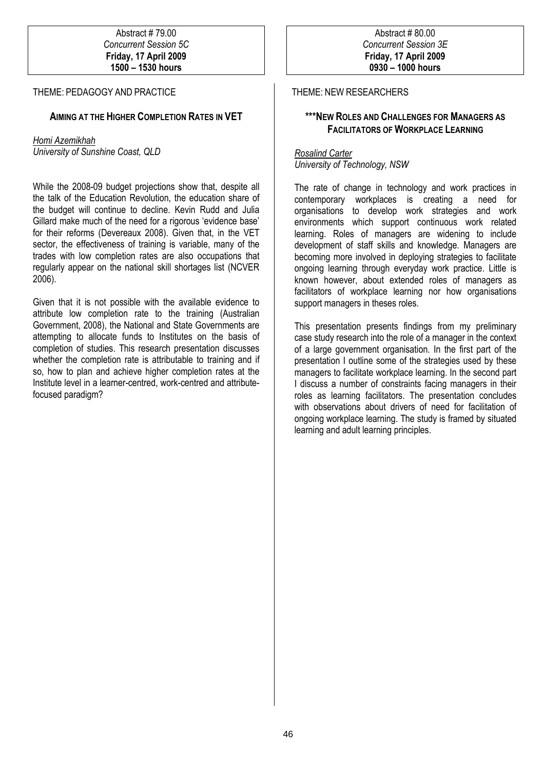Abstract # 79.00 Concurrent Session 5C Friday, 17 April 2009 1500 – 1530 hours

#### THEME: PEDAGOGY AND PRACTICE

## AIMING AT THE HIGHER COMPLETION RATES IN VET

# Homi Azemikhah

University of Sunshine Coast, QLD

While the 2008-09 budget projections show that, despite all the talk of the Education Revolution, the education share of the budget will continue to decline. Kevin Rudd and Julia Gillard make much of the need for a rigorous 'evidence base' for their reforms (Devereaux 2008). Given that, in the VET sector, the effectiveness of training is variable, many of the trades with low completion rates are also occupations that regularly appear on the national skill shortages list (NCVER 2006).

Given that it is not possible with the available evidence to attribute low completion rate to the training (Australian Government, 2008), the National and State Governments are attempting to allocate funds to Institutes on the basis of completion of studies. This research presentation discusses whether the completion rate is attributable to training and if so, how to plan and achieve higher completion rates at the Institute level in a learner-centred, work-centred and attributefocused paradigm?

#### THEME: NEW RESEARCHERS

# \*\*\*NEW ROLES AND CHALLENGES FOR MANAGERS AS FACILITATORS OF WORKPLACE LEARNING

#### Rosalind Carter University of Technology, NSW

The rate of change in technology and work practices in contemporary workplaces is creating a need for organisations to develop work strategies and work environments which support continuous work related learning. Roles of managers are widening to include development of staff skills and knowledge. Managers are becoming more involved in deploying strategies to facilitate ongoing learning through everyday work practice. Little is known however, about extended roles of managers as facilitators of workplace learning nor how organisations support managers in theses roles.

This presentation presents findings from my preliminary case study research into the role of a manager in the context of a large government organisation. In the first part of the presentation I outline some of the strategies used by these managers to facilitate workplace learning. In the second part I discuss a number of constraints facing managers in their roles as learning facilitators. The presentation concludes with observations about drivers of need for facilitation of ongoing workplace learning. The study is framed by situated learning and adult learning principles.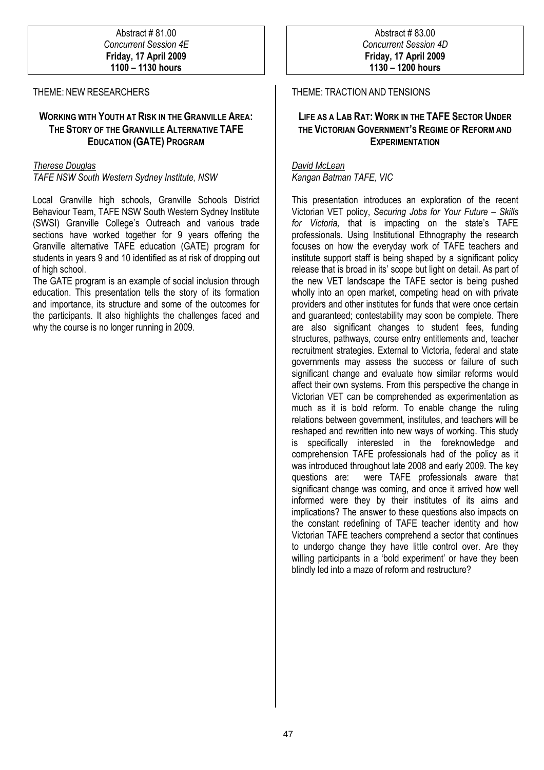#### Abstract # 81.00 Concurrent Session 4E Friday, 17 April 2009 1100 – 1130 hours

#### THEME: NEW RESEARCHERS

# WORKING WITH YOUTH AT RISK IN THE GRANVILLE AREA: THE STORY OF THE GRANVILLE ALTERNATIVE TAFE EDUCATION (GATE) PROGRAM

#### Therese Douglas

TAFE NSW South Western Sydney Institute, NSW

Local Granville high schools, Granville Schools District Behaviour Team, TAFE NSW South Western Sydney Institute (SWSI) Granville College's Outreach and various trade sections have worked together for 9 years offering the Granville alternative TAFE education (GATE) program for students in years 9 and 10 identified as at risk of dropping out of high school.

The GATE program is an example of social inclusion through education. This presentation tells the story of its formation and importance, its structure and some of the outcomes for the participants. It also highlights the challenges faced and why the course is no longer running in 2009.

# THEME: TRACTION AND TENSIONS

# LIFE AS A LAB RAT: WORK IN THE TAFE SECTOR UNDER THE VICTORIAN GOVERNMENT'S REGIME OF REFORM AND **EXPERIMENTATION**

David McLean Kangan Batman TAFE, VIC

This presentation introduces an exploration of the recent Victorian VET policy, Securing Jobs for Your Future – Skills for Victoria, that is impacting on the state's TAFE professionals. Using Institutional Ethnography the research focuses on how the everyday work of TAFE teachers and institute support staff is being shaped by a significant policy release that is broad in its' scope but light on detail. As part of the new VET landscape the TAFE sector is being pushed wholly into an open market, competing head on with private providers and other institutes for funds that were once certain and guaranteed; contestability may soon be complete. There are also significant changes to student fees, funding structures, pathways, course entry entitlements and, teacher recruitment strategies. External to Victoria, federal and state governments may assess the success or failure of such significant change and evaluate how similar reforms would affect their own systems. From this perspective the change in Victorian VET can be comprehended as experimentation as much as it is bold reform. To enable change the ruling relations between government, institutes, and teachers will be reshaped and rewritten into new ways of working. This study is specifically interested in the foreknowledge and comprehension TAFE professionals had of the policy as it was introduced throughout late 2008 and early 2009. The key questions are: were TAFE professionals aware that significant change was coming, and once it arrived how well informed were they by their institutes of its aims and implications? The answer to these questions also impacts on the constant redefining of TAFE teacher identity and how Victorian TAFE teachers comprehend a sector that continues to undergo change they have little control over. Are they willing participants in a 'bold experiment' or have they been blindly led into a maze of reform and restructure?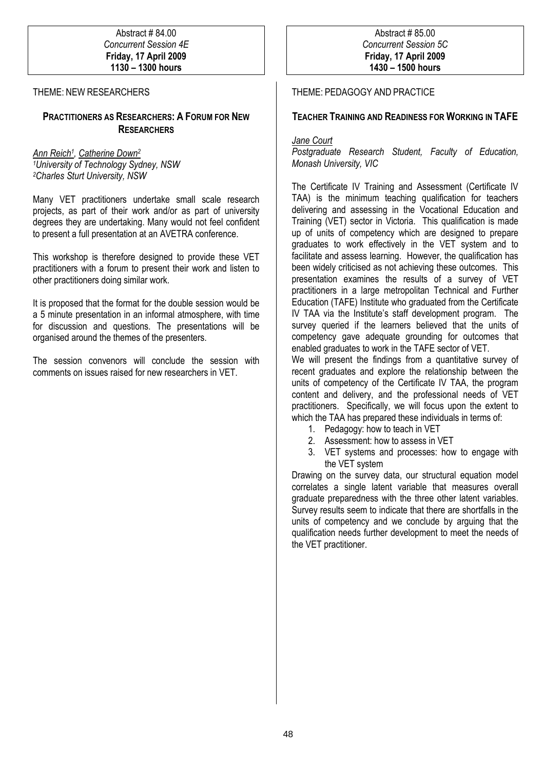#### Abstract # 84.00 Concurrent Session 4E Friday, 17 April 2009 1130 – 1300 hours

## THEME: NEW RESEARCHERS

# PRACTITIONERS AS RESEARCHERS: A FORUM FOR NEW **RESEARCHERS**

#### <u>Ann Reich<sup>1</sup>, Catherine Down<sup>2</sup></u> <sup>1</sup>University of Technology Sydney, NSW <sup>2</sup>Charles Sturt University, NSW

Many VET practitioners undertake small scale research projects, as part of their work and/or as part of university degrees they are undertaking. Many would not feel confident to present a full presentation at an AVETRA conference.

This workshop is therefore designed to provide these VET practitioners with a forum to present their work and listen to other practitioners doing similar work.

It is proposed that the format for the double session would be a 5 minute presentation in an informal atmosphere, with time for discussion and questions. The presentations will be organised around the themes of the presenters.

The session convenors will conclude the session with comments on issues raised for new researchers in VET.

# THEME: PEDAGOGY AND PRACTICE

# TEACHER TRAINING AND READINESS FOR WORKING IN TAFE

#### Jane Court

Postgraduate Research Student, Faculty of Education, Monash University, VIC

The Certificate IV Training and Assessment (Certificate IV TAA) is the minimum teaching qualification for teachers delivering and assessing in the Vocational Education and Training (VET) sector in Victoria. This qualification is made up of units of competency which are designed to prepare graduates to work effectively in the VET system and to facilitate and assess learning. However, the qualification has been widely criticised as not achieving these outcomes. This presentation examines the results of a survey of VET practitioners in a large metropolitan Technical and Further Education (TAFE) Institute who graduated from the Certificate IV TAA via the Institute's staff development program. The survey queried if the learners believed that the units of competency gave adequate grounding for outcomes that enabled graduates to work in the TAFE sector of VET.

We will present the findings from a quantitative survey of recent graduates and explore the relationship between the units of competency of the Certificate IV TAA, the program content and delivery, and the professional needs of VET practitioners. Specifically, we will focus upon the extent to which the TAA has prepared these individuals in terms of:

- 1. Pedagogy: how to teach in VET
- 2. Assessment: how to assess in VET
- 3. VET systems and processes: how to engage with the VET system

Drawing on the survey data, our structural equation model correlates a single latent variable that measures overall graduate preparedness with the three other latent variables. Survey results seem to indicate that there are shortfalls in the units of competency and we conclude by arguing that the qualification needs further development to meet the needs of the VET practitioner.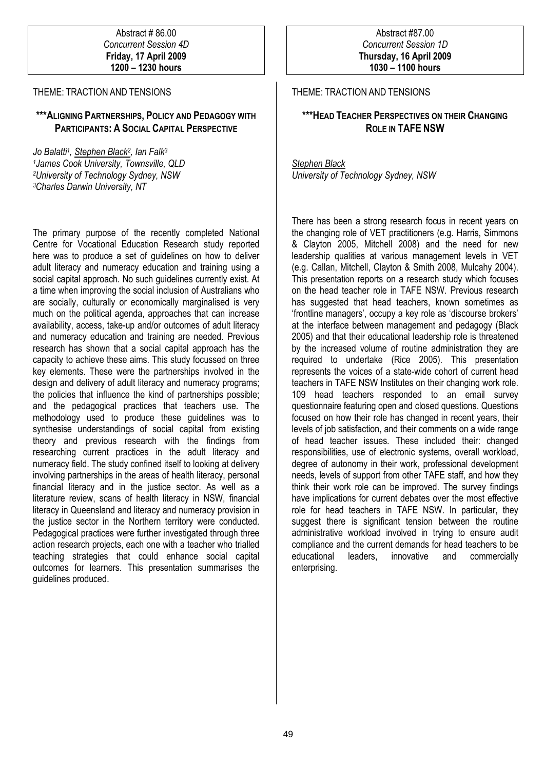#### Abstract # 86.00 Concurrent Session 4D Friday, 17 April 2009 1200 – 1230 hours

#### THEME: TRACTION AND TENSIONS

# \*\*\*ALIGNING PARTNERSHIPS, POLICY AND PEDAGOGY WITH PARTICIPANTS: A SOCIAL CAPITAL PERSPECTIVE

Jo Balatti<sup>1</sup>, <u>Stephen Black<sup>2</sup>,</u> Ian Falk<sup>3</sup> James Cook University, Townsville, QLD University of Technology Sydney, NSW Charles Darwin University, NT

The primary purpose of the recently completed National Centre for Vocational Education Research study reported here was to produce a set of guidelines on how to deliver adult literacy and numeracy education and training using a social capital approach. No such guidelines currently exist. At a time when improving the social inclusion of Australians who are socially, culturally or economically marginalised is very much on the political agenda, approaches that can increase availability, access, take-up and/or outcomes of adult literacy and numeracy education and training are needed. Previous research has shown that a social capital approach has the capacity to achieve these aims. This study focussed on three key elements. These were the partnerships involved in the design and delivery of adult literacy and numeracy programs; the policies that influence the kind of partnerships possible; and the pedagogical practices that teachers use. The methodology used to produce these guidelines was to synthesise understandings of social capital from existing theory and previous research with the findings from researching current practices in the adult literacy and numeracy field. The study confined itself to looking at delivery involving partnerships in the areas of health literacy, personal financial literacy and in the justice sector. As well as a literature review, scans of health literacy in NSW, financial literacy in Queensland and literacy and numeracy provision in the justice sector in the Northern territory were conducted. Pedagogical practices were further investigated through three action research projects, each one with a teacher who trialled teaching strategies that could enhance social capital outcomes for learners. This presentation summarises the guidelines produced.

#### THEME: TRACTION AND TENSIONS

# \*\*\*HEAD TEACHER PERSPECTIVES ON THEIR CHANGING ROLE IN TAFE NSW

Stephen Black University of Technology Sydney, NSW

There has been a strong research focus in recent years on the changing role of VET practitioners (e.g. Harris, Simmons & Clayton 2005, Mitchell 2008) and the need for new leadership qualities at various management levels in VET (e.g. Callan, Mitchell, Clayton & Smith 2008, Mulcahy 2004). This presentation reports on a research study which focuses on the head teacher role in TAFE NSW. Previous research has suggested that head teachers, known sometimes as 'frontline managers', occupy a key role as 'discourse brokers' at the interface between management and pedagogy (Black 2005) and that their educational leadership role is threatened by the increased volume of routine administration they are required to undertake (Rice 2005). This presentation represents the voices of a state-wide cohort of current head teachers in TAFE NSW Institutes on their changing work role. 109 head teachers responded to an email survey questionnaire featuring open and closed questions. Questions focused on how their role has changed in recent years, their levels of job satisfaction, and their comments on a wide range of head teacher issues. These included their: changed responsibilities, use of electronic systems, overall workload, degree of autonomy in their work, professional development needs, levels of support from other TAFE staff, and how they think their work role can be improved. The survey findings have implications for current debates over the most effective role for head teachers in TAFE NSW. In particular, they suggest there is significant tension between the routine administrative workload involved in trying to ensure audit compliance and the current demands for head teachers to be educational leaders, innovative and commercially enterprising.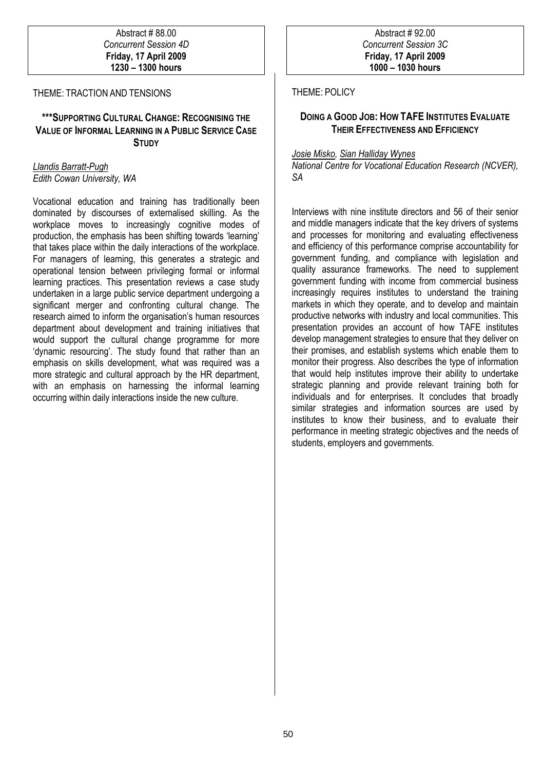#### Abstract # 88.00 Concurrent Session 4D Friday, 17 April 2009 1230 – 1300 hours

#### THEME: TRACTION AND TENSIONS

# \*\*\*SUPPORTING CULTURAL CHANGE: RECOGNISING THE VALUE OF INFORMAL LEARNING IN A PUBLIC SERVICE CASE **STUDY**

#### Llandis Barratt-Pugh Edith Cowan University, WA

Vocational education and training has traditionally been dominated by discourses of externalised skilling. As the workplace moves to increasingly cognitive modes of production, the emphasis has been shifting towards 'learning' that takes place within the daily interactions of the workplace. For managers of learning, this generates a strategic and operational tension between privileging formal or informal learning practices. This presentation reviews a case study undertaken in a large public service department undergoing a significant merger and confronting cultural change. The research aimed to inform the organisation's human resources department about development and training initiatives that would support the cultural change programme for more 'dynamic resourcing'. The study found that rather than an emphasis on skills development, what was required was a more strategic and cultural approach by the HR department, with an emphasis on harnessing the informal learning occurring within daily interactions inside the new culture.

## THEME: POLICY

# DOING A GOOD JOB: HOW TAFE INSTITUTES EVALUATE THEIR EFFECTIVENESS AND EFFICIENCY

#### Josie Misko, Sian Halliday Wynes

National Centre for Vocational Education Research (NCVER), SA

Interviews with nine institute directors and 56 of their senior and middle managers indicate that the key drivers of systems and processes for monitoring and evaluating effectiveness and efficiency of this performance comprise accountability for government funding, and compliance with legislation and quality assurance frameworks. The need to supplement government funding with income from commercial business increasingly requires institutes to understand the training markets in which they operate, and to develop and maintain productive networks with industry and local communities. This presentation provides an account of how TAFE institutes develop management strategies to ensure that they deliver on their promises, and establish systems which enable them to monitor their progress. Also describes the type of information that would help institutes improve their ability to undertake strategic planning and provide relevant training both for individuals and for enterprises. It concludes that broadly similar strategies and information sources are used by institutes to know their business, and to evaluate their performance in meeting strategic objectives and the needs of students, employers and governments.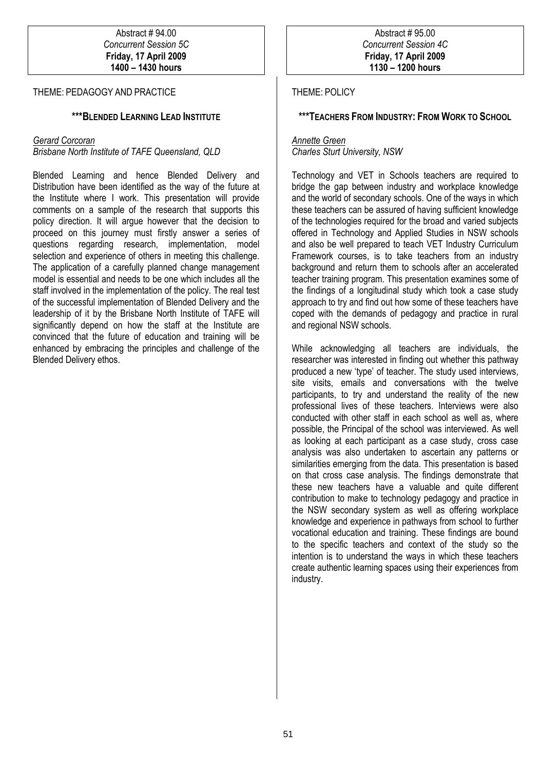## THEME: PEDAGOGY AND PRACTICE

# \*\*\*BLENDED LEARNING LEAD INSTITUTE

#### Gerard Corcoran

Brisbane North Institute of TAFE Queensland, QLD

Blended Learning and hence Blended Delivery and Distribution have been identified as the way of the future at the Institute where I work. This presentation will provide comments on a sample of the research that supports this policy direction. It will argue however that the decision to proceed on this journey must firstly answer a series of questions regarding research, implementation, model selection and experience of others in meeting this challenge. The application of a carefully planned change management model is essential and needs to be one which includes all the staff involved in the implementation of the policy. The real test of the successful implementation of Blended Delivery and the leadership of it by the Brisbane North Institute of TAFE will significantly depend on how the staff at the Institute are convinced that the future of education and training will be enhanced by embracing the principles and challenge of the Blended Delivery ethos.

#### THEME: POLICY

# \*\*\*TEACHERS FROM INDUSTRY: FROM WORK TO SCHOOL

#### Annette Green Charles Sturt University, NSW

Technology and VET in Schools teachers are required to bridge the gap between industry and workplace knowledge and the world of secondary schools. One of the ways in which these teachers can be assured of having sufficient knowledge of the technologies required for the broad and varied subjects offered in Technology and Applied Studies in NSW schools and also be well prepared to teach VET Industry Curriculum Framework courses, is to take teachers from an industry background and return them to schools after an accelerated teacher training program. This presentation examines some of the findings of a longitudinal study which took a case study approach to try and find out how some of these teachers have coped with the demands of pedagogy and practice in rural and regional NSW schools.

While acknowledging all teachers are individuals, the researcher was interested in finding out whether this pathway produced a new 'type' of teacher. The study used interviews, site visits, emails and conversations with the twelve participants, to try and understand the reality of the new professional lives of these teachers. Interviews were also conducted with other staff in each school as well as, where possible, the Principal of the school was interviewed. As well as looking at each participant as a case study, cross case analysis was also undertaken to ascertain any patterns or similarities emerging from the data. This presentation is based on that cross case analysis. The findings demonstrate that these new teachers have a valuable and quite different contribution to make to technology pedagogy and practice in the NSW secondary system as well as offering workplace knowledge and experience in pathways from school to further vocational education and training. These findings are bound to the specific teachers and context of the study so the intention is to understand the ways in which these teachers create authentic learning spaces using their experiences from industry.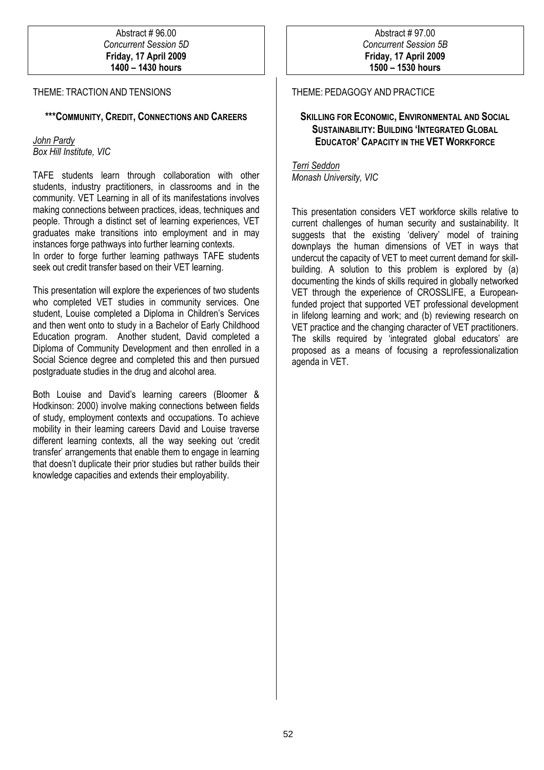#### THEME: TRACTION AND TENSIONS

## \*\*\*COMMUNITY, CREDIT, CONNECTIONS AND CAREERS

#### John Pardy Box Hill Institute, VIC

TAFE students learn through collaboration with other students, industry practitioners, in classrooms and in the community. VET Learning in all of its manifestations involves making connections between practices, ideas, techniques and people. Through a distinct set of learning experiences, VET graduates make transitions into employment and in may instances forge pathways into further learning contexts. In order to forge further learning pathways TAFE students

seek out credit transfer based on their VET learning.

This presentation will explore the experiences of two students who completed VET studies in community services. One student, Louise completed a Diploma in Children's Services and then went onto to study in a Bachelor of Early Childhood Education program. Another student, David completed a Diploma of Community Development and then enrolled in a Social Science degree and completed this and then pursued postgraduate studies in the drug and alcohol area.

Both Louise and David's learning careers (Bloomer & Hodkinson: 2000) involve making connections between fields of study, employment contexts and occupations. To achieve mobility in their learning careers David and Louise traverse different learning contexts, all the way seeking out 'credit transfer' arrangements that enable them to engage in learning that doesn't duplicate their prior studies but rather builds their knowledge capacities and extends their employability.

#### THEME: PEDAGOGY AND PRACTICE

# SKILLING FOR ECONOMIC, ENVIRONMENTAL AND SOCIAL SUSTAINABILITY: BUILDING 'INTEGRATED GLOBAL EDUCATOR' CAPACITY IN THE VET WORKFORCE

Terri Seddon Monash University, VIC

This presentation considers VET workforce skills relative to current challenges of human security and sustainability. It suggests that the existing 'delivery' model of training downplays the human dimensions of VET in ways that undercut the capacity of VET to meet current demand for skillbuilding. A solution to this problem is explored by (a) documenting the kinds of skills required in globally networked VET through the experience of CROSSLIFE, a Europeanfunded project that supported VET professional development in lifelong learning and work; and (b) reviewing research on VET practice and the changing character of VET practitioners. The skills required by 'integrated global educators' are proposed as a means of focusing a reprofessionalization agenda in VET.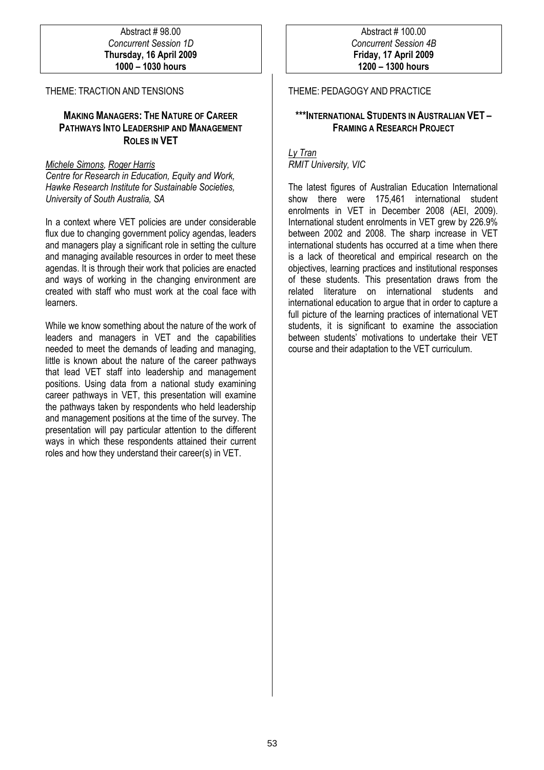#### Abstract # 98.00 Concurrent Session 1D Thursday, 16 April 2009 1000 – 1030 hours

THEME: TRACTION AND TENSIONS

# MAKING MANAGERS: THE NATURE OF CAREER PATHWAYS INTO LEADERSHIP AND MANAGEMENT ROLES IN VET

# Michele Simons, Roger Harris

Centre for Research in Education, Equity and Work, Hawke Research Institute for Sustainable Societies, University of South Australia, SA

In a context where VET policies are under considerable flux due to changing government policy agendas, leaders and managers play a significant role in setting the culture and managing available resources in order to meet these agendas. It is through their work that policies are enacted and ways of working in the changing environment are created with staff who must work at the coal face with learners.

While we know something about the nature of the work of leaders and managers in VET and the capabilities needed to meet the demands of leading and managing, little is known about the nature of the career pathways that lead VET staff into leadership and management positions. Using data from a national study examining career pathways in VET, this presentation will examine the pathways taken by respondents who held leadership and management positions at the time of the survey. The presentation will pay particular attention to the different ways in which these respondents attained their current roles and how they understand their career(s) in VET.

# THEME: PEDAGOGY AND PRACTICE

# \*\*\*INTERNATIONAL STUDENTS IN AUSTRALIAN VET – FRAMING A RESEARCH PROJECT

Ly Tran RMIT University, VIC

The latest figures of Australian Education International show there were 175,461 international student enrolments in VET in December 2008 (AEI, 2009). International student enrolments in VET grew by 226.9% between 2002 and 2008. The sharp increase in VET international students has occurred at a time when there is a lack of theoretical and empirical research on the objectives, learning practices and institutional responses of these students. This presentation draws from the related literature on international students and international education to argue that in order to capture a full picture of the learning practices of international VET students, it is significant to examine the association between students' motivations to undertake their VET course and their adaptation to the VET curriculum.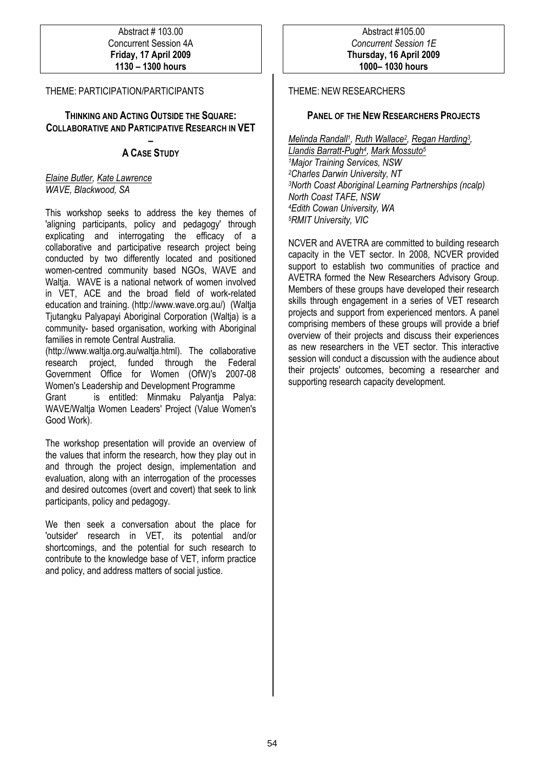#### Abstract # 103.00 Concurrent Session 4A Friday, 17 April 2009 1130 – 1300 hours

THEME: PARTICIPATION/PARTICIPANTS

# THINKING AND ACTING OUTSIDE THE SQUARE: COLLABORATIVE AND PARTICIPATIVE RESEARCH IN VET

## – A CASE STUDY

Elaine Butler, Kate Lawrence WAVE, Blackwood, SA

This workshop seeks to address the key themes of 'aligning participants, policy and pedagogy' through explicating and interrogating the efficacy of a collaborative and participative research project being conducted by two differently located and positioned women-centred community based NGOs, WAVE and Waltja. WAVE is a national network of women involved in VET, ACE and the broad field of work-related education and training. (http://www.wave.org.au/) (Waltja Tjutangku Palyapayi Aboriginal Corporation (Waltja) is a community- based organisation, working with Aboriginal families in remote Central Australia.

(http://www.waltja.org.au/waltja.html). The collaborative research project, funded through the Federal Government Office for Women (OfW)'s 2007-08 Women's Leadership and Development Programme Grant is entitled: Minmaku Palyantja Palya: WAVE/Waltja Women Leaders' Project (Value Women's Good Work).

The workshop presentation will provide an overview of the values that inform the research, how they play out in and through the project design, implementation and evaluation, along with an interrogation of the processes and desired outcomes (overt and covert) that seek to link participants, policy and pedagogy.

We then seek a conversation about the place for 'outsider' research in VET, its potential and/or shortcomings, and the potential for such research to contribute to the knowledge base of VET, inform practice and policy, and address matters of social justice.

THEME: NEW RESEARCHERS

# PANEL OF THE NEW RESEARCHERS PROJECTS

<u>Melinda Randall<sup>1</sup>, Ruth Wallace<sup>2</sup>, Regan Harding<sup>3</sup>,</u> <u>Llandis Barratt-Pugh<sup>4</sup>, Mark Mossuto<sup>5</sup></u> Major Training Services, NSW Charles Darwin University, NT North Coast Aboriginal Learning Partnerships (ncalp) North Coast TAFE, NSW Edith Cowan University, WA RMIT University, VIC

NCVER and AVETRA are committed to building research capacity in the VET sector. In 2008, NCVER provided support to establish two communities of practice and AVETRA formed the New Researchers Advisory Group. Members of these groups have developed their research skills through engagement in a series of VET research projects and support from experienced mentors. A panel comprising members of these groups will provide a brief overview of their projects and discuss their experiences as new researchers in the VET sector. This interactive session will conduct a discussion with the audience about their projects' outcomes, becoming a researcher and supporting research capacity development.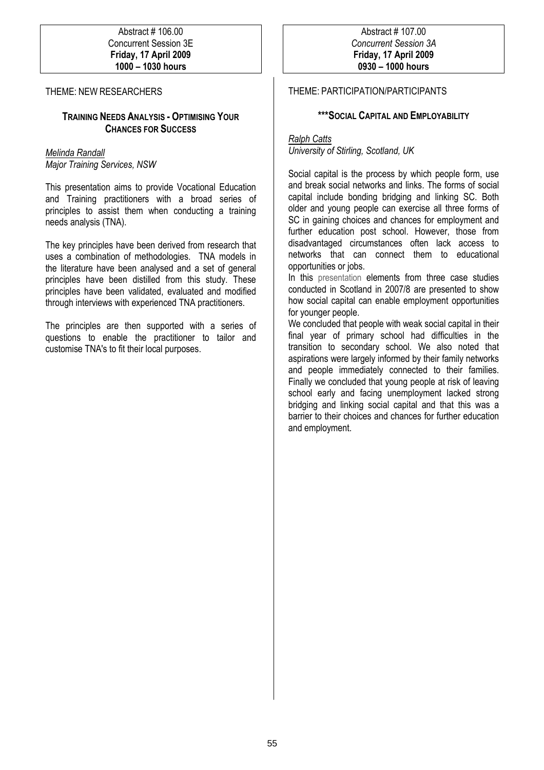THEME: NEW RESEARCHERS

# TRAINING NEEDS ANALYSIS - OPTIMISING YOUR CHANCES FOR SUCCESS

# Melinda Randall Major Training Services, NSW

This presentation aims to provide Vocational Education and Training practitioners with a broad series of principles to assist them when conducting a training needs analysis (TNA).

The key principles have been derived from research that uses a combination of methodologies. TNA models in the literature have been analysed and a set of general principles have been distilled from this study. These principles have been validated, evaluated and modified through interviews with experienced TNA practitioners.

The principles are then supported with a series of questions to enable the practitioner to tailor and customise TNA's to fit their local purposes.

# THEME: PARTICIPATION/PARTICIPANTS

# \*\*\*SOCIAL CAPITAL AND EMPLOYABILITY

Ralph Catts University of Stirling, Scotland, UK

Social capital is the process by which people form, use and break social networks and links. The forms of social capital include bonding bridging and linking SC. Both older and young people can exercise all three forms of SC in gaining choices and chances for employment and further education post school. However, those from disadvantaged circumstances often lack access to networks that can connect them to educational opportunities or jobs.

In this presentation elements from three case studies conducted in Scotland in 2007/8 are presented to show how social capital can enable employment opportunities for younger people.

We concluded that people with weak social capital in their final year of primary school had difficulties in the transition to secondary school. We also noted that aspirations were largely informed by their family networks and people immediately connected to their families. Finally we concluded that young people at risk of leaving school early and facing unemployment lacked strong bridging and linking social capital and that this was a barrier to their choices and chances for further education and employment.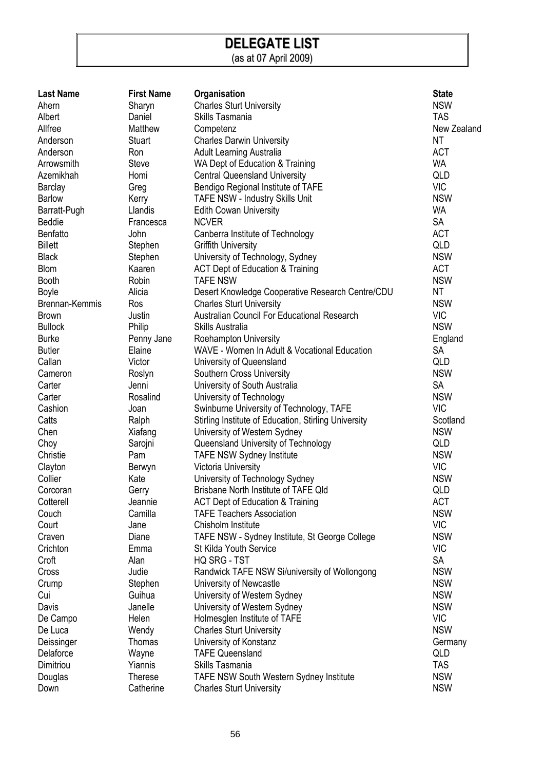# DELEGATE LIST

(as at 07 April 2009)

| <b>Last Name</b>   | <b>First Name</b>  | Organisation                                                                    | <b>State</b> |
|--------------------|--------------------|---------------------------------------------------------------------------------|--------------|
| Ahern              | Sharyn             | <b>Charles Sturt University</b>                                                 | <b>NSW</b>   |
| Albert             | Daniel             | Skills Tasmania                                                                 | <b>TAS</b>   |
| Allfree            | Matthew            | Competenz                                                                       | New Zealand  |
| Anderson           | <b>Stuart</b>      | <b>Charles Darwin University</b>                                                | <b>NT</b>    |
| Anderson           | Ron                | <b>Adult Learning Australia</b>                                                 | <b>ACT</b>   |
| Arrowsmith         | Steve              | WA Dept of Education & Training                                                 | <b>WA</b>    |
| Azemikhah          | Homi               | <b>Central Queensland University</b>                                            | QLD          |
| <b>Barclay</b>     | Greg               | Bendigo Regional Institute of TAFE                                              | <b>VIC</b>   |
| <b>Barlow</b>      | Kerry              | TAFE NSW - Industry Skills Unit                                                 | <b>NSW</b>   |
| Barratt-Pugh       | Llandis            | <b>Edith Cowan University</b>                                                   | <b>WA</b>    |
| <b>Beddie</b>      | Francesca          | <b>NCVER</b>                                                                    | <b>SA</b>    |
| <b>Benfatto</b>    | John               | Canberra Institute of Technology                                                | <b>ACT</b>   |
| <b>Billett</b>     | Stephen            | <b>Griffith University</b>                                                      | QLD          |
| <b>Black</b>       | Stephen            | University of Technology, Sydney                                                | <b>NSW</b>   |
| <b>Blom</b>        | Kaaren             | <b>ACT Dept of Education &amp; Training</b>                                     | <b>ACT</b>   |
| <b>Booth</b>       | Robin              | <b>TAFE NSW</b>                                                                 | <b>NSW</b>   |
| <b>Boyle</b>       | Alicia             | Desert Knowledge Cooperative Research Centre/CDU                                | <b>NT</b>    |
| Brennan-Kemmis     | Ros                | <b>Charles Sturt University</b>                                                 | <b>NSW</b>   |
| <b>Brown</b>       | Justin             | Australian Council For Educational Research                                     | <b>VIC</b>   |
| <b>Bullock</b>     | Philip             | Skills Australia                                                                | <b>NSW</b>   |
| <b>Burke</b>       | Penny Jane         | Roehampton University                                                           | England      |
| <b>Butler</b>      | Elaine             | WAVE - Women In Adult & Vocational Education                                    | <b>SA</b>    |
| Callan             | Victor             | University of Queensland                                                        | QLD          |
| Cameron            | Roslyn             | Southern Cross University                                                       | <b>NSW</b>   |
| Carter             | Jenni              | University of South Australia                                                   | <b>SA</b>    |
| Carter             | Rosalind           | University of Technology                                                        | <b>NSW</b>   |
| Cashion            | Joan               | Swinburne University of Technology, TAFE                                        | <b>VIC</b>   |
| Catts              | Ralph              | Stirling Institute of Education, Stirling University                            | Scotland     |
| Chen               | Xiafang            | University of Western Sydney                                                    | <b>NSW</b>   |
| Choy               | Sarojni            | Queensland University of Technology                                             | QLD          |
| Christie           | Pam                | TAFE NSW Sydney Institute                                                       | <b>NSW</b>   |
| Clayton            |                    | Victoria University                                                             | <b>VIC</b>   |
| Collier            | Berwyn<br>Kate     | University of Technology Sydney                                                 | <b>NSW</b>   |
| Corcoran           |                    | Brisbane North Institute of TAFE Qld                                            | QLD          |
| Cotterell          | Gerry              |                                                                                 | <b>ACT</b>   |
| Couch              | Jeannie<br>Camilla | <b>ACT Dept of Education &amp; Training</b><br><b>TAFE Teachers Association</b> | <b>NSW</b>   |
|                    |                    | Chisholm Institute                                                              | <b>VIC</b>   |
| Court              | Jane               |                                                                                 | <b>NSW</b>   |
| Craven<br>Crichton | Diane              | TAFE NSW - Sydney Institute, St George College                                  | <b>VIC</b>   |
|                    | Emma               | <b>St Kilda Youth Service</b>                                                   | <b>SA</b>    |
| Croft              | Alan               | HQ SRG - TST                                                                    |              |
| Cross              | Judie              | Randwick TAFE NSW Si/university of Wollongong                                   | <b>NSW</b>   |
| Crump              | Stephen            | University of Newcastle                                                         | <b>NSW</b>   |
| Cui                | Guihua             | University of Western Sydney                                                    | <b>NSW</b>   |
| Davis              | Janelle            | University of Western Sydney                                                    | <b>NSW</b>   |
| De Campo           | Helen              | Holmesglen Institute of TAFE                                                    | <b>VIC</b>   |
| De Luca            | Wendy              | <b>Charles Sturt University</b>                                                 | <b>NSW</b>   |
| Deissinger         | <b>Thomas</b>      | University of Konstanz                                                          | Germany      |
| Delaforce          | Wayne              | <b>TAFE Queensland</b>                                                          | QLD          |
| Dimitriou          | Yiannis            | Skills Tasmania                                                                 | <b>TAS</b>   |
| Douglas            | <b>Therese</b>     | <b>TAFE NSW South Western Sydney Institute</b>                                  | <b>NSW</b>   |
| Down               | Catherine          | <b>Charles Sturt University</b>                                                 | <b>NSW</b>   |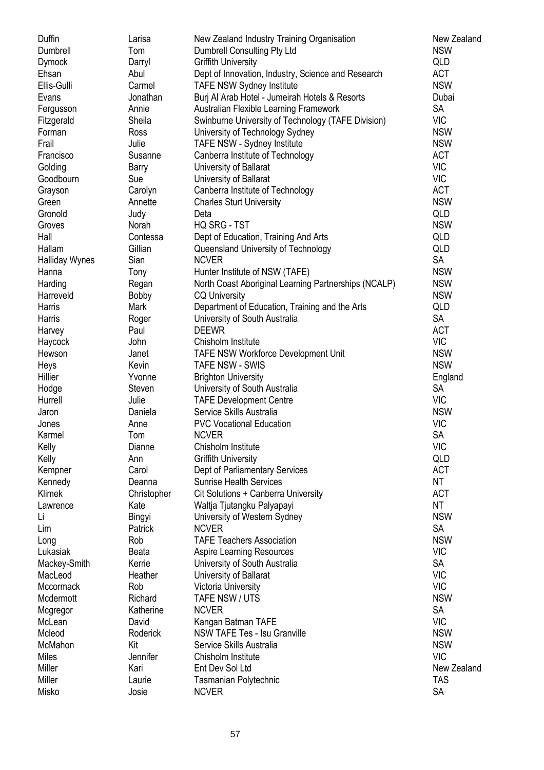| Duffin         | Larisa        | New Zealand Industry Training Organisation           | New Zealand |
|----------------|---------------|------------------------------------------------------|-------------|
| Dumbrell       | Tom           | Dumbrell Consulting Pty Ltd                          | <b>NSW</b>  |
| Dymock         | Darryl        | <b>Griffith University</b>                           | QLD         |
| Ehsan          | Abul          | Dept of Innovation, Industry, Science and Research   | <b>ACT</b>  |
| Ellis-Gulli    | Carmel        | <b>TAFE NSW Sydney Institute</b>                     | <b>NSW</b>  |
| Evans          | Jonathan      | Burj Al Arab Hotel - Jumeirah Hotels & Resorts       | Dubai       |
| Fergusson      | Annie         | Australian Flexible Learning Framework               | <b>SA</b>   |
| Fitzgerald     | Sheila        | Swinburne University of Technology (TAFE Division)   | <b>VIC</b>  |
| Forman         | Ross          | University of Technology Sydney                      | <b>NSW</b>  |
| Frail          | Julie         | TAFE NSW - Sydney Institute                          | <b>NSW</b>  |
| Francisco      | Susanne       | Canberra Institute of Technology                     | <b>ACT</b>  |
| Golding        | Barry         | University of Ballarat                               | <b>VIC</b>  |
| Goodbourn      | Sue           | University of Ballarat                               | <b>VIC</b>  |
| Grayson        | Carolyn       | Canberra Institute of Technology                     | <b>ACT</b>  |
| Green          | Annette       | <b>Charles Sturt University</b>                      | <b>NSW</b>  |
| Gronold        | Judy          | Deta                                                 | QLD         |
| Groves         | Norah         | HQ SRG - TST                                         | <b>NSW</b>  |
| Hall           | Contessa      | Dept of Education, Training And Arts                 | QLD         |
| Hallam         | Gillian       | Queensland University of Technology                  | QLD         |
| Halliday Wynes | Sian          | <b>NCVER</b>                                         | <b>SA</b>   |
| Hanna          | Tony          | Hunter Institute of NSW (TAFE)                       | <b>NSW</b>  |
| Harding        | Regan         | North Coast Aboriginal Learning Partnerships (NCALP) | <b>NSW</b>  |
| Harreveld      | <b>Bobby</b>  | <b>CQ University</b>                                 | <b>NSW</b>  |
| Harris         | Mark          | Department of Education, Training and the Arts       | QLD         |
| Harris         |               | University of South Australia                        | SA          |
|                | Roger<br>Paul | <b>DEEWR</b>                                         | ACT         |
| Harvey         |               |                                                      | <b>VIC</b>  |
| Haycock        | John          | Chisholm Institute                                   |             |
| Hewson         | Janet         | TAFE NSW Workforce Development Unit                  | <b>NSW</b>  |
| Heys           | Kevin         | <b>TAFE NSW - SWIS</b>                               | <b>NSW</b>  |
| Hillier        | Yvonne        | <b>Brighton University</b>                           | England     |
| Hodge          | Steven        | University of South Australia                        | <b>SA</b>   |
| Hurrell        | Julie         | <b>TAFE Development Centre</b>                       | <b>VIC</b>  |
| Jaron          | Daniela       | Service Skills Australia                             | <b>NSW</b>  |
| Jones          | Anne          | <b>PVC Vocational Education</b>                      | <b>VIC</b>  |
| Karmel         | Tom           | <b>NCVER</b>                                         | <b>SA</b>   |
| Kelly          | Dianne        | Chisholm Institute                                   | <b>VIC</b>  |
| Kelly          | Ann           | <b>Griffith University</b>                           | QLD         |
| Kempner        | Carol         | Dept of Parliamentary Services                       | <b>ACT</b>  |
| Kennedy        | Deanna        | <b>Sunrise Health Services</b>                       | ΝT          |
| Klimek         | Christopher   | Cit Solutions + Canberra University                  | ACT         |
| Lawrence       | Kate          | Waltja Tjutangku Palyapayi                           | NT          |
| Li             | Bingyi        | University of Western Sydney                         | <b>NSW</b>  |
| Lim            | Patrick       | <b>NCVER</b>                                         | <b>SA</b>   |
| Long           | Rob           | <b>TAFE Teachers Association</b>                     | <b>NSW</b>  |
| Lukasiak       | Beata         | <b>Aspire Learning Resources</b>                     | <b>VIC</b>  |
| Mackey-Smith   | Kerrie        | University of South Australia                        | <b>SA</b>   |
| MacLeod        | Heather       | University of Ballarat                               | <b>VIC</b>  |
| Mccormack      | Rob           | <b>Victoria University</b>                           | <b>VIC</b>  |
| Mcdermott      | Richard       | TAFE NSW / UTS                                       | <b>NSW</b>  |
| Mcgregor       | Katherine     | <b>NCVER</b>                                         | SA          |
| McLean         | David         | Kangan Batman TAFE                                   | <b>VIC</b>  |
| Mcleod         | Roderick      | <b>NSW TAFE Tes - Isu Granville</b>                  | <b>NSW</b>  |
| McMahon        | Kit           | Service Skills Australia                             | <b>NSW</b>  |
| Miles          | Jennifer      | Chisholm Institute                                   | <b>VIC</b>  |
| Miller         | Kari          | Ent Dev Sol Ltd                                      | New Zealand |
| Miller         | Laurie        | Tasmanian Polytechnic                                | <b>TAS</b>  |
| Misko          | Josie         | <b>NCVER</b>                                         | <b>SA</b>   |